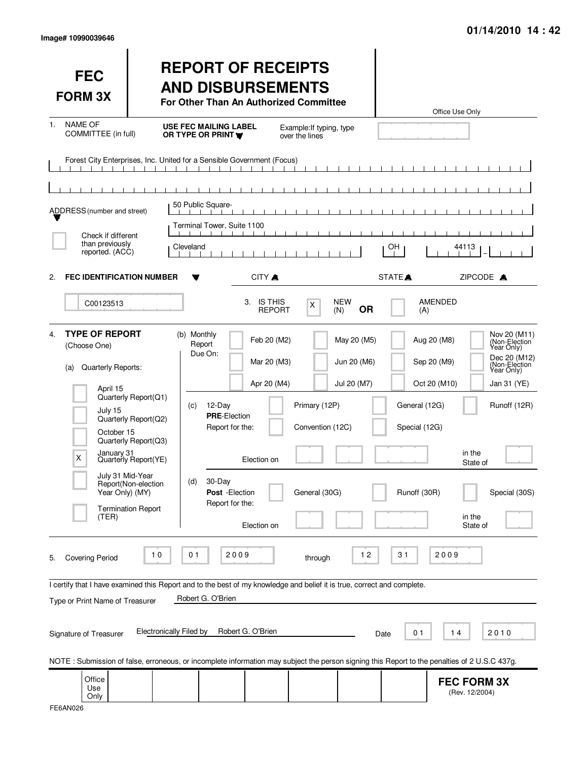| <b>FEC</b><br><b>FORM 3X</b>                                                                                                                                                                                                                                                                                                         | <b>REPORT OF RECEIPTS</b><br><b>AND DISBURSEMENTS</b><br>For Other Than An Authorized Committee                                                                                                                                                                                                                                  | Office Use Only                                                                                                                                                                                                                                              |
|--------------------------------------------------------------------------------------------------------------------------------------------------------------------------------------------------------------------------------------------------------------------------------------------------------------------------------------|----------------------------------------------------------------------------------------------------------------------------------------------------------------------------------------------------------------------------------------------------------------------------------------------------------------------------------|--------------------------------------------------------------------------------------------------------------------------------------------------------------------------------------------------------------------------------------------------------------|
| <b>NAME OF</b><br>$1_{-}$<br>COMMITTEE (in full)                                                                                                                                                                                                                                                                                     | <b>USE FEC MAILING LABEL</b><br>Example: If typing, type<br>OR TYPE OR PRINT<br>over the lines                                                                                                                                                                                                                                   |                                                                                                                                                                                                                                                              |
|                                                                                                                                                                                                                                                                                                                                      | Forest City Enterprises, Inc. United for a Sensible Government (Focus)                                                                                                                                                                                                                                                           |                                                                                                                                                                                                                                                              |
|                                                                                                                                                                                                                                                                                                                                      |                                                                                                                                                                                                                                                                                                                                  |                                                                                                                                                                                                                                                              |
| ADDRESS (number and street)                                                                                                                                                                                                                                                                                                          | 50 Public Square-                                                                                                                                                                                                                                                                                                                |                                                                                                                                                                                                                                                              |
| Check if different                                                                                                                                                                                                                                                                                                                   | Terminal Tower, Suite 1100                                                                                                                                                                                                                                                                                                       |                                                                                                                                                                                                                                                              |
| than previously<br>reported. (ACC)                                                                                                                                                                                                                                                                                                   | Cleveland                                                                                                                                                                                                                                                                                                                        | OH<br>44113                                                                                                                                                                                                                                                  |
| <b>FEC IDENTIFICATION NUMBER</b><br>2.                                                                                                                                                                                                                                                                                               | CITY A                                                                                                                                                                                                                                                                                                                           | STATE <sup>A</sup><br>ZIPCODE A                                                                                                                                                                                                                              |
| C00123513                                                                                                                                                                                                                                                                                                                            | 3. IS THIS<br><b>NEW</b><br>X<br><b>OR</b><br><b>REPORT</b><br>(N)                                                                                                                                                                                                                                                               | <b>AMENDED</b><br>(A)                                                                                                                                                                                                                                        |
| <b>TYPE OF REPORT</b><br>4.<br>(Choose One)<br>Quarterly Reports:<br>(a)<br>April 15<br>Quarterly Report(Q1)<br>July 15<br>Quarterly Report(Q2)<br>October 15<br>Quarterly Report(Q3)<br>January 31<br>X<br>Quarterly Report(YE)<br>July 31 Mid-Year<br>Report(Non-election<br>Year Only) (MY)<br><b>Termination Report</b><br>(TER) | (b) Monthly<br>Feb 20 (M2)<br>May 20 (M5)<br>Report<br>Due On:<br>Jun 20 (M6)<br>Mar 20 (M3)<br>Apr 20 (M4)<br>Jul 20 (M7)<br>12-Day<br>Primary (12P)<br>(c)<br><b>PRE-Election</b><br>Report for the:<br>Convention (12C)<br>Election on<br>30-Day<br>(d)<br>General (30G)<br>Post - Election<br>Report for the:<br>Election on | Nov 20 (M11)<br>Aug 20 (M8)<br>(Non-Election)<br>Dec 20 (M12)<br>Sep 20 (M9)<br>(Non-Election)<br>Oct 20 (M10)<br>Jan 31 (YE)<br>General (12G)<br>Runoff (12R)<br>Special (12G)<br>in the<br>State of<br>Runoff (30R)<br>Special (30S)<br>in the<br>State of |
| 10<br><b>Covering Period</b><br>5.                                                                                                                                                                                                                                                                                                   | 2009<br>01<br>$12$<br>through                                                                                                                                                                                                                                                                                                    | 2009<br>31                                                                                                                                                                                                                                                   |
|                                                                                                                                                                                                                                                                                                                                      | I certify that I have examined this Report and to the best of my knowledge and belief it is true, correct and complete.<br>Robert G. O'Brien                                                                                                                                                                                     |                                                                                                                                                                                                                                                              |
| Type or Print Name of Treasurer<br>Signature of Treasurer                                                                                                                                                                                                                                                                            | Robert G. O'Brien<br><b>Electronically Filed by</b><br>NOTE: Submission of false, erroneous, or incomplete information may subject the person signing this Report to the penalties of 2 U.S.C 437g.                                                                                                                              | 0 <sub>1</sub><br>14<br>2010<br>Date                                                                                                                                                                                                                         |
| Office<br>Use<br>Only                                                                                                                                                                                                                                                                                                                |                                                                                                                                                                                                                                                                                                                                  | <b>FEC FORM 3X</b><br>(Rev. 12/2004)                                                                                                                                                                                                                         |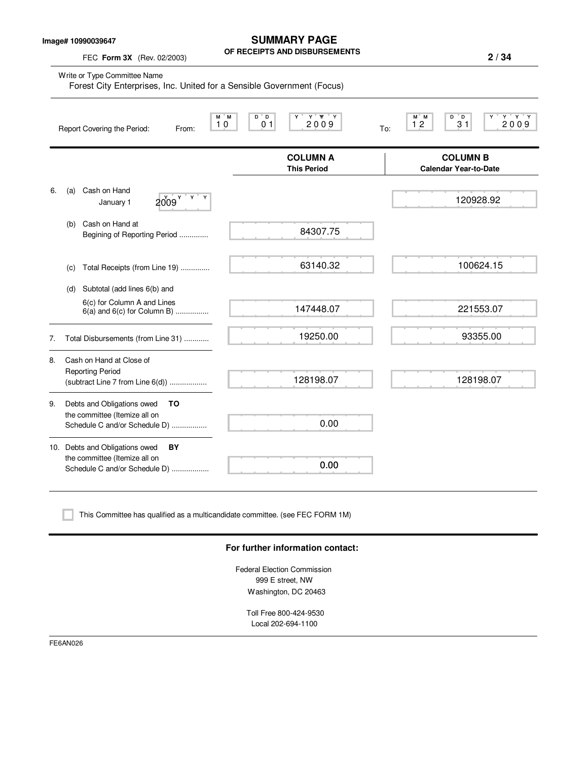**Image# 10990039647**

FEC **Form 3X** (Rev. 02/2003)

**SUMMARY PAGE OF RECEIPTS AND DISBURSEMENTS**

|    | Write or Type Committee Name<br>Forest City Enterprises, Inc. United for a Sensible Government (Focus) |                                              |                                                                   |
|----|--------------------------------------------------------------------------------------------------------|----------------------------------------------|-------------------------------------------------------------------|
|    | $M^*$ M<br>10<br>Report Covering the Period:<br>From:                                                  | $Y'$ $Y'$ $Y$<br>$D^{\prime}D$<br>2009<br>01 | $Y$ $Y$ $Y$<br>$M^*$ M<br>$D^{\circ}D$<br>2009<br>12<br>31<br>To: |
|    |                                                                                                        | <b>COLUMN A</b><br><b>This Period</b>        | <b>COLUMN B</b><br><b>Calendar Year-to-Date</b>                   |
| 6. | Cash on Hand<br>(a)<br>Y<br>2009 <sup>9</sup><br>January 1                                             |                                              | 120928.92                                                         |
|    | Cash on Hand at<br>(b)<br>Begining of Reporting Period                                                 | 84307.75                                     |                                                                   |
|    | Total Receipts (from Line 19)<br>(C)                                                                   | 63140.32                                     | 100624.15                                                         |
|    | Subtotal (add lines 6(b) and<br>(d)                                                                    |                                              |                                                                   |
|    | 6(c) for Column A and Lines<br>$6(a)$ and $6(c)$ for Column B)                                         | 147448.07                                    | 221553.07                                                         |
| 7. | Total Disbursements (from Line 31)                                                                     | 19250.00                                     | 93355.00                                                          |
| 8. | Cash on Hand at Close of<br><b>Reporting Period</b><br>(subtract Line 7 from Line 6(d))                | 128198.07                                    | 128198.07                                                         |
| 9. | Debts and Obligations owed<br>TO<br>the committee (Itemize all on<br>Schedule C and/or Schedule D)     | 0.00                                         |                                                                   |
|    | 10. Debts and Obligations owed<br>BY<br>the committee (Itemize all on<br>Schedule C and/or Schedule D) | 0.00                                         |                                                                   |

This Committee has qualified as a multicandidate committee. (see FEC FORM 1M)

#### **For further information contact:**

Federal Election Commission 999 E street, NW Washington, DC 20463

Toll Free 800-424-9530 Local 202-694-1100

FE6AN026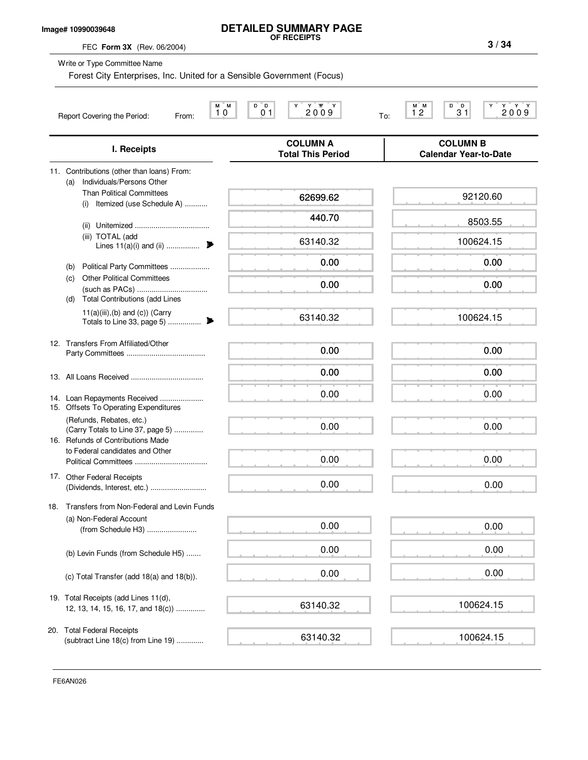### **Image# 10990039648**

# **DETAILED SUMMARY PAGE OF RECEIPTS**

FEC **Form 3X** (Rev. 06/2004)

Write or Type Committee Name

Forest City Enterprises, Inc. United for a Sensible Government (Focus)

|     | 'M<br>М<br>10<br>Report Covering the Period:<br>From:                                              | D D<br>Y W<br>Y<br>Y<br>0 <sub>1</sub><br>2009 | D<br>D.<br>Y Y<br>M M<br>Y.<br>2009<br>12<br>31<br>To: |
|-----|----------------------------------------------------------------------------------------------------|------------------------------------------------|--------------------------------------------------------|
|     | I. Receipts                                                                                        | <b>COLUMN A</b><br><b>Total This Period</b>    | <b>COLUMN B</b><br><b>Calendar Year-to-Date</b>        |
|     | 11. Contributions (other than loans) From:<br>Individuals/Persons Other<br>(a)                     |                                                |                                                        |
|     | <b>Than Political Committees</b><br>Itemized (use Schedule A)<br>(i)                               | 62699.62                                       | 92120.60                                               |
|     | (ii)                                                                                               | 440.70                                         | 8503.55                                                |
|     | (iii) TOTAL (add<br>Lines $11(a)(i)$ and (ii)                                                      | 63140.32                                       | 100624.15                                              |
|     | Political Party Committees<br>(b)                                                                  | 0.00                                           | 0.00                                                   |
|     | <b>Other Political Committees</b><br>(c)<br><b>Total Contributions (add Lines</b><br>(d)           | 0.00                                           | 0.00                                                   |
|     | $11(a)(iii),(b)$ and $(c)$ ) (Carry                                                                | 63140.32                                       | 100624.15                                              |
|     | 12. Transfers From Affiliated/Other                                                                | 0.00                                           | 0.00                                                   |
|     |                                                                                                    | 0.00                                           | 0.00                                                   |
|     | 14. Loan Repayments Received<br>15. Offsets To Operating Expenditures                              | 0.00                                           | 0.00                                                   |
|     | (Refunds, Rebates, etc.)<br>(Carry Totals to Line 37, page 5)<br>16. Refunds of Contributions Made | 0.00                                           | 0.00                                                   |
|     | to Federal candidates and Other                                                                    | 0.00                                           | 0.00                                                   |
|     | 17. Other Federal Receipts                                                                         | 0.00                                           | 0.00                                                   |
| 18. | Transfers from Non-Federal and Levin Funds                                                         |                                                |                                                        |
|     | (a) Non-Federal Account<br>(from Schedule H3)                                                      | 0.00                                           | 0.00                                                   |
|     | (b) Levin Funds (from Schedule H5)                                                                 | 0.00                                           | 0.00                                                   |
|     | (c) Total Transfer (add 18(a) and 18(b)).                                                          | 0.00                                           | 0.00                                                   |
|     | 19. Total Receipts (add Lines 11(d),<br>12, 13, 14, 15, 16, 17, and 18(c))                         | 63140.32                                       | 100624.15                                              |
|     | 20. Total Federal Receipts<br>(subtract Line 18(c) from Line 19)                                   | 63140.32                                       | 100624.15                                              |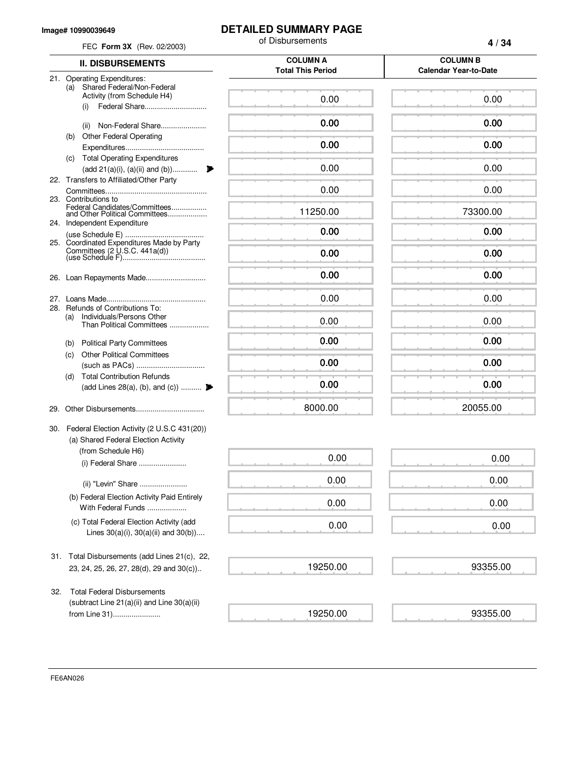#### **Image# 10990039649**

## **DETAILED SUMMARY PAGE**

| FEC Form 3X (Rev. 02/2003)                                                                        | of Disbursements                            | 4/34                         |
|---------------------------------------------------------------------------------------------------|---------------------------------------------|------------------------------|
| <b>II. DISBURSEMENTS</b>                                                                          | <b>COLUMN A</b><br><b>Total This Period</b> |                              |
| 21. Operating Expenditures:<br>Shared Federal/Non-Federal<br>(a)                                  |                                             | <b>Calendar Year-to-Date</b> |
| Activity (from Schedule H4)<br>Federal Share<br>(i)                                               | 0.00                                        | 0.00                         |
| Non-Federal Share<br>(ii)                                                                         | 0.00                                        | 0.00                         |
| <b>Other Federal Operating</b><br>(b)                                                             | 0.00                                        | 0.00                         |
| (c) Total Operating Expenditures<br>(add 21(a)(i), (a)(ii) and (b))                               | 0.00                                        | 0.00                         |
| 22. Transfers to Affiliated/Other Party                                                           | 0.00                                        | 0.00                         |
| 23. Contributions to<br>Federal Candidates/Committees<br>and Other Political Committees           | 11250.00                                    | 73300.00                     |
| 24. Independent Expenditure                                                                       | 0.00                                        | 0.00                         |
| 25. Coordinated Expenditures Made by Party                                                        | 0.00                                        | 0.00                         |
|                                                                                                   | 0.00                                        | 0.00                         |
|                                                                                                   | 0.00                                        | 0.00                         |
| 28. Refunds of Contributions To:<br>Individuals/Persons Other<br>(a)<br>Than Political Committees | 0.00                                        | 0.00                         |
| <b>Political Party Committees</b><br>(b)                                                          | 0.00                                        | 0.00                         |
| <b>Other Political Committees</b><br>(c)                                                          | 0.00                                        | 0.00                         |
| <b>Total Contribution Refunds</b><br>(d)<br>(add Lines 28(a), (b), and (c))                       | 0.00                                        | 0.00                         |
| 29.                                                                                               | 8000.00                                     | 20055.00                     |
| 30. Federal Election Activity (2 U.S.C 431(20))<br>(a) Shared Federal Election Activity           |                                             |                              |
| (from Schedule H6)<br>(i) Federal Share                                                           | 0.00                                        | 0.00                         |
| (ii) "Levin" Share                                                                                | 0.00                                        | 0.00                         |
| (b) Federal Election Activity Paid Entirely<br>With Federal Funds                                 | 0.00                                        | 0.00                         |
| (c) Total Federal Election Activity (add<br>Lines $30(a)(i)$ , $30(a)(ii)$ and $30(b)$ )          | 0.00                                        | 0.00                         |
| Total Disbursements (add Lines 21(c), 22,<br>31.                                                  |                                             |                              |
| 23, 24, 25, 26, 27, 28(d), 29 and 30(c))                                                          | 19250.00                                    | 93355.00                     |
| <b>Total Federal Disbursements</b><br>32.<br>(subtract Line $21(a)(ii)$ and Line $30(a)(ii)$      |                                             |                              |
| from Line 31)                                                                                     | 19250.00                                    | 93355.00                     |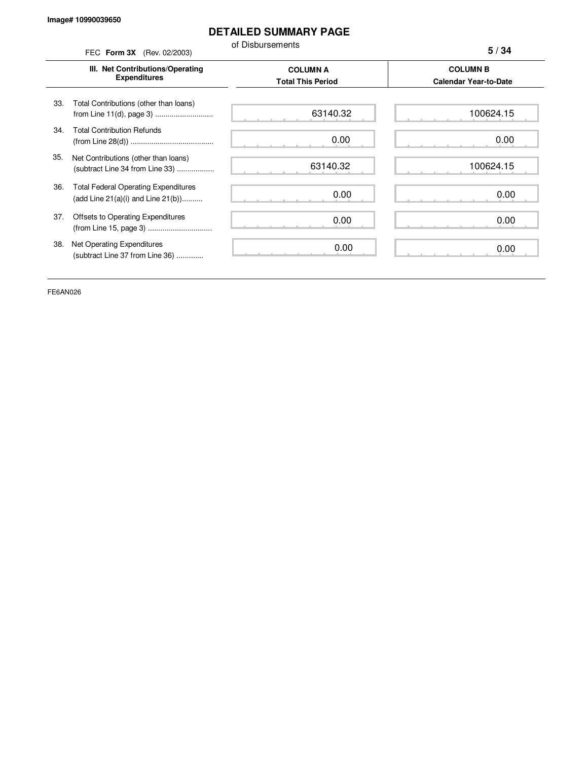### **DETAILED SUMMARY PAGE**

of Disbursements

FEC **Form 3X** (Rev. 02/2003) **III. Net Contributions/Operating Expenditures COLUMN A COLUMN B Total This Period Calendar Year-to-Date** from Line 11(d), page 3) ............................ 33. Total Contributions (other than loans) 34. Total Contribution Refunds (from Line 28(d)) ........................................ 35. Net Contributions (other than loans) (subtract Line 34 from Line 33) .................. 36. Total Federal Operating Expenditures (add Line 21(a)(i) and Line 21(b)).......... 37. Offsets to Operating Expenditures (from Line 15, page 3) ............................... 38. Net Operating Expenditures (subtract Line 37 from Line 36) ............. **5 / 34** 63140.32 0.00 63140.32 0.00 0.00 0.00 100624.15 0.00 100624.15 0.00 0.00 0.00

FE6AN026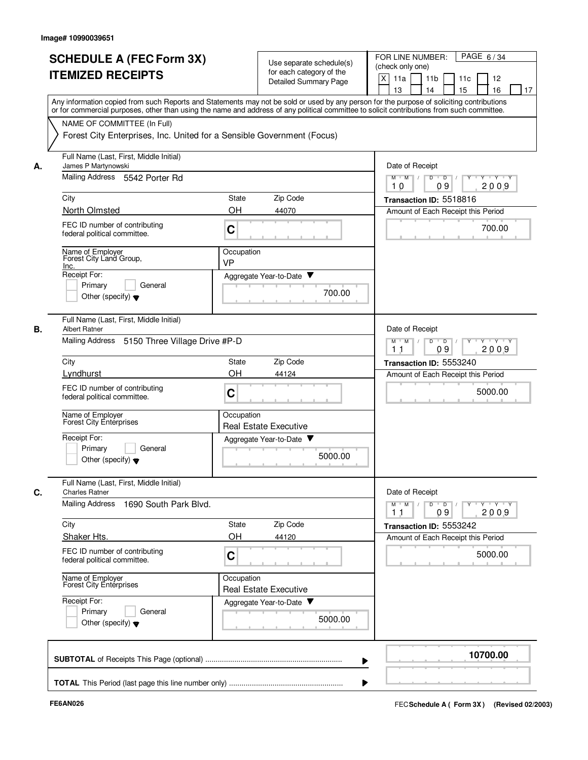|    | <b>SCHEDULE A (FEC Form 3X)</b><br><b>ITEMIZED RECEIPTS</b>                                                                                                                                                                                                                             | Use separate schedule(s)<br>for each category of the<br><b>Detailed Summary Page</b> | PAGE 6/34<br>FOR LINE NUMBER:<br>(check only one)<br>X<br>11a<br>11 <sub>b</sub><br>11c<br>12<br>15<br>13<br>14<br>16<br>17 |  |  |  |
|----|-----------------------------------------------------------------------------------------------------------------------------------------------------------------------------------------------------------------------------------------------------------------------------------------|--------------------------------------------------------------------------------------|-----------------------------------------------------------------------------------------------------------------------------|--|--|--|
|    | Any information copied from such Reports and Statements may not be sold or used by any person for the purpose of soliciting contributions<br>or for commercial purposes, other than using the name and address of any political committee to solicit contributions from such committee. |                                                                                      |                                                                                                                             |  |  |  |
|    | NAME OF COMMITTEE (In Full)<br>Forest City Enterprises, Inc. United for a Sensible Government (Focus)                                                                                                                                                                                   |                                                                                      |                                                                                                                             |  |  |  |
|    |                                                                                                                                                                                                                                                                                         |                                                                                      |                                                                                                                             |  |  |  |
| А. | James P Martynowski                                                                                                                                                                                                                                                                     | Full Name (Last, First, Middle Initial)                                              |                                                                                                                             |  |  |  |
|    | Mailing Address 5542 Porter Rd                                                                                                                                                                                                                                                          |                                                                                      | $M$ $M$ /<br>D<br>$\overline{D}$ /<br>$Y \cup Y \cup Y$<br>2009<br>10<br>09                                                 |  |  |  |
|    | City                                                                                                                                                                                                                                                                                    | Zip Code<br>State<br>OH                                                              | Transaction ID: 5518816                                                                                                     |  |  |  |
|    | North Olmsted<br>FEC ID number of contributing                                                                                                                                                                                                                                          | 44070                                                                                | Amount of Each Receipt this Period                                                                                          |  |  |  |
|    | federal political committee.                                                                                                                                                                                                                                                            | C                                                                                    | 700.00                                                                                                                      |  |  |  |
|    | Name of Employer<br>Forest City Land Group,                                                                                                                                                                                                                                             | Occupation<br><b>VP</b>                                                              |                                                                                                                             |  |  |  |
|    | Inc.<br>Receipt For:                                                                                                                                                                                                                                                                    | Aggregate Year-to-Date ▼                                                             |                                                                                                                             |  |  |  |
|    | General<br>Primary                                                                                                                                                                                                                                                                      | 700.00                                                                               |                                                                                                                             |  |  |  |
|    | Other (specify) $\blacktriangledown$                                                                                                                                                                                                                                                    |                                                                                      |                                                                                                                             |  |  |  |
| В. | Full Name (Last, First, Middle Initial)<br><b>Albert Ratner</b>                                                                                                                                                                                                                         |                                                                                      | Date of Receipt                                                                                                             |  |  |  |
|    | Mailing Address 5150 Three Village Drive #P-D                                                                                                                                                                                                                                           |                                                                                      | $M$ $M$<br>D<br>$\overline{D}$<br>Y 'Y 'Y<br>2009<br>1 <sub>1</sub><br>09                                                   |  |  |  |
|    | City                                                                                                                                                                                                                                                                                    | Zip Code<br><b>State</b>                                                             | Transaction ID: 5553240                                                                                                     |  |  |  |
|    | Lyndhurst                                                                                                                                                                                                                                                                               | OH<br>44124                                                                          | Amount of Each Receipt this Period                                                                                          |  |  |  |
|    | FEC ID number of contributing<br>federal political committee.                                                                                                                                                                                                                           | C                                                                                    | 5000.00                                                                                                                     |  |  |  |
|    | Name of Employer<br><b>Forest City Enterprises</b>                                                                                                                                                                                                                                      | Occupation<br><b>Real Estate Executive</b>                                           |                                                                                                                             |  |  |  |
|    | Receipt For:                                                                                                                                                                                                                                                                            | Aggregate Year-to-Date<br>v                                                          |                                                                                                                             |  |  |  |
|    | Primary<br>General<br>Other (specify) $\blacktriangledown$                                                                                                                                                                                                                              | 5000.00                                                                              |                                                                                                                             |  |  |  |
| C. | Full Name (Last, First, Middle Initial)<br><b>Charles Ratner</b>                                                                                                                                                                                                                        |                                                                                      | Date of Receipt                                                                                                             |  |  |  |
|    | Mailing Address 1690 South Park Blvd.                                                                                                                                                                                                                                                   |                                                                                      | $Y \dashv Y \dashv Y$<br>$\overline{D}$<br>Y<br>M<br>M<br>D<br>$\overline{\phantom{a}}$<br>2009<br>09<br>11                 |  |  |  |
|    | City                                                                                                                                                                                                                                                                                    | Zip Code<br>State                                                                    | Transaction ID: 5553242                                                                                                     |  |  |  |
|    | Shaker Hts.                                                                                                                                                                                                                                                                             | OH<br>44120                                                                          | Amount of Each Receipt this Period                                                                                          |  |  |  |
|    | FEC ID number of contributing<br>federal political committee.                                                                                                                                                                                                                           | C                                                                                    | 5000.00                                                                                                                     |  |  |  |
|    | Name of Employer<br>Forest City Enterprises                                                                                                                                                                                                                                             | Occupation<br><b>Real Estate Executive</b>                                           |                                                                                                                             |  |  |  |
|    | Receipt For:                                                                                                                                                                                                                                                                            | Aggregate Year-to-Date                                                               |                                                                                                                             |  |  |  |
|    | Primary<br>General<br>Other (specify) $\blacktriangledown$                                                                                                                                                                                                                              | 5000.00                                                                              |                                                                                                                             |  |  |  |
|    |                                                                                                                                                                                                                                                                                         |                                                                                      | 10700.00                                                                                                                    |  |  |  |
|    |                                                                                                                                                                                                                                                                                         |                                                                                      |                                                                                                                             |  |  |  |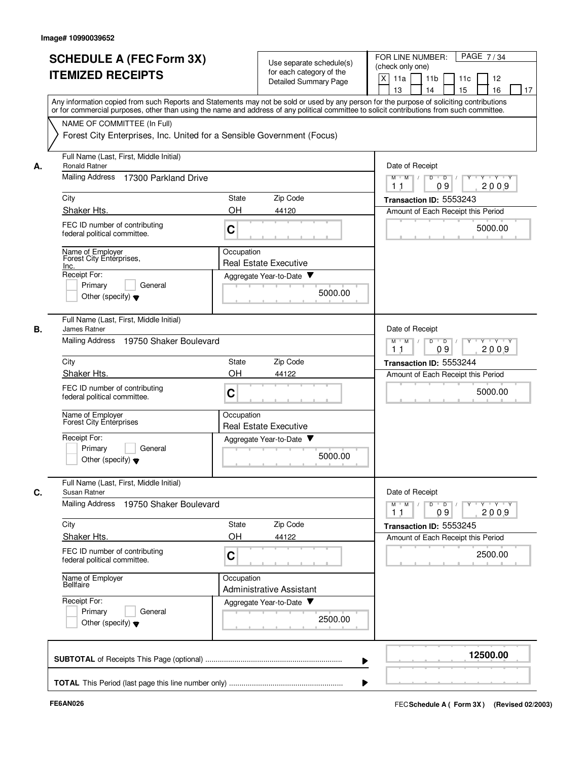|    | <b>SCHEDULE A (FEC Form 3X)</b><br><b>ITEMIZED RECEIPTS</b>                                           | Use separate schedule(s)<br>for each category of the<br><b>Detailed Summary Page</b>                                                                                                                                                                                                    | PAGE 7/34<br>FOR LINE NUMBER:<br>(check only one)<br>X<br>11 <sub>b</sub><br>11a<br>11 <sub>c</sub><br>12<br>13<br>14<br>15<br>16<br>17 |
|----|-------------------------------------------------------------------------------------------------------|-----------------------------------------------------------------------------------------------------------------------------------------------------------------------------------------------------------------------------------------------------------------------------------------|-----------------------------------------------------------------------------------------------------------------------------------------|
|    | NAME OF COMMITTEE (In Full)<br>Forest City Enterprises, Inc. United for a Sensible Government (Focus) | Any information copied from such Reports and Statements may not be sold or used by any person for the purpose of soliciting contributions<br>or for commercial purposes, other than using the name and address of any political committee to solicit contributions from such committee. |                                                                                                                                         |
| А. | Full Name (Last, First, Middle Initial)<br><b>Ronald Ratner</b>                                       |                                                                                                                                                                                                                                                                                         | Date of Receipt                                                                                                                         |
|    | Mailing Address<br>17300 Parkland Drive                                                               | $M$ $M$ /<br>$D$ $D$ $/$<br>$Y - Y - Y$<br>09<br>2009<br>11                                                                                                                                                                                                                             |                                                                                                                                         |
|    | City                                                                                                  | Zip Code<br><b>State</b>                                                                                                                                                                                                                                                                | Transaction ID: 5553243                                                                                                                 |
|    | Shaker Hts.                                                                                           | OH<br>44120                                                                                                                                                                                                                                                                             | Amount of Each Receipt this Period                                                                                                      |
|    | FEC ID number of contributing<br>federal political committee.                                         | C                                                                                                                                                                                                                                                                                       | 5000.00                                                                                                                                 |
|    | Name of Employer<br>Forest City Enterprises,<br>Inc.                                                  | Occupation<br><b>Real Estate Executive</b>                                                                                                                                                                                                                                              |                                                                                                                                         |
|    | Receipt For:                                                                                          | Aggregate Year-to-Date ▼                                                                                                                                                                                                                                                                |                                                                                                                                         |
|    | Primary<br>General<br>Other (specify) $\blacktriangledown$                                            | 5000.00                                                                                                                                                                                                                                                                                 |                                                                                                                                         |
| В. | Full Name (Last, First, Middle Initial)<br>James Ratner                                               |                                                                                                                                                                                                                                                                                         | Date of Receipt                                                                                                                         |
|    | Mailing Address 19750 Shaker Boulevard                                                                | $M$ $M$<br>D<br>Y 'Y 'Y<br>$\overline{D}$<br>2009<br>09<br>11                                                                                                                                                                                                                           |                                                                                                                                         |
|    | City                                                                                                  | <b>State</b><br>Zip Code                                                                                                                                                                                                                                                                | Transaction ID: 5553244                                                                                                                 |
|    | Shaker Hts.                                                                                           | OH<br>44122                                                                                                                                                                                                                                                                             | Amount of Each Receipt this Period                                                                                                      |
|    | FEC ID number of contributing<br>federal political committee.                                         | C                                                                                                                                                                                                                                                                                       | 5000.00                                                                                                                                 |
|    | Name of Employer<br>Forest City Entérprises                                                           | Occupation<br><b>Real Estate Executive</b>                                                                                                                                                                                                                                              |                                                                                                                                         |
|    | Receipt For:                                                                                          | Aggregate Year-to-Date                                                                                                                                                                                                                                                                  |                                                                                                                                         |
|    | Primary<br>General<br>Other (specify) $\blacktriangledown$                                            | 5000.00                                                                                                                                                                                                                                                                                 |                                                                                                                                         |
| C. | Full Name (Last, First, Middle Initial)<br>Susan Ratner                                               |                                                                                                                                                                                                                                                                                         | Date of Receipt                                                                                                                         |
|    | Mailing Address 19750 Shaker Boulevard                                                                |                                                                                                                                                                                                                                                                                         | $Y - Y - Y$<br>$M$ $M$ /<br>D<br>$\overline{D}$<br>Y<br>2009<br>09<br>11                                                                |
|    | City                                                                                                  | Zip Code<br>State                                                                                                                                                                                                                                                                       | Transaction ID: 5553245                                                                                                                 |
|    | Shaker Hts.                                                                                           | OH<br>44122                                                                                                                                                                                                                                                                             | Amount of Each Receipt this Period                                                                                                      |
|    | FEC ID number of contributing<br>federal political committee.                                         | C                                                                                                                                                                                                                                                                                       | 2500.00                                                                                                                                 |
|    | Name of Employer<br><b>Bellfaire</b>                                                                  | Occupation<br><b>Administrative Assistant</b>                                                                                                                                                                                                                                           |                                                                                                                                         |
|    | Receipt For:<br>Primary<br>General<br>Other (specify) $\blacktriangledown$                            | Aggregate Year-to-Date<br>2500.00                                                                                                                                                                                                                                                       |                                                                                                                                         |
|    |                                                                                                       |                                                                                                                                                                                                                                                                                         | 12500.00                                                                                                                                |
|    |                                                                                                       |                                                                                                                                                                                                                                                                                         |                                                                                                                                         |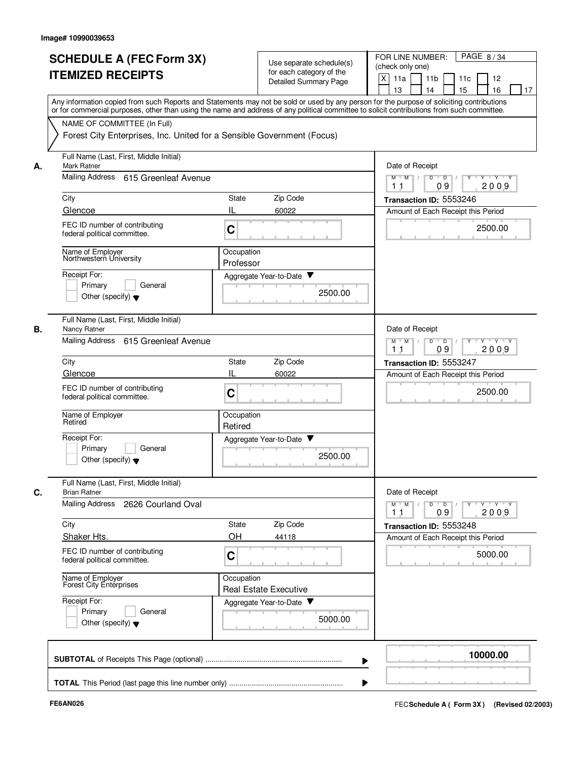|    | <b>SCHEDULE A (FEC Form 3X)</b>                                                                                                                                                                                                                                                         |                       | Use separate schedule(s)     | PAGE 8/34<br>FOR LINE NUMBER:                                        |
|----|-----------------------------------------------------------------------------------------------------------------------------------------------------------------------------------------------------------------------------------------------------------------------------------------|-----------------------|------------------------------|----------------------------------------------------------------------|
|    | <b>ITEMIZED RECEIPTS</b>                                                                                                                                                                                                                                                                |                       | for each category of the     | (check only one)                                                     |
|    |                                                                                                                                                                                                                                                                                         |                       | <b>Detailed Summary Page</b> | X<br>11a<br>11 <sub>b</sub><br>11c<br>12                             |
|    |                                                                                                                                                                                                                                                                                         |                       |                              | 15<br>13<br>14<br>16<br>17                                           |
|    | Any information copied from such Reports and Statements may not be sold or used by any person for the purpose of soliciting contributions<br>or for commercial purposes, other than using the name and address of any political committee to solicit contributions from such committee. |                       |                              |                                                                      |
|    | NAME OF COMMITTEE (In Full)                                                                                                                                                                                                                                                             |                       |                              |                                                                      |
|    | Forest City Enterprises, Inc. United for a Sensible Government (Focus)                                                                                                                                                                                                                  |                       |                              |                                                                      |
| А. | Full Name (Last, First, Middle Initial)<br><b>Mark Ratner</b>                                                                                                                                                                                                                           |                       |                              | Date of Receipt                                                      |
|    | Mailing Address 615 Greenleaf Avenue                                                                                                                                                                                                                                                    |                       |                              | $M$ $M$ /<br>D<br>$\overline{D}$<br>$Y - Y - Y$<br>09<br>2009<br>11  |
|    | City                                                                                                                                                                                                                                                                                    | State                 | Zip Code                     | Transaction ID: 5553246                                              |
|    | Glencoe                                                                                                                                                                                                                                                                                 | IL                    | 60022                        | Amount of Each Receipt this Period                                   |
|    | FEC ID number of contributing<br>federal political committee.                                                                                                                                                                                                                           | C                     |                              | 2500.00                                                              |
|    | Name of Employer<br>Northwestern University                                                                                                                                                                                                                                             | Occupation            |                              |                                                                      |
|    |                                                                                                                                                                                                                                                                                         | Professor             |                              |                                                                      |
|    | Receipt For:                                                                                                                                                                                                                                                                            |                       | Aggregate Year-to-Date ▼     |                                                                      |
|    | Primary<br>General<br>Other (specify) $\blacktriangledown$                                                                                                                                                                                                                              |                       | 2500.00                      |                                                                      |
|    |                                                                                                                                                                                                                                                                                         |                       |                              |                                                                      |
| В. | Full Name (Last, First, Middle Initial)<br>Nancy Ratner                                                                                                                                                                                                                                 |                       |                              | Date of Receipt                                                      |
|    | Mailing Address<br>615 Greenleaf Avenue                                                                                                                                                                                                                                                 |                       |                              | $Y - Y - Y$<br>$M$ M<br>D<br>$\overline{D}$<br>Y<br>09<br>2009<br>11 |
|    | City                                                                                                                                                                                                                                                                                    | State                 | Zip Code                     | Transaction ID: 5553247                                              |
|    | Glencoe                                                                                                                                                                                                                                                                                 | IL                    | 60022                        | Amount of Each Receipt this Period                                   |
|    | FEC ID number of contributing<br>federal political committee.                                                                                                                                                                                                                           | C                     |                              | 2500.00                                                              |
|    | Name of Employer<br>Retired                                                                                                                                                                                                                                                             | Occupation<br>Retired |                              |                                                                      |
|    | Receipt For:                                                                                                                                                                                                                                                                            |                       | Aggregate Year-to-Date       |                                                                      |
|    | Primarv<br>General<br>Other (specify) $\blacktriangledown$                                                                                                                                                                                                                              |                       | 2500.00                      |                                                                      |
| C. | Full Name (Last, First, Middle Initial)<br><b>Brian Ratner</b>                                                                                                                                                                                                                          |                       |                              | Date of Receipt                                                      |
|    | <b>Mailing Address</b><br>2626 Courland Oval                                                                                                                                                                                                                                            |                       |                              | $M$ $M$ /<br>$\overline{D}$<br>$Y + Y + Y$<br>D<br>Y                 |
|    |                                                                                                                                                                                                                                                                                         | State                 |                              | 2009<br>1 <sub>1</sub><br>09                                         |
|    | City<br>Shaker Hts.                                                                                                                                                                                                                                                                     | OH                    | Zip Code<br>44118            | Transaction ID: 5553248                                              |
|    |                                                                                                                                                                                                                                                                                         |                       |                              | Amount of Each Receipt this Period                                   |
|    | FEC ID number of contributing<br>federal political committee.                                                                                                                                                                                                                           | C                     |                              | 5000.00                                                              |
|    | Name of Employer<br>Forest City Enterprises                                                                                                                                                                                                                                             | Occupation            | <b>Real Estate Executive</b> |                                                                      |
|    | Receipt For:                                                                                                                                                                                                                                                                            |                       | Aggregate Year-to-Date       |                                                                      |
|    | Primary<br>General                                                                                                                                                                                                                                                                      |                       | 5000.00                      |                                                                      |
|    | Other (specify) $\blacktriangledown$                                                                                                                                                                                                                                                    |                       |                              |                                                                      |
|    |                                                                                                                                                                                                                                                                                         |                       |                              | 10000.00                                                             |
|    |                                                                                                                                                                                                                                                                                         |                       |                              |                                                                      |
|    |                                                                                                                                                                                                                                                                                         |                       |                              |                                                                      |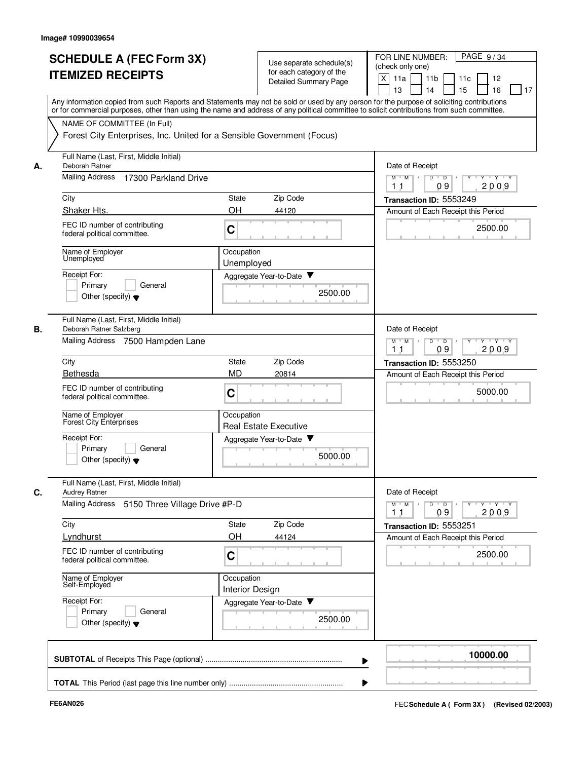|    | <b>SCHEDULE A (FEC Form 3X)</b><br><b>ITEMIZED RECEIPTS</b>                                                                                                                                                                                                                             | Use separate schedule(s)<br>for each category of the<br><b>Detailed Summary Page</b> | PAGE 9/34<br>FOR LINE NUMBER:<br>(check only one)<br>X<br>11 <sub>b</sub><br>11a<br>11c<br>12<br>13<br>14<br>15<br>16<br>17 |
|----|-----------------------------------------------------------------------------------------------------------------------------------------------------------------------------------------------------------------------------------------------------------------------------------------|--------------------------------------------------------------------------------------|-----------------------------------------------------------------------------------------------------------------------------|
|    | Any information copied from such Reports and Statements may not be sold or used by any person for the purpose of soliciting contributions<br>or for commercial purposes, other than using the name and address of any political committee to solicit contributions from such committee. |                                                                                      |                                                                                                                             |
|    | NAME OF COMMITTEE (In Full)<br>Forest City Enterprises, Inc. United for a Sensible Government (Focus)                                                                                                                                                                                   |                                                                                      |                                                                                                                             |
| А. | Full Name (Last, First, Middle Initial)<br>Deborah Ratner                                                                                                                                                                                                                               |                                                                                      | Date of Receipt                                                                                                             |
|    | <b>Mailing Address</b><br>17300 Parkland Drive                                                                                                                                                                                                                                          | $M$ $M$ /<br>D<br>$\overline{D}$ /<br>$Y \vdash Y \vdash Y$<br>Y<br>09<br>2009<br>11 |                                                                                                                             |
|    | City                                                                                                                                                                                                                                                                                    | Zip Code<br>State                                                                    | Transaction ID: 5553249                                                                                                     |
|    | Shaker Hts.                                                                                                                                                                                                                                                                             | <b>OH</b><br>44120                                                                   | Amount of Each Receipt this Period                                                                                          |
|    | FEC ID number of contributing<br>federal political committee.                                                                                                                                                                                                                           | C                                                                                    | 2500.00                                                                                                                     |
|    | Name of Employer<br>Unemployed                                                                                                                                                                                                                                                          | Occupation<br>Unemployed                                                             |                                                                                                                             |
|    | Receipt For:                                                                                                                                                                                                                                                                            | Aggregate Year-to-Date                                                               |                                                                                                                             |
|    | Primary<br>General<br>Other (specify) $\blacktriangledown$                                                                                                                                                                                                                              | 2500.00                                                                              |                                                                                                                             |
| В. | Full Name (Last, First, Middle Initial)<br>Deborah Ratner Salzberg                                                                                                                                                                                                                      |                                                                                      | Date of Receipt                                                                                                             |
|    | Mailing Address 7500 Hampden Lane                                                                                                                                                                                                                                                       |                                                                                      | $Y - Y - Y$<br>$M$ $M$<br>D<br>$\overline{D}$<br>2009<br>09<br>11                                                           |
|    | City                                                                                                                                                                                                                                                                                    | Zip Code<br>State                                                                    | Transaction ID: 5553250                                                                                                     |
|    | Bethesda                                                                                                                                                                                                                                                                                | <b>MD</b><br>20814                                                                   | Amount of Each Receipt this Period                                                                                          |
|    | FEC ID number of contributing<br>federal political committee.                                                                                                                                                                                                                           | C                                                                                    | 5000.00                                                                                                                     |
|    | Name of Employer<br>Forest City Enterprises                                                                                                                                                                                                                                             | Occupation<br><b>Real Estate Executive</b>                                           |                                                                                                                             |
|    | Receipt For:                                                                                                                                                                                                                                                                            | Aggregate Year-to-Date                                                               |                                                                                                                             |
|    | Primary<br>General<br>Other (specify) $\blacktriangledown$                                                                                                                                                                                                                              | 5000.00                                                                              |                                                                                                                             |
| C. | Full Name (Last, First, Middle Initial)<br>Audrey Ratner                                                                                                                                                                                                                                |                                                                                      | Date of Receipt                                                                                                             |
|    | Mailing Address<br>5150 Three Village Drive #P-D                                                                                                                                                                                                                                        |                                                                                      | $Y - Y - Y - Y$<br>$M$ M<br>D<br>$\overline{D}$<br>Y<br>2009<br>09<br>11                                                    |
|    | City                                                                                                                                                                                                                                                                                    | Zip Code<br>State                                                                    | Transaction ID: 5553251                                                                                                     |
|    | Lyndhurst                                                                                                                                                                                                                                                                               | OH<br>44124                                                                          | Amount of Each Receipt this Period                                                                                          |
|    | FEC ID number of contributing<br>federal political committee.                                                                                                                                                                                                                           | C                                                                                    | 2500.00                                                                                                                     |
|    | Name of Employer<br>Self-Employed                                                                                                                                                                                                                                                       | Occupation<br><b>Interior Design</b>                                                 |                                                                                                                             |
|    | Receipt For:<br>Primary<br>General                                                                                                                                                                                                                                                      | Aggregate Year-to-Date                                                               |                                                                                                                             |
|    | Other (specify) $\blacktriangledown$                                                                                                                                                                                                                                                    | 2500.00                                                                              |                                                                                                                             |
|    |                                                                                                                                                                                                                                                                                         |                                                                                      | 10000.00                                                                                                                    |
|    |                                                                                                                                                                                                                                                                                         |                                                                                      |                                                                                                                             |
|    |                                                                                                                                                                                                                                                                                         |                                                                                      |                                                                                                                             |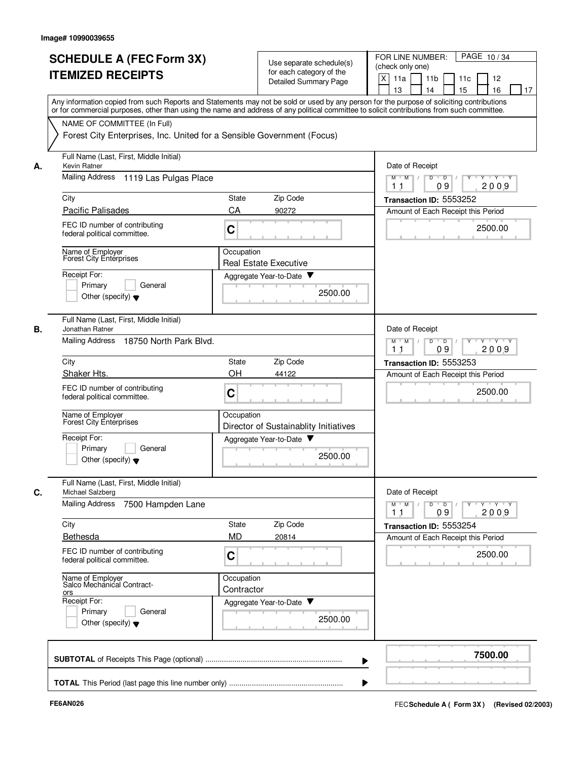| <b>SCHEDULE A (FEC Form 3X)</b><br><b>ITEMIZED RECEIPTS</b>                               |                                                                        | Use separate schedule(s)<br>for each category of the<br><b>Detailed Summary Page</b> | PAGE 10/34<br>FOR LINE NUMBER:<br>(check only one)<br>X<br>11a<br>11 <sub>b</sub><br>11c<br>12                                                                                                                                                                                                                        |
|-------------------------------------------------------------------------------------------|------------------------------------------------------------------------|--------------------------------------------------------------------------------------|-----------------------------------------------------------------------------------------------------------------------------------------------------------------------------------------------------------------------------------------------------------------------------------------------------------------------|
|                                                                                           |                                                                        |                                                                                      | 15<br>13<br>14<br>16<br>17<br>Any information copied from such Reports and Statements may not be sold or used by any person for the purpose of soliciting contributions<br>or for commercial purposes, other than using the name and address of any political committee to solicit contributions from such committee. |
| NAME OF COMMITTEE (In Full)                                                               | Forest City Enterprises, Inc. United for a Sensible Government (Focus) |                                                                                      |                                                                                                                                                                                                                                                                                                                       |
| Full Name (Last, First, Middle Initial)<br>Kevin Ratner<br>А.                             |                                                                        |                                                                                      | Date of Receipt                                                                                                                                                                                                                                                                                                       |
| Mailing Address                                                                           | 1119 Las Pulgas Place                                                  |                                                                                      | $M$ $M$ /<br>D<br>$\overline{D}$<br>$\mathsf{Y} \mathsf{Y} \mathsf{Y}$<br>09<br>2009<br>11                                                                                                                                                                                                                            |
| City                                                                                      | State                                                                  | Zip Code                                                                             | Transaction ID: 5553252                                                                                                                                                                                                                                                                                               |
| <b>Pacific Palisades</b><br>FEC ID number of contributing<br>federal political committee. | CA<br>C                                                                | 90272                                                                                | Amount of Each Receipt this Period<br>2500.00                                                                                                                                                                                                                                                                         |
| Name of Employer<br>Forest City Enterprises                                               |                                                                        | Occupation<br><b>Real Estate Executive</b>                                           |                                                                                                                                                                                                                                                                                                                       |
| Receipt For:<br>Primary<br>Other (specify) $\blacktriangledown$                           | General                                                                | Aggregate Year-to-Date<br>2500.00                                                    |                                                                                                                                                                                                                                                                                                                       |
| Full Name (Last, First, Middle Initial)<br>В.<br>Jonathan Ratner                          |                                                                        |                                                                                      | Date of Receipt                                                                                                                                                                                                                                                                                                       |
| <b>Mailing Address</b>                                                                    | 18750 North Park Blvd.                                                 | $Y - Y - Y$<br>$M$ M<br>D<br>$\overline{D}$<br>Y<br>09<br>2009<br>11                 |                                                                                                                                                                                                                                                                                                                       |
| City                                                                                      | State                                                                  | Zip Code                                                                             | Transaction ID: 5553253                                                                                                                                                                                                                                                                                               |
| Shaker Hts.<br>FEC ID number of contributing<br>federal political committee.              | <b>OH</b><br>C                                                         | 44122                                                                                | Amount of Each Receipt this Period<br>2500.00                                                                                                                                                                                                                                                                         |
| Name of Employer<br>Forest City Enterprises                                               |                                                                        | Occupation<br>Director of Sustainablity Initiatives                                  |                                                                                                                                                                                                                                                                                                                       |
| Receipt For:<br>Primary<br>Other (specify) $\blacktriangledown$                           | General                                                                | Aggregate Year-to-Date<br>2500.00                                                    |                                                                                                                                                                                                                                                                                                                       |
| Full Name (Last, First, Middle Initial)<br>Michael Salzberg<br>C.                         |                                                                        |                                                                                      | Date of Receipt                                                                                                                                                                                                                                                                                                       |
| <b>Mailing Address</b>                                                                    | 7500 Hampden Lane                                                      |                                                                                      | $Y - Y - Y$<br>$M$ $M$<br>D<br>$\overline{D}$<br>2009<br>09<br>11                                                                                                                                                                                                                                                     |
| City                                                                                      | State                                                                  | Zip Code                                                                             | Transaction ID: 5553254                                                                                                                                                                                                                                                                                               |
| Bethesda                                                                                  | <b>MD</b>                                                              | 20814                                                                                | Amount of Each Receipt this Period                                                                                                                                                                                                                                                                                    |
| FEC ID number of contributing<br>federal political committee.                             | C                                                                      |                                                                                      | 2500.00                                                                                                                                                                                                                                                                                                               |
| Name of Employer<br>Salco Mechanical Contract-<br>ors<br>Receipt For:                     |                                                                        | Occupation<br>Contractor<br>Aggregate Year-to-Date                                   |                                                                                                                                                                                                                                                                                                                       |
| Primary<br>Other (specify) $\blacktriangledown$                                           | General                                                                | 2500.00                                                                              |                                                                                                                                                                                                                                                                                                                       |
|                                                                                           |                                                                        |                                                                                      | 7500.00                                                                                                                                                                                                                                                                                                               |
|                                                                                           |                                                                        |                                                                                      |                                                                                                                                                                                                                                                                                                                       |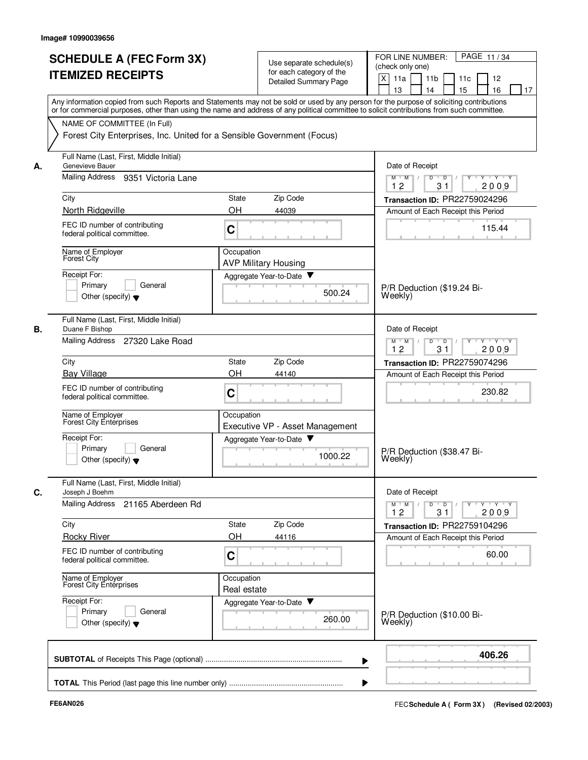|    | <b>SCHEDULE A (FEC Form 3X)</b><br><b>ITEMIZED RECEIPTS</b>                                                                                                                                                                                                                             |                           | Use separate schedule(s)<br>for each category of the<br><b>Detailed Summary Page</b> | PAGE 11/34<br>FOR LINE NUMBER:<br>(check only one)<br>X<br>11a<br>11 <sub>b</sub><br>11c<br>12<br>15<br>13<br>14<br>16<br>17 |
|----|-----------------------------------------------------------------------------------------------------------------------------------------------------------------------------------------------------------------------------------------------------------------------------------------|---------------------------|--------------------------------------------------------------------------------------|------------------------------------------------------------------------------------------------------------------------------|
|    | Any information copied from such Reports and Statements may not be sold or used by any person for the purpose of soliciting contributions<br>or for commercial purposes, other than using the name and address of any political committee to solicit contributions from such committee. |                           |                                                                                      |                                                                                                                              |
|    | NAME OF COMMITTEE (In Full)<br>Forest City Enterprises, Inc. United for a Sensible Government (Focus)                                                                                                                                                                                   |                           |                                                                                      |                                                                                                                              |
| А. | Full Name (Last, First, Middle Initial)<br>Genevieve Bauer                                                                                                                                                                                                                              |                           |                                                                                      | Date of Receipt                                                                                                              |
|    | Mailing Address<br>9351 Victoria Lane                                                                                                                                                                                                                                                   |                           |                                                                                      | D<br>$\overline{D}$<br>$Y \vdash Y \vdash Y$<br>$M$ $M$ /<br>12<br>31<br>2009                                                |
|    | City                                                                                                                                                                                                                                                                                    | State                     | Zip Code                                                                             | Transaction ID: PR22759024296                                                                                                |
|    | North Ridgeville<br>FEC ID number of contributing<br>federal political committee.                                                                                                                                                                                                       | OH<br>C                   | 44039<br><b>CONTRACTOR</b>                                                           | Amount of Each Receipt this Period<br>115.44<br><b>COLLEGE</b>                                                               |
|    | Name of Employer<br><b>Forest City</b>                                                                                                                                                                                                                                                  | Occupation                | <b>AVP Military Housing</b>                                                          |                                                                                                                              |
|    | Receipt For:<br>Primary<br>General<br>Other (specify) $\blacktriangledown$                                                                                                                                                                                                              |                           | Aggregate Year-to-Date<br>500.24                                                     | P/R Deduction (\$19.24 Bi-<br>Weekly)                                                                                        |
| В. | Full Name (Last, First, Middle Initial)<br>Duane F Bishop<br>Mailing Address 27320 Lake Road                                                                                                                                                                                            |                           |                                                                                      | Date of Receipt<br>$Y + Y + Y$<br>M<br>M<br>D<br>$\overline{D}$                                                              |
|    | City                                                                                                                                                                                                                                                                                    | State                     | Zip Code                                                                             | 12<br>31<br>2009<br>Transaction ID: PR22759074296                                                                            |
|    | <b>Bay Village</b>                                                                                                                                                                                                                                                                      | OH                        | 44140                                                                                | Amount of Each Receipt this Period                                                                                           |
|    | FEC ID number of contributing<br>federal political committee.                                                                                                                                                                                                                           | C                         |                                                                                      | 230.82                                                                                                                       |
|    | Name of Employer<br>Forest City Enterprises                                                                                                                                                                                                                                             | Occupation                | Executive VP - Asset Management                                                      |                                                                                                                              |
|    | Receipt For:<br>Primary<br>General<br>Other (specify) $\blacktriangledown$                                                                                                                                                                                                              |                           | Aggregate Year-to-Date<br>1000.22                                                    | P/R Deduction (\$38.47 Bi-<br>Weekly)                                                                                        |
| C. | Full Name (Last, First, Middle Initial)<br>Joseph J Boehm                                                                                                                                                                                                                               |                           |                                                                                      | Date of Receipt                                                                                                              |
|    | Mailing Address<br>21165 Aberdeen Rd                                                                                                                                                                                                                                                    |                           |                                                                                      | $Y - Y - Y - Y$<br>$M$ $M$<br>D<br>$\overline{D}$<br>12<br>31<br>2009                                                        |
|    | City<br><b>Rocky River</b>                                                                                                                                                                                                                                                              | State<br>OH               | Zip Code<br>44116                                                                    | Transaction ID: PR22759104296<br>Amount of Each Receipt this Period                                                          |
|    | FEC ID number of contributing<br>federal political committee.                                                                                                                                                                                                                           | C                         |                                                                                      | 60.00                                                                                                                        |
|    | Name of Employer<br>Forest City Enterprises                                                                                                                                                                                                                                             | Occupation<br>Real estate |                                                                                      |                                                                                                                              |
|    | Receipt For:<br>Primary<br>General<br>Other (specify) $\blacktriangledown$                                                                                                                                                                                                              |                           | Aggregate Year-to-Date<br>260.00                                                     | P/R Deduction (\$10.00 Bi-<br>Weekly)                                                                                        |
|    |                                                                                                                                                                                                                                                                                         |                           |                                                                                      | 406.26                                                                                                                       |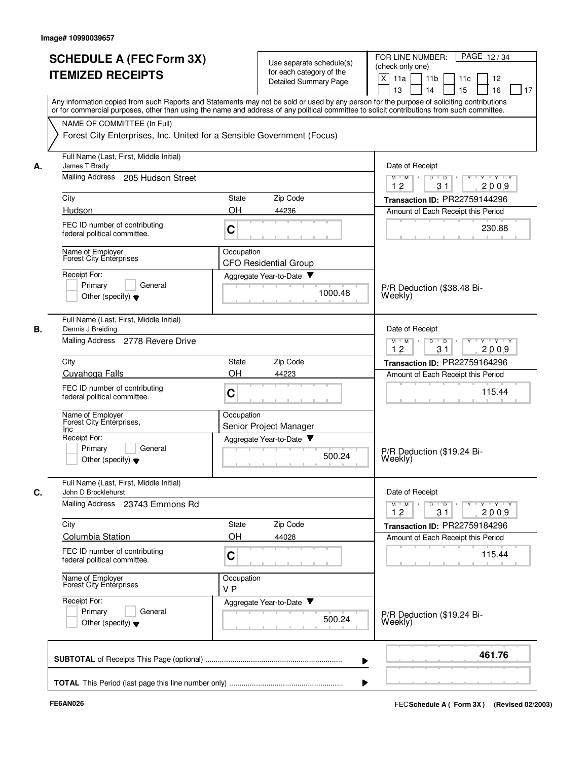|    | <b>SCHEDULE A (FEC Form 3X)</b><br><b>ITEMIZED RECEIPTS</b>                | Use separate schedule(s)<br>for each category of the<br><b>Detailed Summary Page</b>                                                                                                                                                                                                    | PAGE 12/34<br>FOR LINE NUMBER:<br>(check only one)<br>$\times$<br>11a<br>11 <sub>b</sub><br>11c<br>12<br>15<br>13<br>14<br>16<br>17 |
|----|----------------------------------------------------------------------------|-----------------------------------------------------------------------------------------------------------------------------------------------------------------------------------------------------------------------------------------------------------------------------------------|-------------------------------------------------------------------------------------------------------------------------------------|
|    | NAME OF COMMITTEE (In Full)                                                | Any information copied from such Reports and Statements may not be sold or used by any person for the purpose of soliciting contributions<br>or for commercial purposes, other than using the name and address of any political committee to solicit contributions from such committee. |                                                                                                                                     |
|    | Forest City Enterprises, Inc. United for a Sensible Government (Focus)     |                                                                                                                                                                                                                                                                                         |                                                                                                                                     |
| А. | Full Name (Last, First, Middle Initial)<br>James T Brady                   |                                                                                                                                                                                                                                                                                         | Date of Receipt                                                                                                                     |
|    | Mailing Address 205 Hudson Street                                          |                                                                                                                                                                                                                                                                                         | Y Y Y Y<br>$M$ $M$ /<br>D<br>$\overline{D}$ /<br>$Y$ <sup><math>\top</math></sup><br>31<br>12<br>2009                               |
|    | City                                                                       | Zip Code<br><b>State</b>                                                                                                                                                                                                                                                                | Transaction ID: PR22759144296                                                                                                       |
|    | Hudson                                                                     | OH<br>44236                                                                                                                                                                                                                                                                             | Amount of Each Receipt this Period                                                                                                  |
|    | FEC ID number of contributing<br>federal political committee.              | C                                                                                                                                                                                                                                                                                       | 230.88                                                                                                                              |
|    | Name of Employer<br>Forest City Entérprises                                | Occupation<br><b>CFO Residential Group</b>                                                                                                                                                                                                                                              |                                                                                                                                     |
|    | Receipt For:                                                               | Aggregate Year-to-Date                                                                                                                                                                                                                                                                  |                                                                                                                                     |
|    | General<br>Primary<br>Other (specify) $\blacktriangledown$                 | 1000.48                                                                                                                                                                                                                                                                                 | P/R Deduction (\$38.48 Bi-<br>Weekly)                                                                                               |
| В. | Full Name (Last, First, Middle Initial)<br>Dennis J Breiding               |                                                                                                                                                                                                                                                                                         | Date of Receipt                                                                                                                     |
|    | Mailing Address 2778 Revere Drive                                          |                                                                                                                                                                                                                                                                                         | D<br>$\overline{D}$<br>$Y - Y - Y$<br>$M$ M<br>12<br>31<br>2009                                                                     |
|    | City                                                                       | Zip Code<br><b>State</b>                                                                                                                                                                                                                                                                | Transaction ID: PR22759164296                                                                                                       |
|    | <b>Cuyahoga Falls</b>                                                      | OH<br>44223                                                                                                                                                                                                                                                                             | Amount of Each Receipt this Period                                                                                                  |
|    | FEC ID number of contributing<br>federal political committee.              | C                                                                                                                                                                                                                                                                                       | 115.44                                                                                                                              |
|    | Name of Employer<br>Forest City Enterprises,<br><b>Inc</b>                 | Occupation<br>Senior Project Manager                                                                                                                                                                                                                                                    |                                                                                                                                     |
|    | Receipt For:                                                               | Aggregate Year-to-Date                                                                                                                                                                                                                                                                  |                                                                                                                                     |
|    | Primary<br>General<br>Other (specify) $\blacktriangledown$                 | 500.24                                                                                                                                                                                                                                                                                  | P/R Deduction (\$19.24 Bi-<br>Weekly)                                                                                               |
| C. | Full Name (Last, First, Middle Initial)<br>John D Brocklehurst             |                                                                                                                                                                                                                                                                                         | Date of Receipt                                                                                                                     |
|    | Mailing Address 23743 Emmons Rd                                            |                                                                                                                                                                                                                                                                                         | $\mathsf{Y} \dashv \mathsf{Y} \dashv \mathsf{Y}$<br>$\overline{D}$<br>Y<br>$M$ M<br>D<br>31<br>2009<br>12                           |
|    | City                                                                       | Zip Code<br>State                                                                                                                                                                                                                                                                       | Transaction ID: PR22759184296                                                                                                       |
|    | Columbia Station                                                           | OН<br>44028                                                                                                                                                                                                                                                                             | Amount of Each Receipt this Period                                                                                                  |
|    | FEC ID number of contributing<br>federal political committee.              | C                                                                                                                                                                                                                                                                                       | 115.44                                                                                                                              |
|    | Name of Employer<br>Forest City Enterprises                                | Occupation<br>V <sub>P</sub>                                                                                                                                                                                                                                                            |                                                                                                                                     |
|    | Receipt For:<br>Primary<br>General<br>Other (specify) $\blacktriangledown$ | Aggregate Year-to-Date<br>500.24                                                                                                                                                                                                                                                        | P/R Deduction (\$19.24 Bi-<br>Weekly)                                                                                               |
|    |                                                                            |                                                                                                                                                                                                                                                                                         | 461.76                                                                                                                              |
|    |                                                                            |                                                                                                                                                                                                                                                                                         |                                                                                                                                     |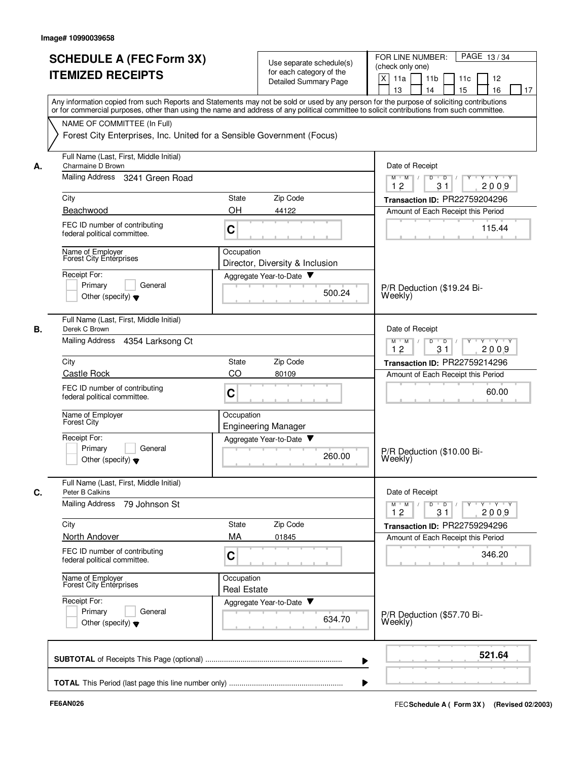|    | <b>SCHEDULE A (FEC Form 3X)</b><br><b>ITEMIZED RECEIPTS</b>                                                                                                                                                                                                                             |                                  | Use separate schedule(s)<br>for each category of the<br><b>Detailed Summary Page</b> | PAGE 13/34<br>FOR LINE NUMBER:<br>(check only one)<br>$\mathsf{X}$<br>11a<br>11 <sub>b</sub><br>11c<br>12<br>15<br>16<br>13<br>14<br>17 |
|----|-----------------------------------------------------------------------------------------------------------------------------------------------------------------------------------------------------------------------------------------------------------------------------------------|----------------------------------|--------------------------------------------------------------------------------------|-----------------------------------------------------------------------------------------------------------------------------------------|
|    | Any information copied from such Reports and Statements may not be sold or used by any person for the purpose of soliciting contributions<br>or for commercial purposes, other than using the name and address of any political committee to solicit contributions from such committee. |                                  |                                                                                      |                                                                                                                                         |
|    | NAME OF COMMITTEE (In Full)<br>Forest City Enterprises, Inc. United for a Sensible Government (Focus)                                                                                                                                                                                   |                                  |                                                                                      |                                                                                                                                         |
| А. | Full Name (Last, First, Middle Initial)<br>Charmaine D Brown                                                                                                                                                                                                                            |                                  |                                                                                      | Date of Receipt                                                                                                                         |
|    | Mailing Address 3241 Green Road                                                                                                                                                                                                                                                         |                                  |                                                                                      | D<br>Y Y Y Y Y<br>$M$ $M$<br>$\top$ /<br>$\overline{D}$<br>$\prime$<br>12<br>31<br>2009                                                 |
|    | City                                                                                                                                                                                                                                                                                    | State                            | Zip Code                                                                             | Transaction ID: PR22759204296                                                                                                           |
|    | Beachwood                                                                                                                                                                                                                                                                               | OH                               | 44122                                                                                | Amount of Each Receipt this Period                                                                                                      |
|    | FEC ID number of contributing<br>federal political committee.                                                                                                                                                                                                                           | C                                |                                                                                      | 115.44                                                                                                                                  |
|    | Name of Employer<br>Forest City Enterprises                                                                                                                                                                                                                                             | Occupation                       | Director, Diversity & Inclusion                                                      |                                                                                                                                         |
|    | Receipt For:<br>Primary<br>General<br>Other (specify) $\blacktriangledown$                                                                                                                                                                                                              |                                  | Aggregate Year-to-Date<br>500.24                                                     | P/R Deduction (\$19.24 Bi-<br>Weekly)                                                                                                   |
| В. | Full Name (Last, First, Middle Initial)<br>Derek C Brown                                                                                                                                                                                                                                |                                  |                                                                                      | Date of Receipt                                                                                                                         |
|    | Mailing Address 4354 Larksong Ct                                                                                                                                                                                                                                                        |                                  |                                                                                      | $Y + Y + Y$<br>M<br>M<br>D<br>$\overline{D}$<br>31<br>12<br>2009                                                                        |
|    | City                                                                                                                                                                                                                                                                                    | State                            | Zip Code                                                                             | Transaction ID: PR22759214296                                                                                                           |
|    | Castle Rock                                                                                                                                                                                                                                                                             | CO                               | 80109                                                                                | Amount of Each Receipt this Period                                                                                                      |
|    | FEC ID number of contributing<br>federal political committee.                                                                                                                                                                                                                           | C                                |                                                                                      | 60.00                                                                                                                                   |
|    | Name of Employer<br><b>Forest City</b>                                                                                                                                                                                                                                                  | Occupation                       | <b>Engineering Manager</b>                                                           |                                                                                                                                         |
|    | Receipt For:<br>Primary<br>General<br>Other (specify) $\blacktriangledown$                                                                                                                                                                                                              |                                  | Aggregate Year-to-Date<br>260.00                                                     | P/R Deduction (\$10.00 Bi-<br>Weekly)                                                                                                   |
| C. | Full Name (Last, First, Middle Initial)<br>Peter B Calkins                                                                                                                                                                                                                              |                                  |                                                                                      | Date of Receipt                                                                                                                         |
|    | Mailing Address 79 Johnson St                                                                                                                                                                                                                                                           |                                  |                                                                                      | Y 'Y 'Y<br>$M$ $M$ /<br>D<br>$\overline{D}$<br>31<br>2009<br>12                                                                         |
|    | City<br>North Andover                                                                                                                                                                                                                                                                   | State<br>МA                      | Zip Code<br>01845                                                                    | <b>Transaction ID: PR22759294296</b><br>Amount of Each Receipt this Period                                                              |
|    | FEC ID number of contributing<br>federal political committee.                                                                                                                                                                                                                           | C                                |                                                                                      | 346.20                                                                                                                                  |
|    | Name of Employer<br>Forest City Enterprises                                                                                                                                                                                                                                             | Occupation<br><b>Real Estate</b> |                                                                                      |                                                                                                                                         |
|    | Receipt For:<br>Primary<br>General<br>Other (specify) $\blacktriangledown$                                                                                                                                                                                                              |                                  | Aggregate Year-to-Date<br>634.70                                                     | P/R Deduction (\$57.70 Bi-<br>Weekly)                                                                                                   |
|    |                                                                                                                                                                                                                                                                                         |                                  |                                                                                      | 521.64                                                                                                                                  |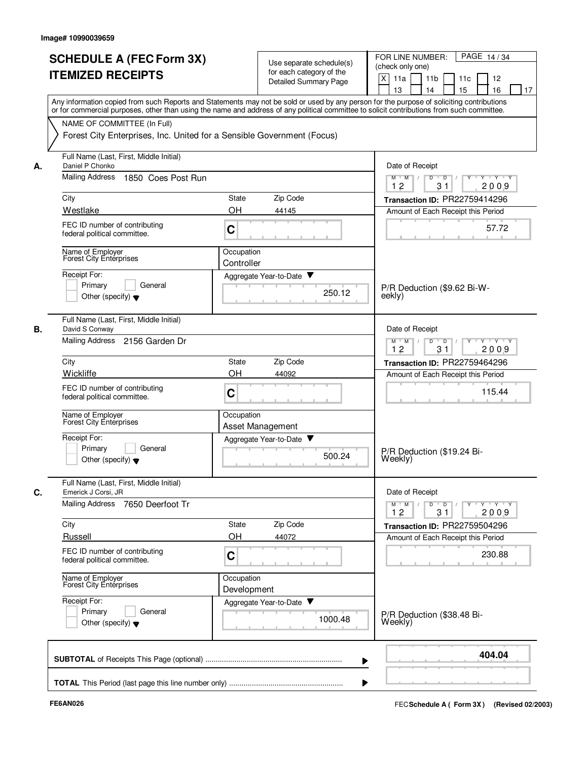|    | <b>SCHEDULE A (FEC Form 3X)</b>                                                                                                                                                                                                                                                         |                           | Use separate schedule(s)    | PAGE 14/34<br>FOR LINE NUMBER:<br>(check only one)                       |
|----|-----------------------------------------------------------------------------------------------------------------------------------------------------------------------------------------------------------------------------------------------------------------------------------------|---------------------------|-----------------------------|--------------------------------------------------------------------------|
|    | <b>ITEMIZED RECEIPTS</b>                                                                                                                                                                                                                                                                |                           | for each category of the    | X<br>11a<br>11 <sub>b</sub><br>11c<br>12                                 |
|    |                                                                                                                                                                                                                                                                                         |                           | Detailed Summary Page       | 13<br>14<br>15<br>16<br>17                                               |
|    | Any information copied from such Reports and Statements may not be sold or used by any person for the purpose of soliciting contributions<br>or for commercial purposes, other than using the name and address of any political committee to solicit contributions from such committee. |                           |                             |                                                                          |
|    | NAME OF COMMITTEE (In Full)                                                                                                                                                                                                                                                             |                           |                             |                                                                          |
|    | Forest City Enterprises, Inc. United for a Sensible Government (Focus)                                                                                                                                                                                                                  |                           |                             |                                                                          |
| А. | Full Name (Last, First, Middle Initial)<br>Daniel P Chonko                                                                                                                                                                                                                              |                           |                             | Date of Receipt                                                          |
|    | Mailing Address<br>1850 Coes Post Run                                                                                                                                                                                                                                                   |                           |                             | $Y - Y - Y$<br>$M$ $M$ /<br>D<br>$\overline{D}$ /<br>12<br>2009<br>31    |
|    | City                                                                                                                                                                                                                                                                                    | State                     | Zip Code                    | Transaction ID: PR22759414296                                            |
|    | Westlake                                                                                                                                                                                                                                                                                | OH                        | 44145                       | Amount of Each Receipt this Period                                       |
|    | FEC ID number of contributing<br>federal political committee.                                                                                                                                                                                                                           | C                         |                             | 57.72                                                                    |
|    | Name of Employer<br>Forest City Enterprises                                                                                                                                                                                                                                             | Occupation<br>Controller  |                             |                                                                          |
|    | Receipt For:                                                                                                                                                                                                                                                                            |                           | Aggregate Year-to-Date ▼    |                                                                          |
|    | Primary<br>General<br>Other (specify) $\blacktriangledown$                                                                                                                                                                                                                              |                           | 250.12                      | P/R Deduction (\$9.62 Bi-W-<br>eekly)                                    |
| В. | Full Name (Last, First, Middle Initial)<br>David S Conway                                                                                                                                                                                                                               |                           |                             | Date of Receipt                                                          |
|    | Mailing Address<br>2156 Garden Dr                                                                                                                                                                                                                                                       |                           |                             | $Y - Y - Y$<br>$M$ M<br>D<br>$\overline{D}$<br>12<br>31<br>2009          |
|    | City                                                                                                                                                                                                                                                                                    | State                     | Zip Code                    | Transaction ID: PR22759464296                                            |
|    | Wickliffe                                                                                                                                                                                                                                                                               | OH                        | 44092                       | Amount of Each Receipt this Period                                       |
|    | FEC ID number of contributing<br>federal political committee.                                                                                                                                                                                                                           | C                         |                             | 115.44                                                                   |
|    | Name of Employer<br>Forest City Enterprises                                                                                                                                                                                                                                             | Occupation                | Asset Management            |                                                                          |
|    | Receipt For:                                                                                                                                                                                                                                                                            |                           | Aggregate Year-to-Date<br>▼ |                                                                          |
|    | Primary<br>General<br>Other (specify) $\blacktriangledown$                                                                                                                                                                                                                              |                           | 500.24                      | P/R Deduction (\$19.24 Bi-<br>Weekly)                                    |
| C. | Full Name (Last, First, Middle Initial)<br>Emerick J Corsi, JR                                                                                                                                                                                                                          |                           |                             | Date of Receipt                                                          |
|    | <b>Mailing Address</b><br>7650 Deerfoot Tr                                                                                                                                                                                                                                              |                           |                             | $Y - Y - Y$<br>$M$ $M$ /<br>D<br>$\overline{D}$<br>Y<br>12<br>31<br>2009 |
|    | City                                                                                                                                                                                                                                                                                    | <b>State</b>              | Zip Code                    | Transaction ID: PR22759504296                                            |
|    | Russell                                                                                                                                                                                                                                                                                 | OH                        | 44072                       | Amount of Each Receipt this Period                                       |
|    | FEC ID number of contributing<br>federal political committee.                                                                                                                                                                                                                           | C                         |                             | 230.88                                                                   |
|    | Name of Employer<br>Forest City Enterprises                                                                                                                                                                                                                                             | Occupation<br>Development |                             |                                                                          |
|    | Receipt For:                                                                                                                                                                                                                                                                            |                           | Aggregate Year-to-Date      |                                                                          |
|    | Primary<br>General<br>Other (specify) $\blacktriangledown$                                                                                                                                                                                                                              |                           | 1000.48                     | P/R Deduction (\$38.48 Bi-<br>Weekly)                                    |
|    |                                                                                                                                                                                                                                                                                         |                           |                             | 404.04                                                                   |
|    |                                                                                                                                                                                                                                                                                         |                           |                             |                                                                          |
|    |                                                                                                                                                                                                                                                                                         |                           |                             |                                                                          |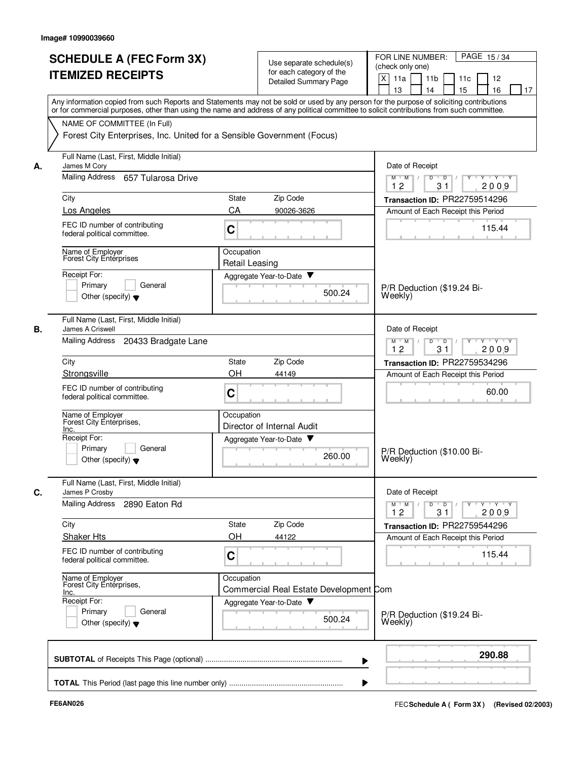|    | <b>SCHEDULE A (FEC Form 3X)</b><br><b>ITEMIZED RECEIPTS</b>                                                                                                                                                                                                                             |                              | Use separate schedule(s)<br>for each category of the<br><b>Detailed Summary Page</b> | PAGE 15/34<br>FOR LINE NUMBER:<br>(check only one)<br>X<br>11a<br>11 <sub>b</sub><br>11c<br>12<br>15<br>13<br>14<br>16<br>17 |
|----|-----------------------------------------------------------------------------------------------------------------------------------------------------------------------------------------------------------------------------------------------------------------------------------------|------------------------------|--------------------------------------------------------------------------------------|------------------------------------------------------------------------------------------------------------------------------|
|    | Any information copied from such Reports and Statements may not be sold or used by any person for the purpose of soliciting contributions<br>or for commercial purposes, other than using the name and address of any political committee to solicit contributions from such committee. |                              |                                                                                      |                                                                                                                              |
|    | NAME OF COMMITTEE (In Full)<br>Forest City Enterprises, Inc. United for a Sensible Government (Focus)                                                                                                                                                                                   |                              |                                                                                      |                                                                                                                              |
| А. | Full Name (Last, First, Middle Initial)<br>James M Cory                                                                                                                                                                                                                                 |                              |                                                                                      | Date of Receipt                                                                                                              |
|    | Mailing Address 657 Tularosa Drive                                                                                                                                                                                                                                                      |                              |                                                                                      | D<br>$\overline{D}$<br>$Y \vdash Y \vdash Y$<br>$M$ $M$ /<br>12<br>31<br>2009                                                |
|    | City                                                                                                                                                                                                                                                                                    | State                        | Zip Code                                                                             | Transaction ID: PR22759514296                                                                                                |
|    | <b>Los Angeles</b>                                                                                                                                                                                                                                                                      | CA                           | 90026-3626                                                                           | Amount of Each Receipt this Period                                                                                           |
|    | FEC ID number of contributing<br>federal political committee.                                                                                                                                                                                                                           | C                            | <b>CONTRACTOR</b>                                                                    | 115.44                                                                                                                       |
|    | Name of Employer<br>Forest City Enterprises                                                                                                                                                                                                                                             | Occupation<br>Retail Leasing |                                                                                      |                                                                                                                              |
|    | Receipt For:<br>Primary<br>General<br>Other (specify) $\blacktriangledown$                                                                                                                                                                                                              |                              | Aggregate Year-to-Date<br>500.24                                                     | P/R Deduction (\$19.24 Bi-<br>Weekly)                                                                                        |
| В. | Full Name (Last, First, Middle Initial)<br>James A Criswell                                                                                                                                                                                                                             |                              |                                                                                      | Date of Receipt                                                                                                              |
|    | Mailing Address 20433 Bradgate Lane                                                                                                                                                                                                                                                     |                              |                                                                                      | $Y + Y + Y$<br>$M$ M<br>D<br>D<br>12<br>31<br>2009                                                                           |
|    | City                                                                                                                                                                                                                                                                                    | <b>State</b>                 | Zip Code                                                                             | Transaction ID: PR22759534296                                                                                                |
|    | Strongsville<br>FEC ID number of contributing<br>federal political committee.                                                                                                                                                                                                           | OH<br>C                      | 44149                                                                                | Amount of Each Receipt this Period<br>60.00                                                                                  |
|    | Name of Employer<br>Forest City Enterprises.                                                                                                                                                                                                                                            | Occupation                   | Director of Internal Audit                                                           |                                                                                                                              |
|    | Inc.<br>Receipt For:<br>Primary<br>General<br>Other (specify) $\blacktriangledown$                                                                                                                                                                                                      |                              | Aggregate Year-to-Date<br>260.00                                                     | P/R Deduction (\$10.00 Bi-<br>Weekly)                                                                                        |
|    | Full Name (Last, First, Middle Initial)<br>James P Crosby                                                                                                                                                                                                                               |                              |                                                                                      | Date of Receipt                                                                                                              |
|    | Mailing Address<br>2890 Eaton Rd                                                                                                                                                                                                                                                        |                              |                                                                                      | $Y - Y - Y - Y$<br>$M$ M<br>D<br>$\overline{D}$<br>12<br>31<br>2009                                                          |
|    | City                                                                                                                                                                                                                                                                                    | State                        | Zip Code                                                                             | Transaction ID: PR22759544296                                                                                                |
|    | <b>Shaker Hts</b><br>FEC ID number of contributing                                                                                                                                                                                                                                      | OH<br>C                      | 44122                                                                                | Amount of Each Receipt this Period<br>115.44                                                                                 |
|    | federal political committee.<br>Name of Employer<br>Forest City Enterprises,                                                                                                                                                                                                            | Occupation                   |                                                                                      |                                                                                                                              |
|    | Inc.<br>Receipt For:<br>Primary<br>General<br>Other (specify) $\blacktriangledown$                                                                                                                                                                                                      |                              | Commercial Real Estate Development Com<br>Aggregate Year-to-Date<br>500.24           | P/R Deduction (\$19.24 Bi-<br>Weekly)                                                                                        |
|    |                                                                                                                                                                                                                                                                                         |                              |                                                                                      | 290.88                                                                                                                       |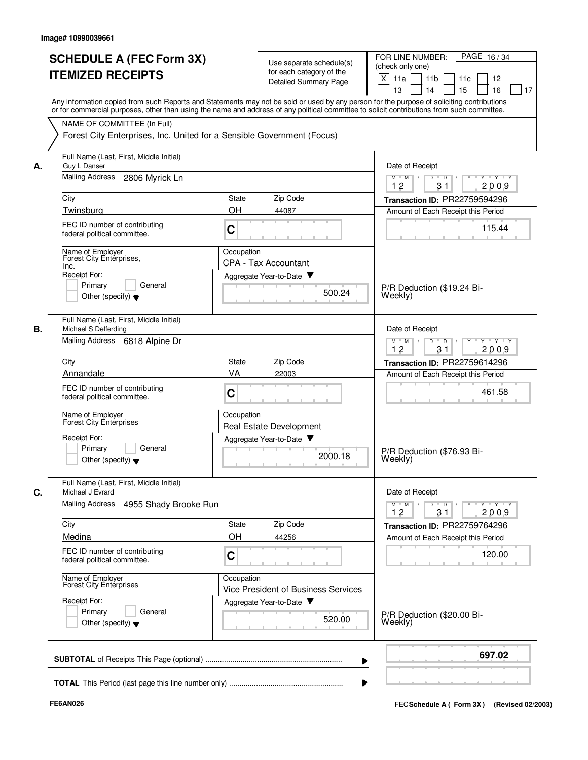|    | <b>SCHEDULE A (FEC Form 3X)</b><br><b>ITEMIZED RECEIPTS</b>                                           | Use separate schedule(s)<br>for each category of the<br><b>Detailed Summary Page</b>                                                                                                                                                                                                    | PAGE 16/34<br>FOR LINE NUMBER:<br>(check only one)<br>$\mathsf{X}$<br>11a<br>11 <sub>b</sub><br>11c<br>12<br>13<br>14<br>15<br>16<br>17 |
|----|-------------------------------------------------------------------------------------------------------|-----------------------------------------------------------------------------------------------------------------------------------------------------------------------------------------------------------------------------------------------------------------------------------------|-----------------------------------------------------------------------------------------------------------------------------------------|
|    |                                                                                                       | Any information copied from such Reports and Statements may not be sold or used by any person for the purpose of soliciting contributions<br>or for commercial purposes, other than using the name and address of any political committee to solicit contributions from such committee. |                                                                                                                                         |
|    | NAME OF COMMITTEE (In Full)<br>Forest City Enterprises, Inc. United for a Sensible Government (Focus) |                                                                                                                                                                                                                                                                                         |                                                                                                                                         |
| А. | Full Name (Last, First, Middle Initial)<br>Guy L Danser                                               |                                                                                                                                                                                                                                                                                         | Date of Receipt                                                                                                                         |
|    | Mailing Address<br>2806 Myrick Ln                                                                     |                                                                                                                                                                                                                                                                                         | $Y - Y - Y$<br>$M$ $M$ /<br>D<br>$\overline{D}$<br>12<br>31<br>2009                                                                     |
|    | City                                                                                                  | Zip Code<br><b>State</b>                                                                                                                                                                                                                                                                | Transaction ID: PR22759594296                                                                                                           |
|    | Twinsburg                                                                                             | OH<br>44087                                                                                                                                                                                                                                                                             | Amount of Each Receipt this Period                                                                                                      |
|    | FEC ID number of contributing<br>federal political committee.                                         | C                                                                                                                                                                                                                                                                                       | 115.44                                                                                                                                  |
|    | Name of Employer<br>Forest City Enterprises,<br>Inc.                                                  | Occupation<br><b>CPA - Tax Accountant</b>                                                                                                                                                                                                                                               |                                                                                                                                         |
|    | Receipt For:                                                                                          | Aggregate Year-to-Date                                                                                                                                                                                                                                                                  |                                                                                                                                         |
|    | General<br>Primary<br>Other (specify) $\blacktriangledown$                                            | 500.24                                                                                                                                                                                                                                                                                  | P/R Deduction (\$19.24 Bi-<br>Weekly)                                                                                                   |
| В. | Full Name (Last, First, Middle Initial)<br>Michael S Defferding                                       |                                                                                                                                                                                                                                                                                         | Date of Receipt                                                                                                                         |
|    | Mailing Address 6818 Alpine Dr                                                                        |                                                                                                                                                                                                                                                                                         | D<br>$\overline{D}$<br>Y 'Y 'Y<br>$M$ M<br>12<br>31<br>2009                                                                             |
|    | City                                                                                                  | Zip Code<br><b>State</b>                                                                                                                                                                                                                                                                | Transaction ID: PR22759614296                                                                                                           |
|    | Annandale                                                                                             | VA<br>22003                                                                                                                                                                                                                                                                             | Amount of Each Receipt this Period                                                                                                      |
|    | FEC ID number of contributing<br>federal political committee.                                         | C                                                                                                                                                                                                                                                                                       | 461.58                                                                                                                                  |
|    | Name of Employer<br>Forest City Enterprises                                                           | Occupation<br>Real Estate Development                                                                                                                                                                                                                                                   |                                                                                                                                         |
|    | Receipt For:                                                                                          | Aggregate Year-to-Date                                                                                                                                                                                                                                                                  |                                                                                                                                         |
|    | Primary<br>General<br>Other (specify) $\blacktriangledown$                                            | 2000.18                                                                                                                                                                                                                                                                                 | P/R Deduction (\$76.93 Bi-<br>Weekly)                                                                                                   |
| C. | Full Name (Last, First, Middle Initial)<br>Michael J Evrard                                           |                                                                                                                                                                                                                                                                                         | Date of Receipt                                                                                                                         |
|    | Mailing Address<br>4955 Shady Brooke Run                                                              |                                                                                                                                                                                                                                                                                         | $D \quad D \quad / \quad \Gamma Y \quad Y \quad Y \quad Y \quad Y$<br>$M$ $M$ /<br>12<br>2009<br>31                                     |
|    | City                                                                                                  | State<br>Zip Code                                                                                                                                                                                                                                                                       | Transaction ID: PR22759764296                                                                                                           |
|    | Medina                                                                                                | OН<br>44256                                                                                                                                                                                                                                                                             | Amount of Each Receipt this Period                                                                                                      |
|    | FEC ID number of contributing<br>federal political committee.                                         | C                                                                                                                                                                                                                                                                                       | 120.00                                                                                                                                  |
|    | Name of Employer<br>Forest City Entérprises                                                           | Occupation<br>Vice President of Business Services                                                                                                                                                                                                                                       |                                                                                                                                         |
|    | Receipt For:<br>Primary<br>General                                                                    | Aggregate Year-to-Date                                                                                                                                                                                                                                                                  |                                                                                                                                         |
|    | Other (specify) $\blacktriangledown$                                                                  | 520.00                                                                                                                                                                                                                                                                                  | P/R Deduction (\$20.00 Bi-<br>Weekly)                                                                                                   |
|    |                                                                                                       |                                                                                                                                                                                                                                                                                         | 697.02                                                                                                                                  |
|    |                                                                                                       | ▶                                                                                                                                                                                                                                                                                       |                                                                                                                                         |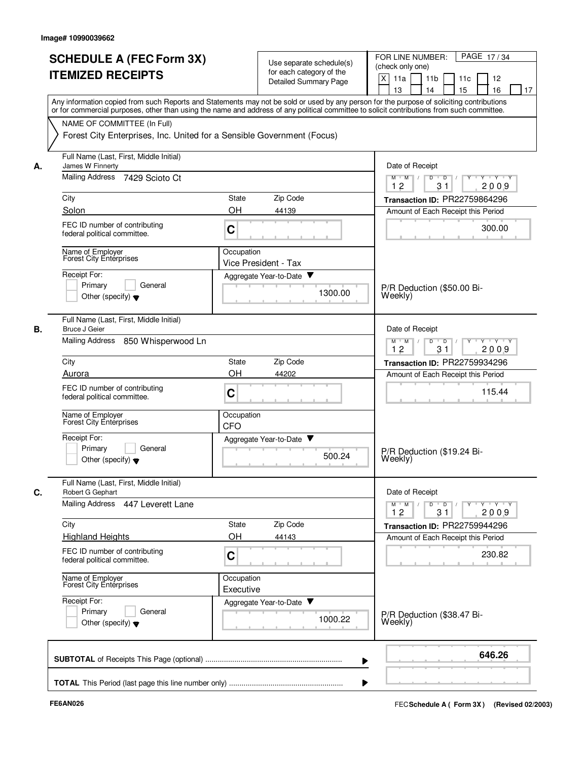|    | <b>SCHEDULE A (FEC Form 3X)</b><br><b>ITEMIZED RECEIPTS</b><br>Any information copied from such Reports and Statements may not be sold or used by any person for the purpose of soliciting contributions<br>or for commercial purposes, other than using the name and address of any political committee to solicit contributions from such committee. | Use separate schedule(s)<br>for each category of the<br>Detailed Summary Page | PAGE 17/34<br>FOR LINE NUMBER:<br>(check only one)<br>$\times$<br>11a<br>11 <sub>b</sub><br>11c<br>12<br>15<br>13<br>14<br>16<br>17 |
|----|--------------------------------------------------------------------------------------------------------------------------------------------------------------------------------------------------------------------------------------------------------------------------------------------------------------------------------------------------------|-------------------------------------------------------------------------------|-------------------------------------------------------------------------------------------------------------------------------------|
|    | NAME OF COMMITTEE (In Full)<br>Forest City Enterprises, Inc. United for a Sensible Government (Focus)                                                                                                                                                                                                                                                  |                                                                               |                                                                                                                                     |
| А. | Full Name (Last, First, Middle Initial)<br>James W Finnerty                                                                                                                                                                                                                                                                                            |                                                                               | Date of Receipt                                                                                                                     |
|    | Mailing Address 7429 Scioto Ct                                                                                                                                                                                                                                                                                                                         |                                                                               | Y Y Y Y<br>$M$ $M$ /<br>D<br>$\overline{D}$ /<br>$Y$ <sup><math>\top</math></sup><br>31<br>2009<br>12                               |
|    | City                                                                                                                                                                                                                                                                                                                                                   | Zip Code<br><b>State</b>                                                      | Transaction ID: PR22759864296                                                                                                       |
|    | Solon                                                                                                                                                                                                                                                                                                                                                  | OH<br>44139                                                                   | Amount of Each Receipt this Period                                                                                                  |
|    | FEC ID number of contributing<br>federal political committee.                                                                                                                                                                                                                                                                                          | C                                                                             | 300.00                                                                                                                              |
|    | Name of Employer<br>Forest City Entérprises                                                                                                                                                                                                                                                                                                            | Occupation<br>Vice President - Tax                                            |                                                                                                                                     |
|    | Receipt For:                                                                                                                                                                                                                                                                                                                                           | Aggregate Year-to-Date                                                        |                                                                                                                                     |
|    | General<br>Primary<br>Other (specify) $\blacktriangledown$                                                                                                                                                                                                                                                                                             | 1300.00                                                                       | P/R Deduction (\$50.00 Bi-<br>Weekly)                                                                                               |
| В. | Full Name (Last, First, Middle Initial)<br><b>Bruce J Geier</b>                                                                                                                                                                                                                                                                                        |                                                                               | Date of Receipt                                                                                                                     |
|    | Mailing Address<br>850 Whisperwood Ln                                                                                                                                                                                                                                                                                                                  |                                                                               | D<br>$\overline{D}$<br>$Y - Y - Y$<br>$M$ M<br>12<br>31<br>2009                                                                     |
|    | City                                                                                                                                                                                                                                                                                                                                                   | Zip Code<br><b>State</b>                                                      | Transaction ID: PR22759934296                                                                                                       |
|    | Aurora                                                                                                                                                                                                                                                                                                                                                 | OH<br>44202                                                                   | Amount of Each Receipt this Period                                                                                                  |
|    | FEC ID number of contributing<br>federal political committee.                                                                                                                                                                                                                                                                                          | C                                                                             | 115.44                                                                                                                              |
|    | Name of Employer<br><b>Forest City Enterprises</b>                                                                                                                                                                                                                                                                                                     | Occupation<br>CFO                                                             |                                                                                                                                     |
|    | Receipt For:<br>Primary<br>General<br>Other (specify) $\blacktriangledown$                                                                                                                                                                                                                                                                             | Aggregate Year-to-Date ▼<br>500.24                                            | P/R Deduction (\$19.24 Bi-<br>Weekly)                                                                                               |
| C. | Full Name (Last, First, Middle Initial)<br>Robert G Gephart                                                                                                                                                                                                                                                                                            |                                                                               | Date of Receipt                                                                                                                     |
|    | Mailing Address 447 Leverett Lane                                                                                                                                                                                                                                                                                                                      |                                                                               | $Y$ $Y$ $Y$<br>$\overline{D}$<br>$M$ M<br>D<br>Y<br>31<br>2009<br>12                                                                |
|    | City                                                                                                                                                                                                                                                                                                                                                   | Zip Code<br>State                                                             | Transaction ID: PR22759944296                                                                                                       |
|    | <b>Highland Heights</b>                                                                                                                                                                                                                                                                                                                                | OН<br>44143                                                                   | Amount of Each Receipt this Period                                                                                                  |
|    | FEC ID number of contributing<br>federal political committee.                                                                                                                                                                                                                                                                                          | C                                                                             | 230.82                                                                                                                              |
|    | Name of Employer<br>Forest City Enterprises                                                                                                                                                                                                                                                                                                            | Occupation<br>Executive                                                       |                                                                                                                                     |
|    | Receipt For:<br>Primary<br>General<br>Other (specify) $\blacktriangledown$                                                                                                                                                                                                                                                                             | Aggregate Year-to-Date<br>1000.22                                             | P/R Deduction (\$38.47 Bi-<br>Weekly)                                                                                               |
|    |                                                                                                                                                                                                                                                                                                                                                        |                                                                               | 646.26                                                                                                                              |
|    |                                                                                                                                                                                                                                                                                                                                                        |                                                                               |                                                                                                                                     |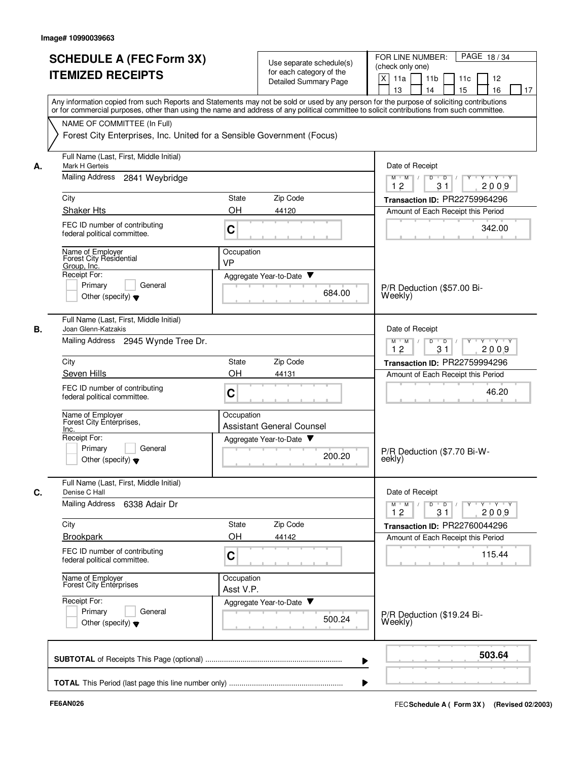|    | <b>SCHEDULE A (FEC Form 3X)</b>                                                                                                                                                                                                                                                         |                                                                     | Use separate schedule(s)         | FOR LINE NUMBER:<br>PAGE 18/34<br>(check only one)      |
|----|-----------------------------------------------------------------------------------------------------------------------------------------------------------------------------------------------------------------------------------------------------------------------------------------|---------------------------------------------------------------------|----------------------------------|---------------------------------------------------------|
|    | <b>ITEMIZED RECEIPTS</b>                                                                                                                                                                                                                                                                |                                                                     | for each category of the         |                                                         |
|    |                                                                                                                                                                                                                                                                                         |                                                                     | <b>Detailed Summary Page</b>     | $\mathsf{X}$<br>11a<br>11 <sub>b</sub><br>11c<br>12     |
|    |                                                                                                                                                                                                                                                                                         |                                                                     |                                  | 14<br>15<br>16<br>13<br>17                              |
|    | Any information copied from such Reports and Statements may not be sold or used by any person for the purpose of soliciting contributions<br>or for commercial purposes, other than using the name and address of any political committee to solicit contributions from such committee. |                                                                     |                                  |                                                         |
|    | NAME OF COMMITTEE (In Full)                                                                                                                                                                                                                                                             |                                                                     |                                  |                                                         |
|    | Forest City Enterprises, Inc. United for a Sensible Government (Focus)                                                                                                                                                                                                                  |                                                                     |                                  |                                                         |
|    |                                                                                                                                                                                                                                                                                         |                                                                     |                                  |                                                         |
| А. | Full Name (Last, First, Middle Initial)<br>Mark H Gerteis                                                                                                                                                                                                                               |                                                                     |                                  | Date of Receipt                                         |
|    | Mailing Address<br>2841 Weybridge                                                                                                                                                                                                                                                       | $Y - Y - Y$<br>$M$ $M$ /<br>D<br>$\overline{D}$<br>12<br>31<br>2009 |                                  |                                                         |
|    | City                                                                                                                                                                                                                                                                                    | <b>State</b>                                                        | Zip Code                         | Transaction ID: PR22759964296                           |
|    | <b>Shaker Hts</b>                                                                                                                                                                                                                                                                       | OH                                                                  | 44120                            |                                                         |
|    |                                                                                                                                                                                                                                                                                         |                                                                     |                                  | Amount of Each Receipt this Period                      |
|    | FEC ID number of contributing<br>federal political committee.                                                                                                                                                                                                                           | C                                                                   |                                  | 342.00                                                  |
|    | Name of Employer<br>Forest City Residential                                                                                                                                                                                                                                             | Occupation                                                          |                                  |                                                         |
|    | Group, Inc.                                                                                                                                                                                                                                                                             | VP                                                                  |                                  |                                                         |
|    | Receipt For:                                                                                                                                                                                                                                                                            |                                                                     | Aggregate Year-to-Date ▼         |                                                         |
|    | General<br>Primary                                                                                                                                                                                                                                                                      |                                                                     | 684.00                           | P/R Deduction (\$57.00 Bi-                              |
|    | Other (specify) $\blacktriangledown$                                                                                                                                                                                                                                                    |                                                                     |                                  | Weekly)                                                 |
| В. | Full Name (Last, First, Middle Initial)<br>Joan Glenn-Katzakis                                                                                                                                                                                                                          |                                                                     |                                  | Date of Receipt                                         |
|    | Mailing Address 2945 Wynde Tree Dr.                                                                                                                                                                                                                                                     |                                                                     |                                  | D<br>$\overline{D}$<br>Y 'Y 'Y<br>$M$ M                 |
|    |                                                                                                                                                                                                                                                                                         |                                                                     |                                  | 12<br>31<br>2009                                        |
|    | City                                                                                                                                                                                                                                                                                    | <b>State</b>                                                        | Zip Code                         | Transaction ID: PR22759994296                           |
|    | Seven Hills                                                                                                                                                                                                                                                                             | OH                                                                  | 44131                            | Amount of Each Receipt this Period                      |
|    | FEC ID number of contributing                                                                                                                                                                                                                                                           | C                                                                   |                                  | 46.20                                                   |
|    | federal political committee.                                                                                                                                                                                                                                                            |                                                                     |                                  |                                                         |
|    |                                                                                                                                                                                                                                                                                         | Occupation                                                          |                                  |                                                         |
|    | Name of Employer<br>Forest City Enterprises,<br>Inc.                                                                                                                                                                                                                                    |                                                                     | <b>Assistant General Counsel</b> |                                                         |
|    | Receipt For:                                                                                                                                                                                                                                                                            |                                                                     | Aggregate Year-to-Date           |                                                         |
|    | Primary<br>General                                                                                                                                                                                                                                                                      |                                                                     |                                  | P/R Deduction (\$7.70 Bi-W-                             |
|    | Other (specify) $\blacktriangledown$                                                                                                                                                                                                                                                    |                                                                     | 200.20                           | eekly)                                                  |
| C. | Full Name (Last, First, Middle Initial)<br>Denise C Hall                                                                                                                                                                                                                                |                                                                     |                                  | Date of Receipt                                         |
|    | Mailing Address 6338 Adair Dr                                                                                                                                                                                                                                                           |                                                                     |                                  | $Y + Y + Y$<br>$M^+$ M<br>$D$ $D$ $/$<br>$\overline{Y}$ |
|    |                                                                                                                                                                                                                                                                                         |                                                                     |                                  | 12<br>31<br>2009                                        |
|    | City                                                                                                                                                                                                                                                                                    | State                                                               | Zip Code                         | Transaction ID: PR22760044296                           |
|    | <b>Brookpark</b>                                                                                                                                                                                                                                                                        | OН                                                                  | 44142                            | Amount of Each Receipt this Period                      |
|    | FEC ID number of contributing                                                                                                                                                                                                                                                           |                                                                     |                                  | 115.44                                                  |
|    | federal political committee.                                                                                                                                                                                                                                                            | C                                                                   |                                  |                                                         |
|    | Name of Employer<br>Forest City Enterprises                                                                                                                                                                                                                                             | Occupation                                                          |                                  |                                                         |
|    |                                                                                                                                                                                                                                                                                         | Asst V.P.                                                           |                                  |                                                         |
|    | Receipt For:                                                                                                                                                                                                                                                                            |                                                                     | Aggregate Year-to-Date           |                                                         |
|    | Primary<br>General                                                                                                                                                                                                                                                                      |                                                                     | 500.24                           | P/R Deduction (\$19.24 Bi-                              |
|    | Other (specify) $\blacktriangledown$                                                                                                                                                                                                                                                    |                                                                     |                                  | Weekly)                                                 |
|    |                                                                                                                                                                                                                                                                                         |                                                                     |                                  |                                                         |
|    |                                                                                                                                                                                                                                                                                         |                                                                     |                                  | 503.64                                                  |
|    |                                                                                                                                                                                                                                                                                         |                                                                     |                                  |                                                         |
|    |                                                                                                                                                                                                                                                                                         |                                                                     |                                  |                                                         |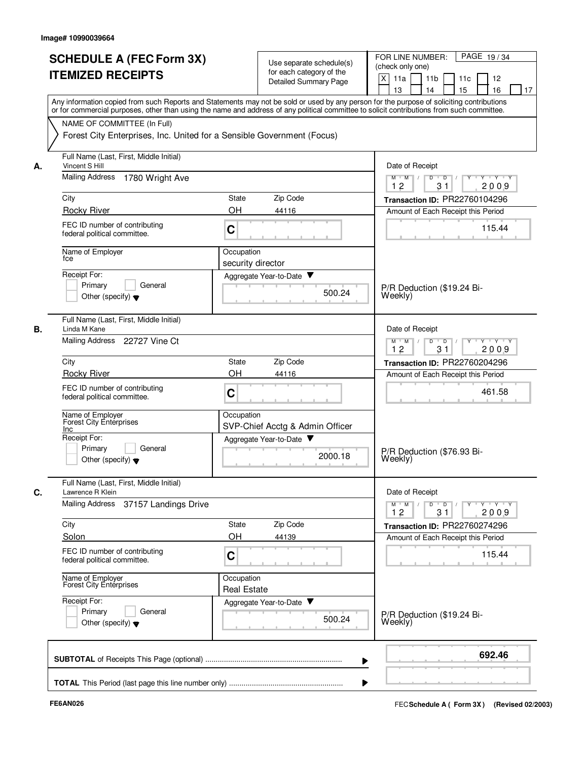|    | <b>SCHEDULE A (FEC Form 3X)</b><br><b>ITEMIZED RECEIPTS</b><br>Any information copied from such Reports and Statements may not be sold or used by any person for the purpose of soliciting contributions | Use separate schedule(s)<br>for each category of the<br>Detailed Summary Page | FOR LINE NUMBER:<br>PAGE 19/34<br>(check only one)<br>$\times$<br>11a<br>11 <sub>b</sub><br>11c<br>12<br>13<br>14<br>15<br>16<br>17 |
|----|----------------------------------------------------------------------------------------------------------------------------------------------------------------------------------------------------------|-------------------------------------------------------------------------------|-------------------------------------------------------------------------------------------------------------------------------------|
|    | or for commercial purposes, other than using the name and address of any political committee to solicit contributions from such committee.                                                               |                                                                               |                                                                                                                                     |
|    | NAME OF COMMITTEE (In Full)<br>Forest City Enterprises, Inc. United for a Sensible Government (Focus)                                                                                                    |                                                                               |                                                                                                                                     |
| А. | Full Name (Last, First, Middle Initial)<br>Vincent S Hill                                                                                                                                                |                                                                               | Date of Receipt                                                                                                                     |
|    | Mailing Address<br>1780 Wright Ave                                                                                                                                                                       |                                                                               | $Y - Y - Y$<br>$M$ $M$ /<br>D<br>$\overline{\phantom{0}}$<br>12<br>31<br>2009                                                       |
|    | City                                                                                                                                                                                                     | Zip Code<br><b>State</b>                                                      | Transaction ID: PR22760104296                                                                                                       |
|    | <b>Rocky River</b>                                                                                                                                                                                       | OH<br>44116                                                                   | Amount of Each Receipt this Period                                                                                                  |
|    | FEC ID number of contributing<br>federal political committee.                                                                                                                                            | C                                                                             | 115.44                                                                                                                              |
|    | Name of Employer<br>tce                                                                                                                                                                                  | Occupation<br>security director                                               |                                                                                                                                     |
|    | Receipt For:                                                                                                                                                                                             | Aggregate Year-to-Date                                                        |                                                                                                                                     |
|    | Primary<br>General<br>Other (specify) $\blacktriangledown$                                                                                                                                               | 500.24                                                                        | P/R Deduction (\$19.24 Bi-<br>Weekly)                                                                                               |
| В. | Full Name (Last, First, Middle Initial)<br>Linda M Kane                                                                                                                                                  |                                                                               | Date of Receipt                                                                                                                     |
|    | Mailing Address 22727 Vine Ct                                                                                                                                                                            |                                                                               | D<br>$Y - Y - Y$<br>$M$ M<br>$\overline{D}$<br>$\sqrt{ }$<br>$\sqrt{ }$<br>12<br>31<br>2009                                         |
|    | City                                                                                                                                                                                                     | Zip Code<br><b>State</b>                                                      | Transaction ID: PR22760204296                                                                                                       |
|    | <b>Rocky River</b>                                                                                                                                                                                       | OH<br>44116                                                                   | Amount of Each Receipt this Period                                                                                                  |
|    | FEC ID number of contributing<br>federal political committee.                                                                                                                                            | C                                                                             | 461.58                                                                                                                              |
|    | Name of Employer<br>Forest City Enterprises<br><b>Inc</b>                                                                                                                                                | Occupation<br>SVP-Chief Acctg & Admin Officer                                 |                                                                                                                                     |
|    | Receipt For:<br>Primary<br>General                                                                                                                                                                       | Aggregate Year-to-Date                                                        |                                                                                                                                     |
|    | Other (specify) $\blacktriangledown$                                                                                                                                                                     | 2000.18                                                                       | P/R Deduction (\$76.93 Bi-<br>Weekly)                                                                                               |
| C. | Full Name (Last, First, Middle Initial)<br>Lawrence R Klein                                                                                                                                              |                                                                               | Date of Receipt                                                                                                                     |
|    | Mailing Address<br>37157 Landings Drive                                                                                                                                                                  |                                                                               | $Y - Y - Y$<br>$M$ $M$<br>$D$ $D$ $/$<br>$Y^+$<br>12<br>31<br>2009                                                                  |
|    | City                                                                                                                                                                                                     | State<br>Zip Code                                                             | Transaction ID: PR22760274296                                                                                                       |
|    | Solon                                                                                                                                                                                                    | OH<br>44139                                                                   | Amount of Each Receipt this Period                                                                                                  |
|    | FEC ID number of contributing<br>federal political committee.                                                                                                                                            | C                                                                             | 115.44                                                                                                                              |
|    | Name of Employer<br>Forest City Enterprises                                                                                                                                                              | Occupation<br><b>Real Estate</b>                                              |                                                                                                                                     |
|    | Receipt For:<br>Primary<br>General<br>Other (specify) $\blacktriangledown$                                                                                                                               | Aggregate Year-to-Date<br>500.24                                              | P/R Deduction (\$19.24 Bi-<br>Weekly)                                                                                               |
|    |                                                                                                                                                                                                          |                                                                               | 692.46                                                                                                                              |
|    |                                                                                                                                                                                                          |                                                                               |                                                                                                                                     |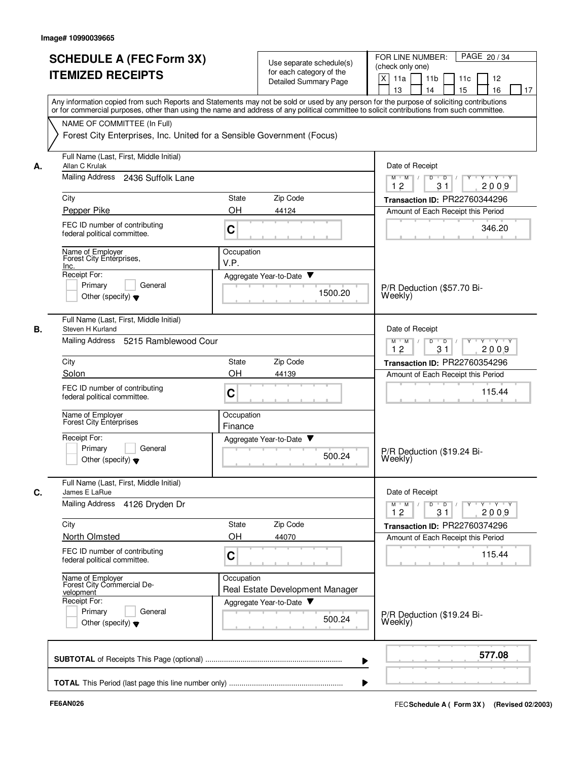|    | <b>SCHEDULE A (FEC Form 3X)</b><br><b>ITEMIZED RECEIPTS</b>                                           | Use separate schedule(s)<br>for each category of the<br>Detailed Summary Page                                                                                                                                                                                                           | FOR LINE NUMBER:<br>PAGE 20/34<br>(check only one)<br>$\times$<br>11a<br>11 <sub>b</sub><br>11c<br>12<br>13<br>14<br>15<br>16<br>17 |
|----|-------------------------------------------------------------------------------------------------------|-----------------------------------------------------------------------------------------------------------------------------------------------------------------------------------------------------------------------------------------------------------------------------------------|-------------------------------------------------------------------------------------------------------------------------------------|
|    |                                                                                                       | Any information copied from such Reports and Statements may not be sold or used by any person for the purpose of soliciting contributions<br>or for commercial purposes, other than using the name and address of any political committee to solicit contributions from such committee. |                                                                                                                                     |
|    | NAME OF COMMITTEE (In Full)<br>Forest City Enterprises, Inc. United for a Sensible Government (Focus) |                                                                                                                                                                                                                                                                                         |                                                                                                                                     |
|    | Full Name (Last, First, Middle Initial)                                                               |                                                                                                                                                                                                                                                                                         |                                                                                                                                     |
| А. | Allan C Krulak                                                                                        |                                                                                                                                                                                                                                                                                         | Date of Receipt                                                                                                                     |
|    | Mailing Address 2436 Suffolk Lane                                                                     |                                                                                                                                                                                                                                                                                         | $\overline{D}$<br>Y Y Y Y Y Y<br>$M$ $M$ /<br>$\overline{D}$<br>12<br>31<br>2009                                                    |
|    | City                                                                                                  | Zip Code<br>State                                                                                                                                                                                                                                                                       | Transaction ID: PR22760344296                                                                                                       |
|    | Pepper Pike                                                                                           | OH<br>44124                                                                                                                                                                                                                                                                             | Amount of Each Receipt this Period                                                                                                  |
|    | FEC ID number of contributing<br>federal political committee.                                         | C                                                                                                                                                                                                                                                                                       | 346.20                                                                                                                              |
|    | Name of Employer<br>Forest City Enterprises,<br>Inc.                                                  | Occupation<br>V.P.                                                                                                                                                                                                                                                                      |                                                                                                                                     |
|    | Receipt For:                                                                                          | Aggregate Year-to-Date ▼                                                                                                                                                                                                                                                                |                                                                                                                                     |
|    | Primary<br>General<br>Other (specify) $\blacktriangledown$                                            | 1500.20                                                                                                                                                                                                                                                                                 | P/R Deduction (\$57.70 Bi-<br>Weekly)                                                                                               |
| В. | Full Name (Last, First, Middle Initial)<br>Steven H Kurland                                           |                                                                                                                                                                                                                                                                                         | Date of Receipt                                                                                                                     |
|    | Mailing Address<br>5215 Ramblewood Cour                                                               |                                                                                                                                                                                                                                                                                         | $Y - Y - Y$<br>$M$ $M$<br>D<br>$\overline{D}$<br>12<br>31<br>2009                                                                   |
|    | City                                                                                                  | <b>State</b><br>Zip Code                                                                                                                                                                                                                                                                | Transaction ID: PR22760354296                                                                                                       |
|    | Solon                                                                                                 | OH<br>44139                                                                                                                                                                                                                                                                             | Amount of Each Receipt this Period                                                                                                  |
|    | FEC ID number of contributing<br>federal political committee.                                         | C                                                                                                                                                                                                                                                                                       | 115.44                                                                                                                              |
|    | Name of Employer<br><b>Forest City Enterprises</b>                                                    | Occupation<br>Finance                                                                                                                                                                                                                                                                   |                                                                                                                                     |
|    | Receipt For:                                                                                          | v<br>Aggregate Year-to-Date                                                                                                                                                                                                                                                             |                                                                                                                                     |
|    | Primary<br>General<br>Other (specify) $\blacktriangledown$                                            | 500.24                                                                                                                                                                                                                                                                                  | P/R Deduction (\$19.24 Bi-<br>Weekly)                                                                                               |
| C. | Full Name (Last, First, Middle Initial)<br>James E LaRue                                              |                                                                                                                                                                                                                                                                                         | Date of Receipt                                                                                                                     |
|    | Mailing Address 4126 Dryden Dr                                                                        |                                                                                                                                                                                                                                                                                         | $Y + Y + Y$<br>$M$ $M$ /<br>D<br>$\overline{D}$<br>Y<br>31<br>2009<br>12                                                            |
|    | City                                                                                                  | Zip Code<br><b>State</b>                                                                                                                                                                                                                                                                | Transaction ID: PR22760374296                                                                                                       |
|    | North Olmsted                                                                                         | OH<br>44070                                                                                                                                                                                                                                                                             | Amount of Each Receipt this Period                                                                                                  |
|    | FEC ID number of contributing<br>federal political committee.                                         | C                                                                                                                                                                                                                                                                                       | 115.44                                                                                                                              |
|    | Name of Employer<br>Forest City Commercial De-<br>velopment                                           | Occupation<br>Real Estate Development Manager                                                                                                                                                                                                                                           |                                                                                                                                     |
|    | Receipt For:<br>Primary<br>General<br>Other (specify) $\blacktriangledown$                            | Aggregate Year-to-Date<br>500.24                                                                                                                                                                                                                                                        | P/R Deduction (\$19.24 Bi-<br>Weekly)                                                                                               |
|    |                                                                                                       |                                                                                                                                                                                                                                                                                         | 577.08                                                                                                                              |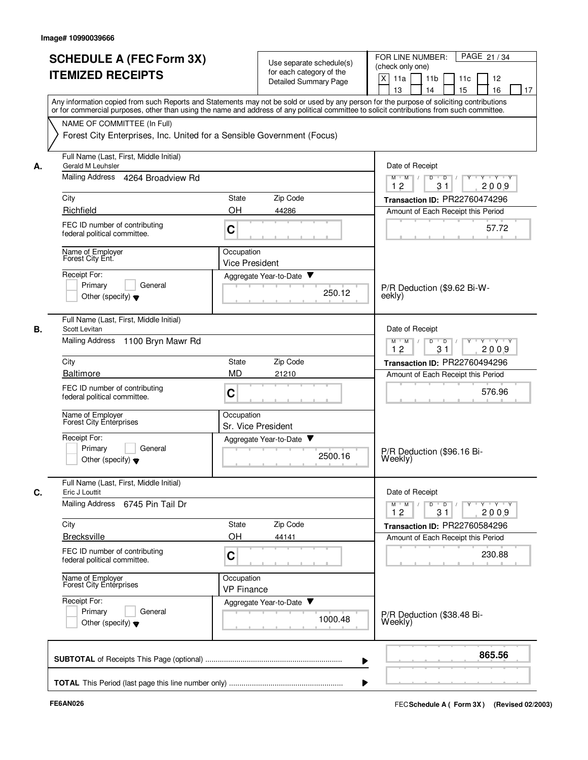|    | <b>SCHEDULE A (FEC Form 3X)</b><br><b>ITEMIZED RECEIPTS</b>                | Use separate schedule(s)<br>for each category of the<br><b>Detailed Summary Page</b>                                                                                                                                                                                                    | PAGE 21/34<br>FOR LINE NUMBER:<br>(check only one)<br>$\times$<br>11a<br>11 <sub>b</sub><br>11c<br>12<br>13<br>14<br>15<br>16<br>17 |
|----|----------------------------------------------------------------------------|-----------------------------------------------------------------------------------------------------------------------------------------------------------------------------------------------------------------------------------------------------------------------------------------|-------------------------------------------------------------------------------------------------------------------------------------|
|    | NAME OF COMMITTEE (In Full)                                                | Any information copied from such Reports and Statements may not be sold or used by any person for the purpose of soliciting contributions<br>or for commercial purposes, other than using the name and address of any political committee to solicit contributions from such committee. |                                                                                                                                     |
|    | Forest City Enterprises, Inc. United for a Sensible Government (Focus)     |                                                                                                                                                                                                                                                                                         |                                                                                                                                     |
| А. | Full Name (Last, First, Middle Initial)<br>Gerald M Leuhsler               |                                                                                                                                                                                                                                                                                         | Date of Receipt                                                                                                                     |
|    | Mailing Address 4264 Broadview Rd                                          |                                                                                                                                                                                                                                                                                         | $\overline{D}$<br>Y Y Y Y Y Y<br>$M$ $M$ /<br>$\overline{D}$<br>12<br>31<br>2009                                                    |
|    | City                                                                       | Zip Code<br>State                                                                                                                                                                                                                                                                       | Transaction ID: PR22760474296                                                                                                       |
|    | Richfield                                                                  | OH<br>44286                                                                                                                                                                                                                                                                             | Amount of Each Receipt this Period                                                                                                  |
|    | FEC ID number of contributing<br>federal political committee.              | C                                                                                                                                                                                                                                                                                       | 57.72                                                                                                                               |
|    | Name of Employer<br>Forest City Ent.                                       | Occupation<br><b>Vice President</b>                                                                                                                                                                                                                                                     |                                                                                                                                     |
|    | Receipt For:                                                               | Aggregate Year-to-Date                                                                                                                                                                                                                                                                  |                                                                                                                                     |
|    | Primary<br>General<br>Other (specify) $\blacktriangledown$                 | 250.12                                                                                                                                                                                                                                                                                  | P/R Deduction (\$9.62 Bi-W-<br>eekly)                                                                                               |
| В. | Full Name (Last, First, Middle Initial)<br>Scott Levitan                   |                                                                                                                                                                                                                                                                                         | Date of Receipt                                                                                                                     |
|    | Mailing Address 1100 Bryn Mawr Rd                                          |                                                                                                                                                                                                                                                                                         | $Y + Y + Y$<br>$M$ $M$<br>D<br>$\overline{D}$<br>12<br>31<br>2009                                                                   |
|    | City                                                                       | Zip Code<br><b>State</b>                                                                                                                                                                                                                                                                | Transaction ID: PR22760494296                                                                                                       |
|    | <b>Baltimore</b>                                                           | <b>MD</b><br>21210                                                                                                                                                                                                                                                                      | Amount of Each Receipt this Period                                                                                                  |
|    | FEC ID number of contributing<br>federal political committee.              | C                                                                                                                                                                                                                                                                                       | 576.96                                                                                                                              |
|    | Name of Employer<br><b>Forest City Enterprises</b>                         | Occupation<br>Sr. Vice President                                                                                                                                                                                                                                                        |                                                                                                                                     |
|    | Receipt For:                                                               | Aggregate Year-to-Date<br>▼                                                                                                                                                                                                                                                             |                                                                                                                                     |
|    | Primary<br>General<br>Other (specify) $\blacktriangledown$                 | 2500.16                                                                                                                                                                                                                                                                                 | P/R Deduction (\$96.16 Bi-<br>Weekly)                                                                                               |
| C. | Full Name (Last, First, Middle Initial)<br>Eric J Louttit                  |                                                                                                                                                                                                                                                                                         | Date of Receipt                                                                                                                     |
|    | Mailing Address 6745 Pin Tail Dr                                           |                                                                                                                                                                                                                                                                                         | $Y + Y + Y$<br>$M$ $M$ /<br>D<br>$\overline{D}$<br>Y<br>31<br>2009<br>12                                                            |
|    | City                                                                       | Zip Code<br>State                                                                                                                                                                                                                                                                       | Transaction ID: PR22760584296                                                                                                       |
|    | <b>Brecksville</b>                                                         | OH<br>44141                                                                                                                                                                                                                                                                             | Amount of Each Receipt this Period                                                                                                  |
|    | FEC ID number of contributing<br>federal political committee.              | C                                                                                                                                                                                                                                                                                       | 230.88                                                                                                                              |
|    | Name of Employer<br>Forest City Enterprises                                | Occupation<br><b>VP Finance</b>                                                                                                                                                                                                                                                         |                                                                                                                                     |
|    | Receipt For:<br>General<br>Primary<br>Other (specify) $\blacktriangledown$ | Aggregate Year-to-Date<br>1000.48                                                                                                                                                                                                                                                       | P/R Deduction (\$38.48 Bi-<br>Weekly)                                                                                               |
|    |                                                                            |                                                                                                                                                                                                                                                                                         | 865.56                                                                                                                              |
|    |                                                                            |                                                                                                                                                                                                                                                                                         |                                                                                                                                     |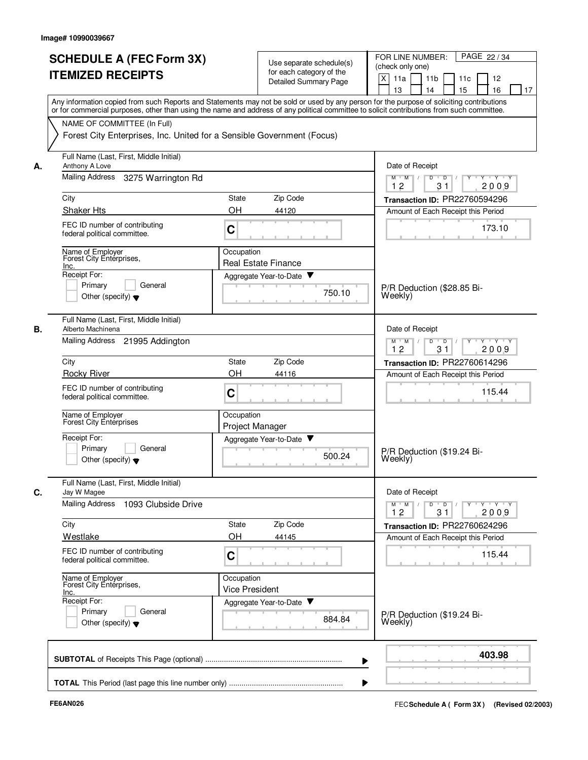|    | <b>SCHEDULE A (FEC Form 3X)</b><br><b>ITEMIZED RECEIPTS</b><br>Any information copied from such Reports and Statements may not be sold or used by any person for the purpose of soliciting contributions<br>or for commercial purposes, other than using the name and address of any political committee to solicit contributions from such committee. |                                                        | Use separate schedule(s)<br>for each category of the<br><b>Detailed Summary Page</b> | FOR LINE NUMBER:<br>PAGE 22/34<br>(check only one)<br>$\times$<br>11a<br>11 <sub>b</sub><br>11c<br>12<br>13<br>14<br>15<br>16<br>17 |
|----|--------------------------------------------------------------------------------------------------------------------------------------------------------------------------------------------------------------------------------------------------------------------------------------------------------------------------------------------------------|--------------------------------------------------------|--------------------------------------------------------------------------------------|-------------------------------------------------------------------------------------------------------------------------------------|
|    | NAME OF COMMITTEE (In Full)<br>Forest City Enterprises, Inc. United for a Sensible Government (Focus)                                                                                                                                                                                                                                                  |                                                        |                                                                                      |                                                                                                                                     |
| А. | Full Name (Last, First, Middle Initial)<br>Anthony A Love                                                                                                                                                                                                                                                                                              |                                                        |                                                                                      | Date of Receipt                                                                                                                     |
|    | Mailing Address<br>3275 Warrington Rd                                                                                                                                                                                                                                                                                                                  |                                                        |                                                                                      | $M$ $M$ /<br>$Y \vdash Y \vdash Y$<br>D<br>$\overline{D}$<br>12<br>31<br>2009                                                       |
|    | City                                                                                                                                                                                                                                                                                                                                                   | State                                                  | Zip Code                                                                             | Transaction ID: PR22760594296                                                                                                       |
|    | <b>Shaker Hts</b>                                                                                                                                                                                                                                                                                                                                      | OH                                                     | 44120                                                                                | Amount of Each Receipt this Period                                                                                                  |
|    | FEC ID number of contributing<br>federal political committee.                                                                                                                                                                                                                                                                                          | C                                                      |                                                                                      | 173.10                                                                                                                              |
|    | Name of Employer<br>Forest City Enterprises,                                                                                                                                                                                                                                                                                                           | Occupation                                             |                                                                                      |                                                                                                                                     |
|    | Inc.<br>Receipt For:                                                                                                                                                                                                                                                                                                                                   | <b>Real Estate Finance</b><br>Aggregate Year-to-Date ▼ |                                                                                      |                                                                                                                                     |
|    | General<br>Primary<br>Other (specify) $\blacktriangledown$                                                                                                                                                                                                                                                                                             |                                                        | 750.10                                                                               | P/R Deduction (\$28.85 Bi-<br>Weeklv)                                                                                               |
| В. | Full Name (Last, First, Middle Initial)<br>Alberto Machinena                                                                                                                                                                                                                                                                                           |                                                        |                                                                                      | Date of Receipt                                                                                                                     |
|    | Mailing Address 21995 Addington                                                                                                                                                                                                                                                                                                                        |                                                        |                                                                                      | D<br>$Y \vdash Y \vdash Y$<br>$M$ $M$<br>$\overline{\phantom{0}}$<br>12<br>2009<br>31                                               |
|    | City                                                                                                                                                                                                                                                                                                                                                   | <b>State</b>                                           | Zip Code                                                                             | Transaction ID: PR22760614296                                                                                                       |
|    | <b>Rocky River</b>                                                                                                                                                                                                                                                                                                                                     | OH                                                     | 44116                                                                                | Amount of Each Receipt this Period                                                                                                  |
|    | FEC ID number of contributing<br>federal political committee.                                                                                                                                                                                                                                                                                          | C                                                      |                                                                                      | 115.44                                                                                                                              |
|    | Name of Employer<br>Forest City Enterprises                                                                                                                                                                                                                                                                                                            | Occupation<br>Project Manager                          |                                                                                      |                                                                                                                                     |
|    | Receipt For:<br>Primary<br>General                                                                                                                                                                                                                                                                                                                     | Aggregate Year-to-Date                                 |                                                                                      |                                                                                                                                     |
|    | Other (specify) $\blacktriangledown$                                                                                                                                                                                                                                                                                                                   |                                                        | 500.24                                                                               | P/R Deduction (\$19.24 Bi-<br>Weekly)                                                                                               |
| C. | Full Name (Last, First, Middle Initial)<br>Jay W Magee                                                                                                                                                                                                                                                                                                 |                                                        |                                                                                      | Date of Receipt                                                                                                                     |
|    | Mailing Address 1093 Clubside Drive                                                                                                                                                                                                                                                                                                                    |                                                        |                                                                                      | $Y \dashv Y \dashv Y$<br>$D$ $D$ $I$<br>$Y^+$<br>$M$ $M$ /<br>12<br>31<br>2009                                                      |
|    | City                                                                                                                                                                                                                                                                                                                                                   | State                                                  | Zip Code                                                                             | Transaction ID: PR22760624296                                                                                                       |
|    | Westlake                                                                                                                                                                                                                                                                                                                                               | OН                                                     | 44145                                                                                | Amount of Each Receipt this Period                                                                                                  |
|    | FEC ID number of contributing<br>federal political committee.                                                                                                                                                                                                                                                                                          | C                                                      |                                                                                      | 115.44                                                                                                                              |
|    | Name of Employer<br>Forest City Enterprises,<br>Inc.                                                                                                                                                                                                                                                                                                   | Occupation<br><b>Vice President</b>                    |                                                                                      |                                                                                                                                     |
|    | Receipt For:<br>Primary<br>General<br>Other (specify) $\blacktriangledown$                                                                                                                                                                                                                                                                             | Aggregate Year-to-Date                                 | 884.84                                                                               | P/R Deduction (\$19.24 Bi-<br>Weekly)                                                                                               |
|    |                                                                                                                                                                                                                                                                                                                                                        |                                                        |                                                                                      | 403.98                                                                                                                              |
|    |                                                                                                                                                                                                                                                                                                                                                        |                                                        |                                                                                      |                                                                                                                                     |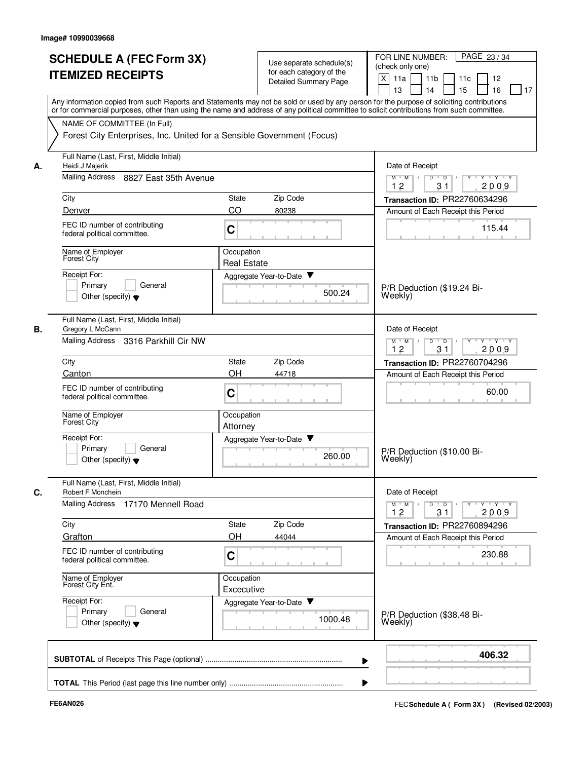|    |                                                                                                                                                                                                                                                                                         |                          |                                                   | PAGE 23/34                                                                  |
|----|-----------------------------------------------------------------------------------------------------------------------------------------------------------------------------------------------------------------------------------------------------------------------------------------|--------------------------|---------------------------------------------------|-----------------------------------------------------------------------------|
|    | <b>SCHEDULE A (FEC Form 3X)</b>                                                                                                                                                                                                                                                         |                          | Use separate schedule(s)                          | FOR LINE NUMBER:<br>(check only one)                                        |
|    | <b>ITEMIZED RECEIPTS</b>                                                                                                                                                                                                                                                                |                          | for each category of the<br>Detailed Summary Page | X<br>11a<br>11 <sub>b</sub><br>11 <sub>c</sub><br>12                        |
|    |                                                                                                                                                                                                                                                                                         |                          |                                                   | 15<br>13<br>14<br>16<br>17                                                  |
|    | Any information copied from such Reports and Statements may not be sold or used by any person for the purpose of soliciting contributions<br>or for commercial purposes, other than using the name and address of any political committee to solicit contributions from such committee. |                          |                                                   |                                                                             |
|    | NAME OF COMMITTEE (In Full)                                                                                                                                                                                                                                                             |                          |                                                   |                                                                             |
|    | Forest City Enterprises, Inc. United for a Sensible Government (Focus)                                                                                                                                                                                                                  |                          |                                                   |                                                                             |
| А. | Full Name (Last, First, Middle Initial)<br>Heidi J Majerik                                                                                                                                                                                                                              |                          |                                                   | Date of Receipt                                                             |
|    | Mailing Address 8827 East 35th Avenue                                                                                                                                                                                                                                                   |                          |                                                   | $Y - Y - Y$<br>$M$ $M$ /<br>D<br>$\overline{D}$ /<br>12<br>2009<br>31       |
|    | City                                                                                                                                                                                                                                                                                    | State                    | Zip Code                                          | Transaction ID: PR22760634296                                               |
|    | Denver                                                                                                                                                                                                                                                                                  | CO                       | 80238                                             | Amount of Each Receipt this Period                                          |
|    | FEC ID number of contributing<br>federal political committee.                                                                                                                                                                                                                           | C                        |                                                   | 115.44                                                                      |
|    | Name of Employer<br>Forest City                                                                                                                                                                                                                                                         | Occupation               |                                                   |                                                                             |
|    |                                                                                                                                                                                                                                                                                         | <b>Real Estate</b>       |                                                   |                                                                             |
|    | Receipt For:                                                                                                                                                                                                                                                                            |                          | Aggregate Year-to-Date                            |                                                                             |
|    | Primary<br>General                                                                                                                                                                                                                                                                      |                          | 500.24                                            | P/R Deduction (\$19.24 Bi-                                                  |
|    | Other (specify) $\blacktriangledown$                                                                                                                                                                                                                                                    |                          |                                                   | Weekly)                                                                     |
| В. | Full Name (Last, First, Middle Initial)<br>Gregory L McCann                                                                                                                                                                                                                             |                          |                                                   | Date of Receipt                                                             |
|    | Mailing Address<br>3316 Parkhill Cir NW                                                                                                                                                                                                                                                 |                          |                                                   | $Y - Y - Y$<br>$M$ M<br>D<br>$\overline{D}$<br>12<br>31<br>2009             |
|    | City                                                                                                                                                                                                                                                                                    | <b>State</b>             | Zip Code                                          | Transaction ID: PR22760704296                                               |
|    | Canton                                                                                                                                                                                                                                                                                  | OH                       | 44718                                             | Amount of Each Receipt this Period                                          |
|    | FEC ID number of contributing<br>federal political committee.                                                                                                                                                                                                                           | C                        |                                                   | 60.00                                                                       |
|    | Name of Employer<br>Forest City                                                                                                                                                                                                                                                         | Occupation<br>Attorney   |                                                   |                                                                             |
|    | Receipt For:                                                                                                                                                                                                                                                                            |                          | Aggregate Year-to-Date<br>v                       |                                                                             |
|    | Primary<br>General<br>Other (specify) $\blacktriangledown$                                                                                                                                                                                                                              |                          | 260.00                                            | P/R Deduction (\$10.00 Bi-<br>Weekly)                                       |
| C. | Full Name (Last, First, Middle Initial)<br>Robert F Monchein                                                                                                                                                                                                                            |                          |                                                   | Date of Receipt                                                             |
|    | Mailing Address<br>17170 Mennell Road                                                                                                                                                                                                                                                   |                          |                                                   | $Y - Y - Y - Y - Y$<br>$M$ $M$ /<br>D<br>$\overline{D}$<br>12<br>31<br>2009 |
|    | City                                                                                                                                                                                                                                                                                    | <b>State</b>             | Zip Code                                          | Transaction ID: PR22760894296                                               |
|    | Grafton                                                                                                                                                                                                                                                                                 | OH                       | 44044                                             | Amount of Each Receipt this Period                                          |
|    | FEC ID number of contributing<br>federal political committee.                                                                                                                                                                                                                           | C                        |                                                   | 230.88                                                                      |
|    | Name of Employer<br>Forest City Ent.                                                                                                                                                                                                                                                    | Occupation<br>Excecutive |                                                   |                                                                             |
|    | Receipt For:                                                                                                                                                                                                                                                                            |                          | Aggregate Year-to-Date                            |                                                                             |
|    | Primary<br>General<br>Other (specify) $\blacktriangledown$                                                                                                                                                                                                                              |                          | 1000.48                                           | P/R Deduction (\$38.48 Bi-<br>Weekly)                                       |
|    |                                                                                                                                                                                                                                                                                         |                          |                                                   | 406.32                                                                      |
|    |                                                                                                                                                                                                                                                                                         |                          |                                                   |                                                                             |
|    |                                                                                                                                                                                                                                                                                         |                          |                                                   |                                                                             |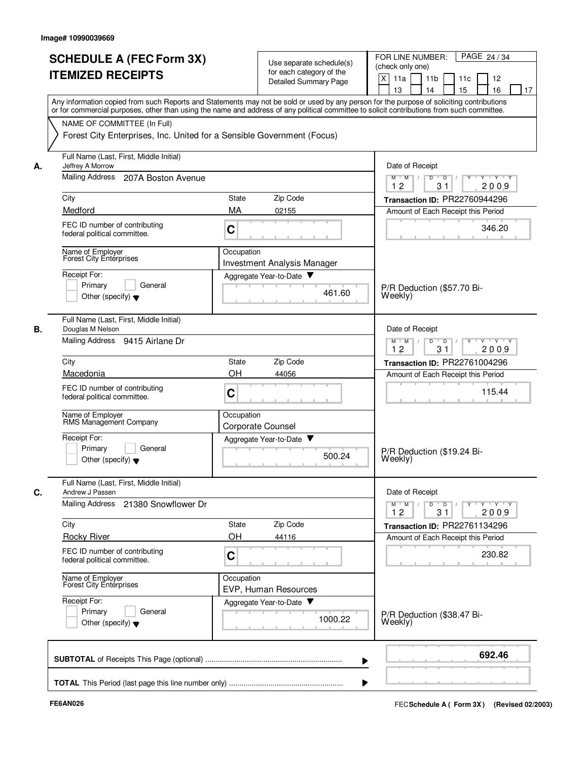|    | <b>SCHEDULE A (FEC Form 3X)</b><br><b>ITEMIZED RECEIPTS</b>                                                                                                                                                                                                                             |            | Use separate schedule(s)<br>for each category of the<br><b>Detailed Summary Page</b> | PAGE 24/34<br>FOR LINE NUMBER:<br>(check only one)<br>X<br>11a<br>11 <sub>b</sub><br>11c<br>12<br>15<br>13<br>14<br>16<br>17 |
|----|-----------------------------------------------------------------------------------------------------------------------------------------------------------------------------------------------------------------------------------------------------------------------------------------|------------|--------------------------------------------------------------------------------------|------------------------------------------------------------------------------------------------------------------------------|
|    | Any information copied from such Reports and Statements may not be sold or used by any person for the purpose of soliciting contributions<br>or for commercial purposes, other than using the name and address of any political committee to solicit contributions from such committee. |            |                                                                                      |                                                                                                                              |
|    | NAME OF COMMITTEE (In Full)<br>Forest City Enterprises, Inc. United for a Sensible Government (Focus)                                                                                                                                                                                   |            |                                                                                      |                                                                                                                              |
| А. | Full Name (Last, First, Middle Initial)<br>Jeffrey A Morrow                                                                                                                                                                                                                             |            |                                                                                      | Date of Receipt                                                                                                              |
|    | <b>Mailing Address</b><br>207A Boston Avenue                                                                                                                                                                                                                                            |            |                                                                                      | D<br>$\overline{D}$<br>Y 'Y 'Y<br>$M$ $M$<br>$\Box$<br>12<br>31<br>2009                                                      |
|    | City                                                                                                                                                                                                                                                                                    | State      | Zip Code                                                                             | Transaction ID: PR22760944296                                                                                                |
|    | Medford                                                                                                                                                                                                                                                                                 | MA         | 02155                                                                                | Amount of Each Receipt this Period                                                                                           |
|    | FEC ID number of contributing<br>federal political committee.                                                                                                                                                                                                                           | C          |                                                                                      | 346.20                                                                                                                       |
|    | Name of Employer<br>Forest City Enterprises                                                                                                                                                                                                                                             | Occupation | <b>Investment Analysis Manager</b>                                                   |                                                                                                                              |
|    | Receipt For:<br>Primary<br>General                                                                                                                                                                                                                                                      |            | Aggregate Year-to-Date                                                               |                                                                                                                              |
|    | Other (specify) $\bullet$                                                                                                                                                                                                                                                               |            | 461.60                                                                               | P/R Deduction (\$57.70 Bi-<br>Weekly)                                                                                        |
|    | Full Name (Last, First, Middle Initial)<br>Douglas M Nelson                                                                                                                                                                                                                             |            |                                                                                      | Date of Receipt                                                                                                              |
|    | Mailing Address 9415 Airlane Dr                                                                                                                                                                                                                                                         |            |                                                                                      | $Y + Y + Y$<br>M<br>M<br>D<br>$\overline{D}$<br>12<br>31<br>2009                                                             |
|    | City                                                                                                                                                                                                                                                                                    | State      | Zip Code                                                                             | Transaction ID: PR22761004296                                                                                                |
|    | Macedonia                                                                                                                                                                                                                                                                               | OH         | 44056                                                                                | Amount of Each Receipt this Period                                                                                           |
|    | FEC ID number of contributing<br>federal political committee.                                                                                                                                                                                                                           | C          |                                                                                      | 115.44                                                                                                                       |
|    | Name of Employer<br>RMS Management Company                                                                                                                                                                                                                                              | Occupation | Corporate Counsel                                                                    |                                                                                                                              |
|    | Receipt For:<br>Primary<br>General<br>Other (specify) $\blacktriangledown$                                                                                                                                                                                                              |            | Aggregate Year-to-Date<br>500.24                                                     | P/R Deduction (\$19.24 Bi-<br>Weekly)                                                                                        |
|    | Full Name (Last, First, Middle Initial)<br>Andrew J Passen                                                                                                                                                                                                                              |            |                                                                                      | Date of Receipt                                                                                                              |
|    | Mailing Address<br>21380 Snowflower Dr                                                                                                                                                                                                                                                  |            |                                                                                      | $Y - Y - Y - Y$<br>$M$ $M$<br>D<br>$\overline{D}$<br>12<br>31<br>2009                                                        |
|    | City                                                                                                                                                                                                                                                                                    | State      | Zip Code                                                                             | Transaction ID: PR22761134296                                                                                                |
|    | <b>Rocky River</b>                                                                                                                                                                                                                                                                      | OH         | 44116                                                                                | Amount of Each Receipt this Period                                                                                           |
|    | FEC ID number of contributing<br>federal political committee.                                                                                                                                                                                                                           | C          |                                                                                      | 230.82                                                                                                                       |
|    | Name of Employer<br>Forest City Enterprises                                                                                                                                                                                                                                             | Occupation | EVP, Human Resources                                                                 |                                                                                                                              |
|    | Receipt For:<br>Primary<br>General<br>Other (specify) $\blacktriangledown$                                                                                                                                                                                                              |            | Aggregate Year-to-Date<br>1000.22                                                    | P/R Deduction (\$38.47 Bi-<br>Weekly)                                                                                        |
|    |                                                                                                                                                                                                                                                                                         |            |                                                                                      | 692.46                                                                                                                       |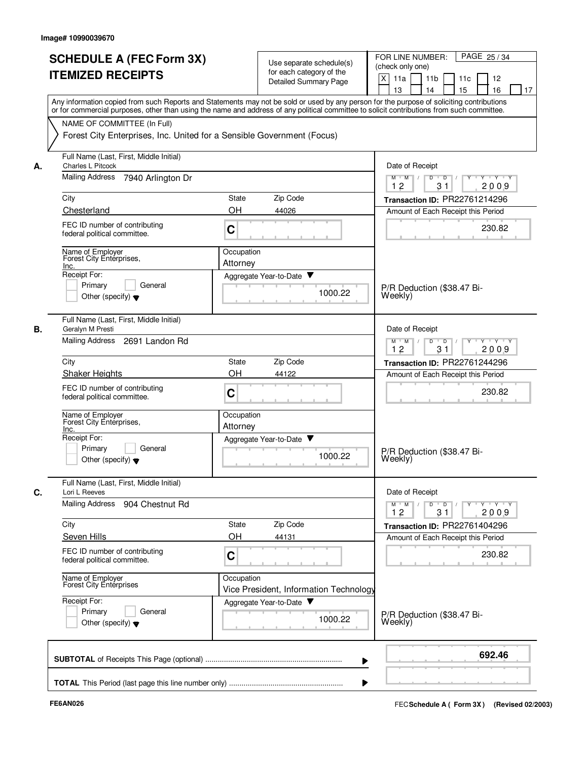|    | <b>SCHEDULE A (FEC Form 3X)</b><br><b>ITEMIZED RECEIPTS</b>                                           | Use separate schedule(s)<br>for each category of the<br>Detailed Summary Page | PAGE 25/34<br>FOR LINE NUMBER:<br>(check only one)<br>X<br>11a<br>11 <sub>b</sub><br>11c<br>12<br>15<br>13<br>14<br>16<br>17                                                                                                                                                            |
|----|-------------------------------------------------------------------------------------------------------|-------------------------------------------------------------------------------|-----------------------------------------------------------------------------------------------------------------------------------------------------------------------------------------------------------------------------------------------------------------------------------------|
|    |                                                                                                       |                                                                               | Any information copied from such Reports and Statements may not be sold or used by any person for the purpose of soliciting contributions<br>or for commercial purposes, other than using the name and address of any political committee to solicit contributions from such committee. |
|    | NAME OF COMMITTEE (In Full)<br>Forest City Enterprises, Inc. United for a Sensible Government (Focus) |                                                                               |                                                                                                                                                                                                                                                                                         |
| А. | Full Name (Last, First, Middle Initial)<br><b>Charles L Pitcock</b>                                   |                                                                               | Date of Receipt                                                                                                                                                                                                                                                                         |
|    | Mailing Address<br>7940 Arlington Dr                                                                  |                                                                               | $M$ $M$<br>D<br>$\blacksquare$<br>$\overline{D}$<br>Y Y Y Y<br>2009<br>12<br>31                                                                                                                                                                                                         |
|    | City                                                                                                  | Zip Code<br>State                                                             | Transaction ID: PR22761214296                                                                                                                                                                                                                                                           |
|    | Chesterland                                                                                           | OH<br>44026                                                                   | Amount of Each Receipt this Period                                                                                                                                                                                                                                                      |
|    | FEC ID number of contributing<br>federal political committee.                                         | C                                                                             | 230.82                                                                                                                                                                                                                                                                                  |
|    | Name of Employer<br>Forest City Enterprises,<br>Inc.                                                  | Occupation<br>Attorney                                                        |                                                                                                                                                                                                                                                                                         |
|    | Receipt For:                                                                                          | Aggregate Year-to-Date ▼                                                      |                                                                                                                                                                                                                                                                                         |
|    | General<br>Primary<br>Other (specify) $\blacktriangledown$                                            | 1000.22                                                                       | P/R Deduction (\$38.47 Bi-<br>Weekly)                                                                                                                                                                                                                                                   |
|    | Full Name (Last, First, Middle Initial)<br>Geralyn M Presti                                           |                                                                               | Date of Receipt                                                                                                                                                                                                                                                                         |
|    | Mailing Address<br>2691 Landon Rd                                                                     |                                                                               | $Y \vdash Y \vdash Y$<br>$M$ M<br>D<br>$\mathsf D$<br>Y<br>12<br>31<br>2009                                                                                                                                                                                                             |
|    | City                                                                                                  | State<br>Zip Code                                                             | Transaction ID: PR22761244296                                                                                                                                                                                                                                                           |
|    | <b>Shaker Heights</b>                                                                                 | OH<br>44122                                                                   | Amount of Each Receipt this Period                                                                                                                                                                                                                                                      |
|    | FEC ID number of contributing<br>federal political committee.                                         | C                                                                             | 230.82                                                                                                                                                                                                                                                                                  |
|    | Name of Employer<br>Forest City Enterprises,<br>Inc.                                                  | Occupation<br>Attorney                                                        |                                                                                                                                                                                                                                                                                         |
|    | Receipt For:<br>Primary<br>General<br>Other (specify) $\blacktriangledown$                            | Aggregate Year-to-Date<br>1000.22                                             | P/R Deduction (\$38.47 Bi-<br>Weekly)                                                                                                                                                                                                                                                   |
|    | Full Name (Last, First, Middle Initial)<br>Lori L Reeves                                              |                                                                               | Date of Receipt                                                                                                                                                                                                                                                                         |
|    | Mailing Address<br>904 Chestnut Rd                                                                    |                                                                               | $Y - Y - Y - Y$<br>$M$ $M$<br>D<br>$\overline{D}$<br>12<br>31<br>2009                                                                                                                                                                                                                   |
|    | City                                                                                                  | Zip Code<br>State                                                             | Transaction ID: PR22761404296                                                                                                                                                                                                                                                           |
|    | Seven Hills                                                                                           | OH<br>44131                                                                   | Amount of Each Receipt this Period                                                                                                                                                                                                                                                      |
|    | FEC ID number of contributing<br>federal political committee.                                         | C                                                                             | 230.82                                                                                                                                                                                                                                                                                  |
|    | Name of Employer<br>Forest City Enterprises                                                           | Occupation<br>Vice President, Information Technology                          |                                                                                                                                                                                                                                                                                         |
|    | Receipt For:<br>Primary<br>General<br>Other (specify) $\blacktriangledown$                            | Aggregate Year-to-Date<br>1000.22                                             | P/R Deduction (\$38.47 Bi-<br>Weekly)                                                                                                                                                                                                                                                   |
|    |                                                                                                       |                                                                               | 692.46                                                                                                                                                                                                                                                                                  |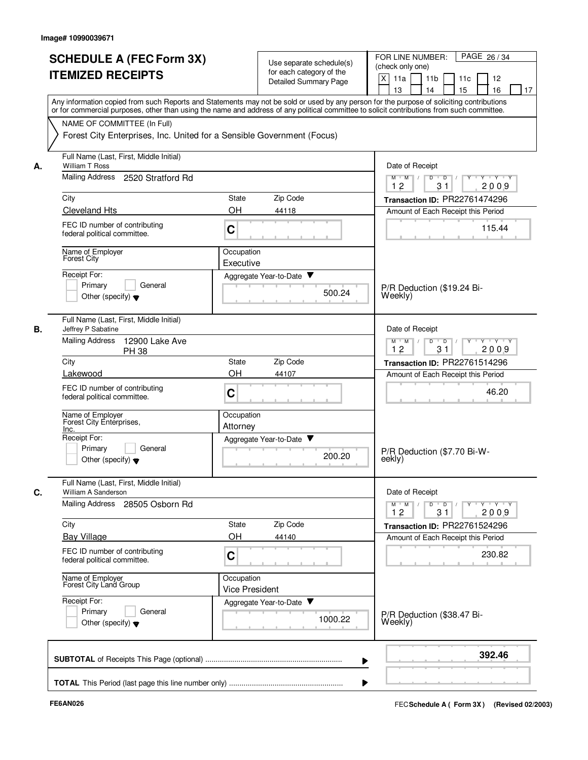|    | <b>SCHEDULE A (FEC Form 3X)</b><br><b>ITEMIZED RECEIPTS</b>                                           | Use separate schedule(s)<br>for each category of the<br>Detailed Summary Page | FOR LINE NUMBER:<br>PAGE 26/34<br>(check only one)<br>$\times$<br>11a<br>11 <sub>b</sub><br>11c<br>12<br>13<br>14<br>15<br>16<br>17<br>Any information copied from such Reports and Statements may not be sold or used by any person for the purpose of soliciting contributions<br>or for commercial purposes, other than using the name and address of any political committee to solicit contributions from such committee. |
|----|-------------------------------------------------------------------------------------------------------|-------------------------------------------------------------------------------|--------------------------------------------------------------------------------------------------------------------------------------------------------------------------------------------------------------------------------------------------------------------------------------------------------------------------------------------------------------------------------------------------------------------------------|
|    | NAME OF COMMITTEE (In Full)<br>Forest City Enterprises, Inc. United for a Sensible Government (Focus) |                                                                               |                                                                                                                                                                                                                                                                                                                                                                                                                                |
| А. | Full Name (Last, First, Middle Initial)<br>William T Ross                                             |                                                                               | Date of Receipt                                                                                                                                                                                                                                                                                                                                                                                                                |
|    | Mailing Address<br>2520 Stratford Rd                                                                  |                                                                               | Y Y Y Y<br>$M$ $M$ /<br>D<br>$\overline{\phantom{0}}$<br>12<br>31<br>2009                                                                                                                                                                                                                                                                                                                                                      |
|    | City                                                                                                  | Zip Code<br><b>State</b>                                                      | Transaction ID: PR22761474296                                                                                                                                                                                                                                                                                                                                                                                                  |
|    | <b>Cleveland Hts</b>                                                                                  | OH<br>44118                                                                   | Amount of Each Receipt this Period                                                                                                                                                                                                                                                                                                                                                                                             |
|    | FEC ID number of contributing<br>federal political committee.                                         | C                                                                             | 115.44                                                                                                                                                                                                                                                                                                                                                                                                                         |
|    | Name of Employer<br><b>Forest City</b>                                                                | Occupation<br>Executive                                                       |                                                                                                                                                                                                                                                                                                                                                                                                                                |
|    | Receipt For:                                                                                          | Aggregate Year-to-Date ▼                                                      |                                                                                                                                                                                                                                                                                                                                                                                                                                |
|    | General<br>Primary<br>Other (specify) $\blacktriangledown$                                            | 500.24                                                                        | P/R Deduction (\$19.24 Bi-<br>Weekly)                                                                                                                                                                                                                                                                                                                                                                                          |
| В. | Full Name (Last, First, Middle Initial)<br>Jeffrey P Sabatine                                         |                                                                               | Date of Receipt                                                                                                                                                                                                                                                                                                                                                                                                                |
|    | <b>Mailing Address</b><br>12900 Lake Ave<br><b>PH 38</b>                                              |                                                                               | D<br>$\overline{D}$<br>$Y - Y - Y$<br>$M$ M<br>$\sqrt{ }$<br>$\sqrt{ }$<br>12<br>31<br>2009                                                                                                                                                                                                                                                                                                                                    |
|    | City                                                                                                  | Zip Code<br><b>State</b>                                                      | Transaction ID: PR22761514296                                                                                                                                                                                                                                                                                                                                                                                                  |
|    | Lakewood<br>FEC ID number of contributing<br>federal political committee.                             | OH<br>44107<br>C                                                              | Amount of Each Receipt this Period<br>46.20                                                                                                                                                                                                                                                                                                                                                                                    |
|    | Name of Employer<br>Forest City Enterprises,<br>Inc.                                                  | Occupation<br>Attorney                                                        |                                                                                                                                                                                                                                                                                                                                                                                                                                |
|    | Receipt For:                                                                                          | Aggregate Year-to-Date                                                        |                                                                                                                                                                                                                                                                                                                                                                                                                                |
|    | Primary<br>General<br>Other (specify) $\blacktriangledown$                                            | 200.20                                                                        | P/R Deduction (\$7.70 Bi-W-<br>eekly)                                                                                                                                                                                                                                                                                                                                                                                          |
| C. | Full Name (Last, First, Middle Initial)<br>William A Sanderson                                        |                                                                               | Date of Receipt                                                                                                                                                                                                                                                                                                                                                                                                                |
|    | Mailing Address 28505 Osborn Rd                                                                       |                                                                               | $Y - Y - Y$<br>$M^+$ M<br>$D$ $D$ $/$<br>$Y^{\dagger}$<br>12<br>31<br>2009                                                                                                                                                                                                                                                                                                                                                     |
|    | City                                                                                                  | State<br>Zip Code                                                             | Transaction ID: PR22761524296                                                                                                                                                                                                                                                                                                                                                                                                  |
|    | <b>Bay Village</b>                                                                                    | OH<br>44140                                                                   | Amount of Each Receipt this Period                                                                                                                                                                                                                                                                                                                                                                                             |
|    | FEC ID number of contributing<br>federal political committee.                                         | C                                                                             | 230.82                                                                                                                                                                                                                                                                                                                                                                                                                         |
|    | Name of Employer<br>Forest City Land Group                                                            | Occupation<br><b>Vice President</b>                                           |                                                                                                                                                                                                                                                                                                                                                                                                                                |
|    | Receipt For:<br>Primary<br>General<br>Other (specify) $\blacktriangledown$                            | Aggregate Year-to-Date<br>1000.22                                             | P/R Deduction (\$38.47 Bi-<br>Weekly)                                                                                                                                                                                                                                                                                                                                                                                          |
|    |                                                                                                       |                                                                               | 392.46                                                                                                                                                                                                                                                                                                                                                                                                                         |
|    |                                                                                                       |                                                                               |                                                                                                                                                                                                                                                                                                                                                                                                                                |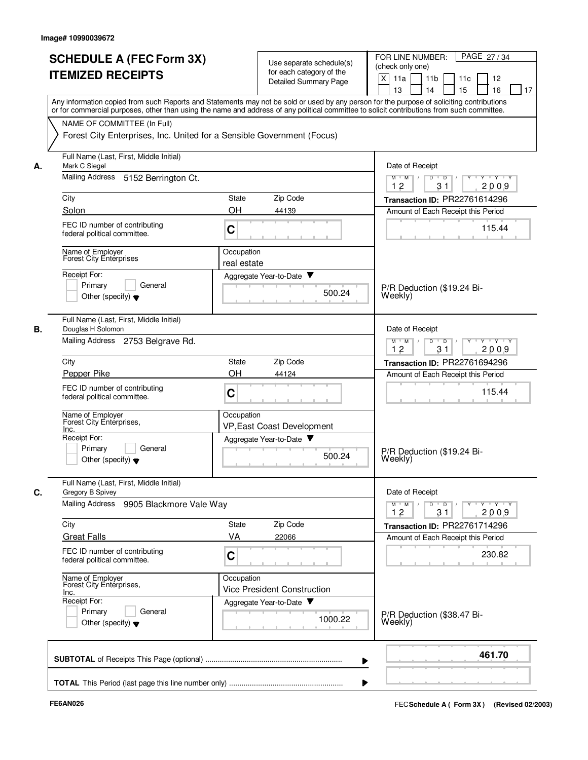|    | <b>SCHEDULE A (FEC Form 3X)</b><br><b>ITEMIZED RECEIPTS</b>                                                                                                                                                                                                                             |                           | Use separate schedule(s)<br>for each category of the<br>Detailed Summary Page | PAGE 27/34<br>FOR LINE NUMBER:<br>(check only one)<br>X<br>11a<br>11 <sub>b</sub><br>11c<br>12<br>15<br>13<br>14<br>16<br>17 |
|----|-----------------------------------------------------------------------------------------------------------------------------------------------------------------------------------------------------------------------------------------------------------------------------------------|---------------------------|-------------------------------------------------------------------------------|------------------------------------------------------------------------------------------------------------------------------|
|    | Any information copied from such Reports and Statements may not be sold or used by any person for the purpose of soliciting contributions<br>or for commercial purposes, other than using the name and address of any political committee to solicit contributions from such committee. |                           |                                                                               |                                                                                                                              |
|    | NAME OF COMMITTEE (In Full)<br>Forest City Enterprises, Inc. United for a Sensible Government (Focus)                                                                                                                                                                                   |                           |                                                                               |                                                                                                                              |
| А. | Full Name (Last, First, Middle Initial)<br>Mark C Siegel                                                                                                                                                                                                                                |                           |                                                                               | Date of Receipt                                                                                                              |
|    | Mailing Address<br>5152 Berrington Ct.                                                                                                                                                                                                                                                  |                           |                                                                               | $M$ $M$<br>D<br>$\blacksquare$<br>$\overline{D}$<br>Y 'Y 'Y<br>2009<br>12<br>31                                              |
|    | City                                                                                                                                                                                                                                                                                    | State                     | Zip Code                                                                      | Transaction ID: PR22761614296                                                                                                |
|    | Solon                                                                                                                                                                                                                                                                                   | OH                        | 44139                                                                         | Amount of Each Receipt this Period                                                                                           |
|    | FEC ID number of contributing<br>federal political committee.                                                                                                                                                                                                                           | C                         |                                                                               | 115.44                                                                                                                       |
|    | Name of Employer<br>Forest City Enterprises                                                                                                                                                                                                                                             | Occupation<br>real estate |                                                                               |                                                                                                                              |
|    | Receipt For:                                                                                                                                                                                                                                                                            |                           | Aggregate Year-to-Date ▼                                                      |                                                                                                                              |
|    | Primary<br>General<br>Other (specify) $\blacktriangledown$                                                                                                                                                                                                                              |                           | 500.24                                                                        | P/R Deduction (\$19.24 Bi-<br>Weekly)                                                                                        |
| В. | Full Name (Last, First, Middle Initial)<br>Douglas H Solomon                                                                                                                                                                                                                            |                           |                                                                               | Date of Receipt                                                                                                              |
|    | Mailing Address 2753 Belgrave Rd.                                                                                                                                                                                                                                                       |                           |                                                                               | $Y \vdash Y \vdash Y$<br>$M$ M<br>D<br>$\overline{D}$<br>Y<br>12<br>31<br>2009                                               |
|    | City                                                                                                                                                                                                                                                                                    | State                     | Zip Code                                                                      | Transaction ID: PR22761694296                                                                                                |
|    | Pepper Pike                                                                                                                                                                                                                                                                             | <b>OH</b>                 | 44124                                                                         | Amount of Each Receipt this Period                                                                                           |
|    | FEC ID number of contributing<br>federal political committee.                                                                                                                                                                                                                           | C                         |                                                                               | 115.44                                                                                                                       |
|    | Name of Employer<br>Forest City Enterprises,<br>Inc.                                                                                                                                                                                                                                    | Occupation                | VP, East Coast Development                                                    |                                                                                                                              |
|    | Receipt For:                                                                                                                                                                                                                                                                            |                           | Aggregate Year-to-Date                                                        |                                                                                                                              |
|    | Primary<br>General<br>Other (specify) $\blacktriangledown$                                                                                                                                                                                                                              |                           | 500.24                                                                        | P/R Deduction (\$19.24 Bi-<br>Weekly)                                                                                        |
| C. | Full Name (Last, First, Middle Initial)<br>Gregory B Spivey                                                                                                                                                                                                                             |                           |                                                                               | Date of Receipt                                                                                                              |
|    | Mailing Address<br>9905 Blackmore Vale Way                                                                                                                                                                                                                                              |                           |                                                                               | $Y - Y - Y - Y$<br>$M$ $M$<br>D<br>$\overline{D}$<br>12<br>31<br>2009                                                        |
|    | City                                                                                                                                                                                                                                                                                    | State                     | Zip Code                                                                      | <b>Transaction ID: PR22761714296</b>                                                                                         |
|    | <b>Great Falls</b>                                                                                                                                                                                                                                                                      | VA                        | 22066                                                                         | Amount of Each Receipt this Period                                                                                           |
|    | FEC ID number of contributing<br>federal political committee.                                                                                                                                                                                                                           | C                         |                                                                               | 230.82                                                                                                                       |
|    | Name of Employer<br>Forest City Enterprises,<br><u>Inc.</u>                                                                                                                                                                                                                             | Occupation                | <b>Vice President Construction</b>                                            |                                                                                                                              |
|    | Receipt For:<br>Primary<br>General<br>Other (specify) $\blacktriangledown$                                                                                                                                                                                                              |                           | Aggregate Year-to-Date<br>1000.22                                             | P/R Deduction (\$38.47 Bi-<br>Weekly)                                                                                        |
|    |                                                                                                                                                                                                                                                                                         |                           |                                                                               | 461.70                                                                                                                       |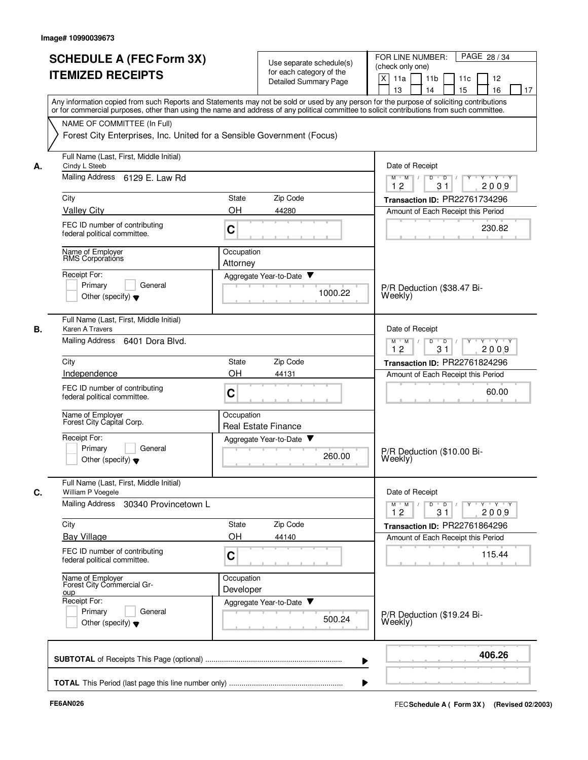|    |                                                                                                       | for each category of the<br><b>Detailed Summary Page</b>                                                                                                                                                                                                                                | X<br>11a<br>11 <sub>b</sub><br>12<br>11c<br>15<br>16<br>13<br>14<br>17 |
|----|-------------------------------------------------------------------------------------------------------|-----------------------------------------------------------------------------------------------------------------------------------------------------------------------------------------------------------------------------------------------------------------------------------------|------------------------------------------------------------------------|
|    |                                                                                                       | Any information copied from such Reports and Statements may not be sold or used by any person for the purpose of soliciting contributions<br>or for commercial purposes, other than using the name and address of any political committee to solicit contributions from such committee. |                                                                        |
|    | NAME OF COMMITTEE (In Full)<br>Forest City Enterprises, Inc. United for a Sensible Government (Focus) |                                                                                                                                                                                                                                                                                         |                                                                        |
| А. | Full Name (Last, First, Middle Initial)<br>Cindy L Steeb                                              |                                                                                                                                                                                                                                                                                         | Date of Receipt                                                        |
|    | Mailing Address 6129 E. Law Rd                                                                        |                                                                                                                                                                                                                                                                                         | $M$ $M$ /<br>D<br>$\overline{D}$<br>Y 'Y 'Y<br>12<br>31<br>2009        |
|    | City                                                                                                  | Zip Code<br>State                                                                                                                                                                                                                                                                       | Transaction ID: PR22761734296                                          |
|    | <b>Valley City</b>                                                                                    | OH<br>44280                                                                                                                                                                                                                                                                             | Amount of Each Receipt this Period                                     |
|    | FEC ID number of contributing<br>federal political committee.                                         | C                                                                                                                                                                                                                                                                                       | 230.82                                                                 |
|    | Name of Employer<br>RMS Corporations                                                                  | Occupation<br>Attorney                                                                                                                                                                                                                                                                  |                                                                        |
|    | Receipt For:                                                                                          | Aggregate Year-to-Date ▼                                                                                                                                                                                                                                                                |                                                                        |
|    | Primary<br>General<br>Other (specify) $\blacktriangledown$                                            | 1000.22                                                                                                                                                                                                                                                                                 | P/R Deduction (\$38.47 Bi-<br>Weekly)                                  |
| В. | Full Name (Last, First, Middle Initial)<br>Karen A Travers                                            |                                                                                                                                                                                                                                                                                         | Date of Receipt                                                        |
|    | Mailing Address<br>6401 Dora Blvd.                                                                    |                                                                                                                                                                                                                                                                                         | $\overline{D}$<br>$Y - Y - Y$<br>$M$ M<br>D<br>12<br>31<br>2009        |
|    | City                                                                                                  | Zip Code<br><b>State</b>                                                                                                                                                                                                                                                                | Transaction ID: PR22761824296                                          |
|    | Independence                                                                                          | OH<br>44131                                                                                                                                                                                                                                                                             | Amount of Each Receipt this Period                                     |
|    | FEC ID number of contributing<br>federal political committee.                                         | C                                                                                                                                                                                                                                                                                       | 60.00                                                                  |
|    | Name of Employer<br>Forest City Capital Corp.                                                         | Occupation<br><b>Real Estate Finance</b>                                                                                                                                                                                                                                                |                                                                        |
|    | Receipt For:                                                                                          | Aggregate Year-to-Date<br>▼                                                                                                                                                                                                                                                             |                                                                        |
|    | Primary<br>General<br>Other (specify) $\blacktriangledown$                                            | 260.00                                                                                                                                                                                                                                                                                  | P/R Deduction (\$10.00 Bi-<br>Weekly)                                  |
| С. | Full Name (Last, First, Middle Initial)<br>William P Voegele                                          |                                                                                                                                                                                                                                                                                         | Date of Receipt                                                        |
|    | Mailing Address 30340 Provincetown L                                                                  |                                                                                                                                                                                                                                                                                         | $Y$ $Y$ $Y$<br>$M^+M^-$<br>D<br>$\overline{D}$<br>12<br>31<br>2009     |
|    | City                                                                                                  | Zip Code<br>State                                                                                                                                                                                                                                                                       | Transaction ID: PR22761864296                                          |
|    | <b>Bay Village</b>                                                                                    | OH<br>44140                                                                                                                                                                                                                                                                             | Amount of Each Receipt this Period                                     |
|    | FEC ID number of contributing<br>federal political committee.                                         | C                                                                                                                                                                                                                                                                                       | 115.44                                                                 |
|    | Name of Employer<br>Forest City Commercial Gr-<br><b>OUD</b>                                          | Occupation<br>Developer                                                                                                                                                                                                                                                                 |                                                                        |
|    | Receipt For:                                                                                          | Aggregate Year-to-Date                                                                                                                                                                                                                                                                  |                                                                        |
|    | Primary<br>General<br>Other (specify) $\blacktriangledown$                                            | 500.24                                                                                                                                                                                                                                                                                  | P/R Deduction (\$19.24 Bi-<br>Weekly)                                  |
|    |                                                                                                       |                                                                                                                                                                                                                                                                                         | 406.26                                                                 |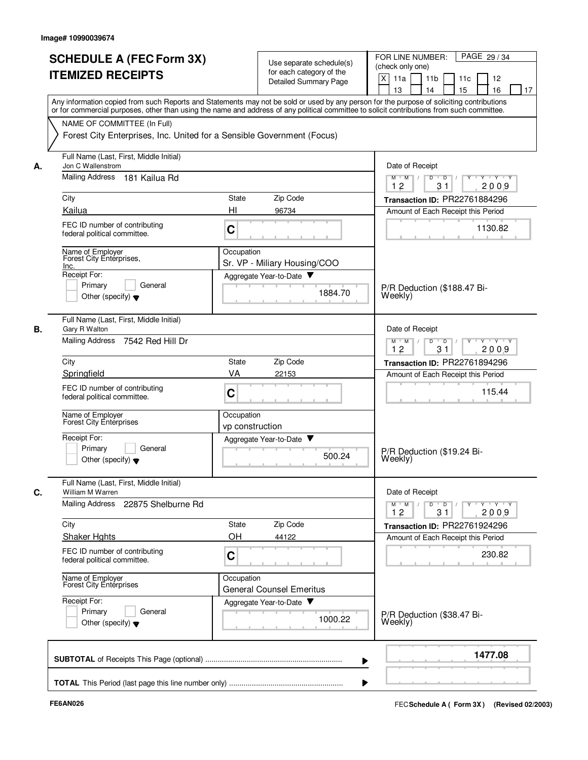|    | <b>SCHEDULE A (FEC Form 3X)</b><br><b>ITEMIZED RECEIPTS</b>                                                                                                                                                                                                                             |                               | Use separate schedule(s)<br>for each category of the<br>Detailed Summary Page | PAGE 29/34<br>FOR LINE NUMBER:<br>(check only one)<br>$\mathsf{X}$<br>11a<br>11 <sub>b</sub><br>11c<br>12<br>15<br>13<br>14<br>16<br>17 |
|----|-----------------------------------------------------------------------------------------------------------------------------------------------------------------------------------------------------------------------------------------------------------------------------------------|-------------------------------|-------------------------------------------------------------------------------|-----------------------------------------------------------------------------------------------------------------------------------------|
|    | Any information copied from such Reports and Statements may not be sold or used by any person for the purpose of soliciting contributions<br>or for commercial purposes, other than using the name and address of any political committee to solicit contributions from such committee. |                               |                                                                               |                                                                                                                                         |
|    | NAME OF COMMITTEE (In Full)<br>Forest City Enterprises, Inc. United for a Sensible Government (Focus)                                                                                                                                                                                   |                               |                                                                               |                                                                                                                                         |
| А. | Full Name (Last, First, Middle Initial)<br>Jon C Wallenstrom                                                                                                                                                                                                                            |                               |                                                                               | Date of Receipt                                                                                                                         |
|    | Mailing Address 181 Kailua Rd                                                                                                                                                                                                                                                           |                               |                                                                               | D<br>$\overline{D}$<br>$Y - Y - Y$<br>$M$ $M$<br>12<br>31<br>2009                                                                       |
|    | City                                                                                                                                                                                                                                                                                    | <b>State</b>                  | Zip Code                                                                      | Transaction ID: PR22761884296                                                                                                           |
|    | Kailua<br>FEC ID number of contributing<br>federal political committee.                                                                                                                                                                                                                 | HI<br>C                       | 96734                                                                         | Amount of Each Receipt this Period<br>1130.82                                                                                           |
|    | Name of Employer<br>Forest City Enterprises,<br>Inc.<br>Receipt For:                                                                                                                                                                                                                    | Occupation                    | Sr. VP - Miliary Housing/COO                                                  |                                                                                                                                         |
|    | Primary<br>General<br>Other (specify) $\blacktriangledown$                                                                                                                                                                                                                              |                               | Aggregate Year-to-Date<br>1884.70                                             | P/R Deduction (\$188.47 Bi-<br>Weekly)                                                                                                  |
| В. | Full Name (Last, First, Middle Initial)<br>Gary R Walton<br>Mailing Address 7542 Red Hill Dr                                                                                                                                                                                            |                               |                                                                               | Date of Receipt<br>$Y + Y + Y$<br>$M$ M<br>D<br>$\overline{D}$<br>$Y$ <sup><math>\top</math></sup>                                      |
|    | City                                                                                                                                                                                                                                                                                    | <b>State</b>                  | Zip Code                                                                      | 12<br>31<br>2009                                                                                                                        |
|    | Springfield                                                                                                                                                                                                                                                                             | VA                            | 22153                                                                         | Transaction ID: PR22761894296<br>Amount of Each Receipt this Period                                                                     |
|    | FEC ID number of contributing<br>federal political committee.                                                                                                                                                                                                                           | C                             |                                                                               | 115.44                                                                                                                                  |
|    | Name of Employer<br>Forest City Entérprises                                                                                                                                                                                                                                             | Occupation<br>vp construction |                                                                               |                                                                                                                                         |
|    | Receipt For:<br>Primary<br>General<br>Other (specify) $\blacktriangledown$                                                                                                                                                                                                              |                               | Y<br>Aggregate Year-to-Date<br>500.24                                         | P/R Deduction (\$19.24 Bi-<br>Weekly)                                                                                                   |
| C. | Full Name (Last, First, Middle Initial)<br>William M Warren                                                                                                                                                                                                                             |                               |                                                                               | Date of Receipt                                                                                                                         |
|    | Mailing Address 22875 Shelburne Rd                                                                                                                                                                                                                                                      |                               |                                                                               | $Y - Y - Y - Y$<br>$M$ M<br>D<br>$\overline{D}$<br>12<br>31<br>2009                                                                     |
|    | City                                                                                                                                                                                                                                                                                    | State                         | Zip Code                                                                      | Transaction ID: PR22761924296                                                                                                           |
|    | <b>Shaker Hghts</b>                                                                                                                                                                                                                                                                     | OH                            | 44122                                                                         | Amount of Each Receipt this Period                                                                                                      |
|    | FEC ID number of contributing<br>federal political committee.                                                                                                                                                                                                                           | C                             |                                                                               | 230.82                                                                                                                                  |
|    | Name of Employer<br>Forest City Enterprises                                                                                                                                                                                                                                             | Occupation                    | <b>General Counsel Emeritus</b>                                               |                                                                                                                                         |
|    | Receipt For:<br>Primary<br>General<br>Other (specify) $\blacktriangledown$                                                                                                                                                                                                              |                               | Aggregate Year-to-Date<br>1000.22                                             | P/R Deduction (\$38.47 Bi-<br>Weekly)                                                                                                   |
|    |                                                                                                                                                                                                                                                                                         |                               |                                                                               | 1477.08                                                                                                                                 |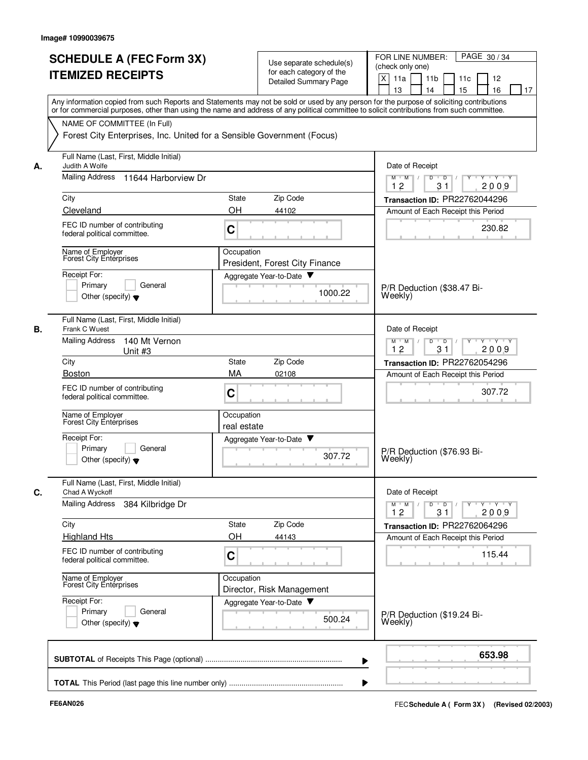|    | <b>SCHEDULE A (FEC Form 3X)</b><br><b>ITEMIZED RECEIPTS</b>                                                                                                                                                                                                                             |              | Use separate schedule(s)<br>for each category of the<br>Detailed Summary Page | PAGE 30/34<br>FOR LINE NUMBER:<br>(check only one)<br>$\mathsf{X}$<br>11a<br>11 <sub>b</sub><br>11c<br>12<br>15<br>13<br>14<br>16<br>17 |
|----|-----------------------------------------------------------------------------------------------------------------------------------------------------------------------------------------------------------------------------------------------------------------------------------------|--------------|-------------------------------------------------------------------------------|-----------------------------------------------------------------------------------------------------------------------------------------|
|    | Any information copied from such Reports and Statements may not be sold or used by any person for the purpose of soliciting contributions<br>or for commercial purposes, other than using the name and address of any political committee to solicit contributions from such committee. |              |                                                                               |                                                                                                                                         |
|    | NAME OF COMMITTEE (In Full)<br>Forest City Enterprises, Inc. United for a Sensible Government (Focus)                                                                                                                                                                                   |              |                                                                               |                                                                                                                                         |
| А. | Full Name (Last, First, Middle Initial)<br>Judith A Wolfe                                                                                                                                                                                                                               |              |                                                                               | Date of Receipt                                                                                                                         |
|    | Mailing Address 11644 Harborview Dr                                                                                                                                                                                                                                                     |              |                                                                               | D<br>$Y - Y - Y$<br>$M$ $M$<br>D<br>12<br>31<br>2009                                                                                    |
|    | City                                                                                                                                                                                                                                                                                    | <b>State</b> | Zip Code                                                                      | Transaction ID: PR22762044296                                                                                                           |
|    | Cleveland                                                                                                                                                                                                                                                                               | OH           | 44102                                                                         | Amount of Each Receipt this Period                                                                                                      |
|    | FEC ID number of contributing<br>federal political committee.                                                                                                                                                                                                                           | C            |                                                                               | 230.82                                                                                                                                  |
|    | Name of Employer<br><b>Forest City Enterprises</b>                                                                                                                                                                                                                                      | Occupation   | President, Forest City Finance                                                |                                                                                                                                         |
|    | Receipt For:<br>Primary<br>General<br>Other (specify) $\bullet$                                                                                                                                                                                                                         |              | Aggregate Year-to-Date<br>1000.22                                             | P/R Deduction (\$38.47 Bi-<br>Weekly)                                                                                                   |
| В. | Full Name (Last, First, Middle Initial)<br>Frank C Wuest                                                                                                                                                                                                                                |              |                                                                               | Date of Receipt                                                                                                                         |
|    | <b>Mailing Address</b><br>140 Mt Vernon<br>Unit #3                                                                                                                                                                                                                                      |              |                                                                               | $Y \vdash Y \vdash Y$<br>$M$ M<br>D<br>$\overline{D}$<br>$Y$ <sup><math>\top</math></sup><br>12<br>31<br>2009                           |
|    | City                                                                                                                                                                                                                                                                                    | <b>State</b> | Zip Code                                                                      | Transaction ID: PR22762054296                                                                                                           |
|    | <b>Boston</b><br>FEC ID number of contributing<br>federal political committee.                                                                                                                                                                                                          | MA<br>C      | 02108                                                                         | Amount of Each Receipt this Period<br>307.72                                                                                            |
|    | Name of Emplover<br>Forest City Enterprises                                                                                                                                                                                                                                             | Occupation   |                                                                               |                                                                                                                                         |
|    | Receipt For:<br>Primary<br>General<br>Other (specify) $\blacktriangledown$                                                                                                                                                                                                              | real estate  | Aggregate Year-to-Date<br>307.72                                              | P/R Deduction (\$76.93 Bi-<br>Weekly)                                                                                                   |
|    | Full Name (Last, First, Middle Initial)                                                                                                                                                                                                                                                 |              |                                                                               |                                                                                                                                         |
| C. | Chad A Wyckoff<br>Mailing Address<br>384 Kilbridge Dr                                                                                                                                                                                                                                   |              |                                                                               | Date of Receipt<br>$Y - Y - Y - Y$<br>$M$ M<br>D<br>$\overline{D}$<br>12<br>31<br>2009                                                  |
|    | City                                                                                                                                                                                                                                                                                    | State        | Zip Code                                                                      | Transaction ID: PR22762064296                                                                                                           |
|    | <b>Highland Hts</b>                                                                                                                                                                                                                                                                     | OH           | 44143                                                                         | Amount of Each Receipt this Period                                                                                                      |
|    | FEC ID number of contributing<br>federal political committee.                                                                                                                                                                                                                           | C            |                                                                               | 115.44                                                                                                                                  |
|    | Name of Employer<br>Forest City Enterprises                                                                                                                                                                                                                                             | Occupation   | Director, Risk Management                                                     |                                                                                                                                         |
|    | Receipt For:<br>General<br>Primary<br>Other (specify) $\blacktriangledown$                                                                                                                                                                                                              |              | Aggregate Year-to-Date<br>500.24                                              | P/R Deduction (\$19.24 Bi-<br>Weekly)                                                                                                   |
|    |                                                                                                                                                                                                                                                                                         |              |                                                                               | 653.98                                                                                                                                  |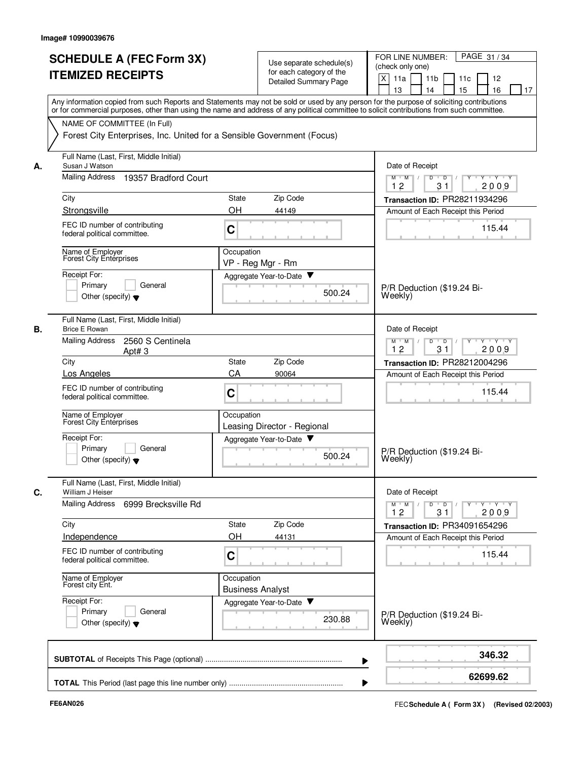| <b>SCHEDULE A (FEC Form 3X)</b><br><b>ITEMIZED RECEIPTS</b>                                                                                                                                                                                                                             |                                       | Use separate schedule(s)<br>for each category of the<br>Detailed Summary Page | PAGE 31/34<br>FOR LINE NUMBER:<br>(check only one)<br>X<br>11a<br>11 <sub>b</sub><br>12<br>11c<br>13<br>16<br>14<br>15<br>17 |
|-----------------------------------------------------------------------------------------------------------------------------------------------------------------------------------------------------------------------------------------------------------------------------------------|---------------------------------------|-------------------------------------------------------------------------------|------------------------------------------------------------------------------------------------------------------------------|
| Any information copied from such Reports and Statements may not be sold or used by any person for the purpose of soliciting contributions<br>or for commercial purposes, other than using the name and address of any political committee to solicit contributions from such committee. |                                       |                                                                               |                                                                                                                              |
| NAME OF COMMITTEE (In Full)<br>Forest City Enterprises, Inc. United for a Sensible Government (Focus)                                                                                                                                                                                   |                                       |                                                                               |                                                                                                                              |
| Full Name (Last, First, Middle Initial)<br>Susan J Watson                                                                                                                                                                                                                               |                                       |                                                                               | Date of Receipt                                                                                                              |
| <b>Mailing Address</b><br>19357 Bradford Court                                                                                                                                                                                                                                          |                                       |                                                                               | Y Y Y Y<br>M<br>D<br>$\overline{D}$<br>M<br>12<br>31<br>2009                                                                 |
| City                                                                                                                                                                                                                                                                                    | State                                 | Zip Code                                                                      | Transaction ID: PR28211934296                                                                                                |
| Strongsville                                                                                                                                                                                                                                                                            | OH                                    | 44149                                                                         | Amount of Each Receipt this Period                                                                                           |
| FEC ID number of contributing<br>federal political committee.                                                                                                                                                                                                                           | C                                     |                                                                               | 115.44                                                                                                                       |
| Name of Employer<br>Forest City Enterprises                                                                                                                                                                                                                                             | Occupation                            | VP - Reg Mgr - Rm                                                             |                                                                                                                              |
| Receipt For:<br>Primary<br>General<br>Other (specify) $\blacktriangledown$                                                                                                                                                                                                              |                                       | Aggregate Year-to-Date<br>500.24                                              | P/R Deduction (\$19.24 Bi-<br>Weekly)                                                                                        |
| Full Name (Last, First, Middle Initial)<br><b>Brice E Rowan</b>                                                                                                                                                                                                                         |                                       |                                                                               | Date of Receipt                                                                                                              |
| <b>Mailing Address</b><br>2560 S Centinela<br>Apt#3                                                                                                                                                                                                                                     |                                       |                                                                               | $Y + Y + Y$<br>$M$ M<br>$\blacksquare$ D $\blacksquare$ /<br>D<br>Y<br>$\sqrt{ }$<br>12<br>31<br>2009                        |
| City                                                                                                                                                                                                                                                                                    | State                                 | Zip Code                                                                      | Transaction ID: PR28212004296                                                                                                |
| Los Angeles                                                                                                                                                                                                                                                                             | CA                                    | 90064                                                                         | Amount of Each Receipt this Period                                                                                           |
| FEC ID number of contributing<br>federal political committee.                                                                                                                                                                                                                           | C                                     |                                                                               | 115.44                                                                                                                       |
| Name of Employer<br>Forest City Enterprises                                                                                                                                                                                                                                             | Occupation                            | Leasing Director - Regional                                                   |                                                                                                                              |
| Receipt For:<br>Primary<br>General<br>Other (specify) $\blacktriangledown$                                                                                                                                                                                                              |                                       | Aggregate Year-to-Date<br>500.24                                              | P/R Deduction (\$19.24 Bi-<br>Weekly)                                                                                        |
| Full Name (Last, First, Middle Initial)<br>William J Heiser                                                                                                                                                                                                                             |                                       |                                                                               | Date of Receipt                                                                                                              |
| Mailing Address<br>6999 Brecksville Rd                                                                                                                                                                                                                                                  |                                       |                                                                               | $Y - Y - Y - Y$<br>$M$ $M$ /<br>D<br>$\overline{D}$<br>12<br>31<br>2009                                                      |
| City                                                                                                                                                                                                                                                                                    | State                                 | Zip Code                                                                      | Transaction ID: PR34091654296                                                                                                |
| Independence                                                                                                                                                                                                                                                                            | OH                                    | 44131                                                                         | Amount of Each Receipt this Period                                                                                           |
| FEC ID number of contributing<br>federal political committee.                                                                                                                                                                                                                           | C                                     |                                                                               | 115.44                                                                                                                       |
| Name of Employer<br>Forest city Ent.                                                                                                                                                                                                                                                    | Occupation<br><b>Business Analyst</b> |                                                                               |                                                                                                                              |
| Receipt For:<br>Primary<br>General<br>Other (specify) $\blacktriangledown$                                                                                                                                                                                                              |                                       | Aggregate Year-to-Date<br>230.88                                              | P/R Deduction (\$19.24 Bi-<br>Weekly)                                                                                        |
|                                                                                                                                                                                                                                                                                         |                                       |                                                                               | 346.32                                                                                                                       |
|                                                                                                                                                                                                                                                                                         |                                       |                                                                               |                                                                                                                              |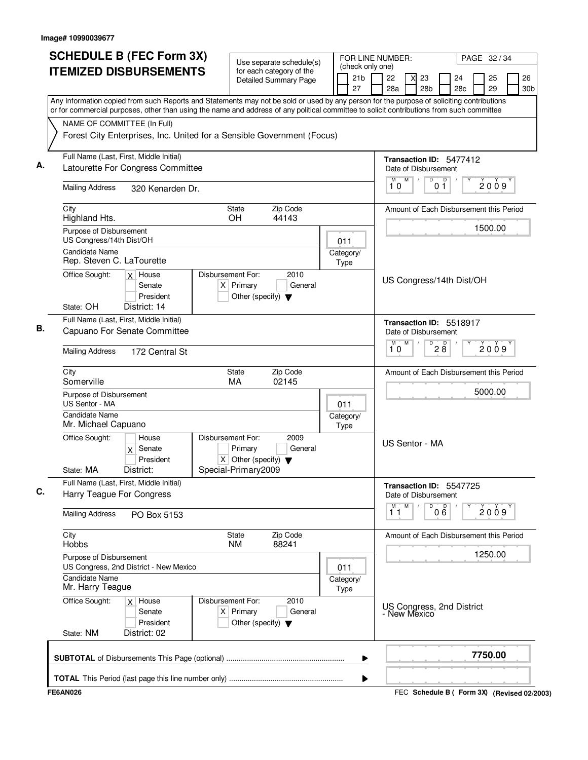| <b>SCHEDULE B (FEC Form 3X)</b>                                                                                                                                                                                                                                                        | Use separate schedule(s)                                                                               |                  | (check only one)                        | FOR LINE NUMBER:         |                                                      |                   |           | PAGE 32 / 34 |  |           |
|----------------------------------------------------------------------------------------------------------------------------------------------------------------------------------------------------------------------------------------------------------------------------------------|--------------------------------------------------------------------------------------------------------|------------------|-----------------------------------------|--------------------------|------------------------------------------------------|-------------------|-----------|--------------|--|-----------|
| <b>ITEMIZED DISBURSEMENTS</b>                                                                                                                                                                                                                                                          | for each category of the<br><b>Detailed Summary Page</b>                                               |                  | 21 <sub>b</sub><br>27                   | 22<br>28a                | 23<br>28b                                            |                   | 24<br>28c | 25<br>29     |  | 26<br>30b |
| Any Information copied from such Reports and Statements may not be sold or used by any person for the purpose of soliciting contributions<br>or for commercial purposes, other than using the name and address of any political committee to solicit contributions from such committee |                                                                                                        |                  |                                         |                          |                                                      |                   |           |              |  |           |
| NAME OF COMMITTEE (In Full)                                                                                                                                                                                                                                                            |                                                                                                        |                  |                                         |                          |                                                      |                   |           |              |  |           |
| Forest City Enterprises, Inc. United for a Sensible Government (Focus)                                                                                                                                                                                                                 |                                                                                                        |                  |                                         |                          |                                                      |                   |           |              |  |           |
| Full Name (Last, First, Middle Initial)<br>Latourette For Congress Committee                                                                                                                                                                                                           |                                                                                                        |                  |                                         |                          | Transaction ID: 5477412<br>Date of Disbursement      |                   |           |              |  |           |
| <b>Mailing Address</b><br>320 Kenarden Dr.                                                                                                                                                                                                                                             |                                                                                                        |                  |                                         | M<br>10                  | M<br>D<br>$\sqrt{2}$                                 | $\mathsf D$<br>01 |           | 2009         |  |           |
| City<br>Highland Hts.                                                                                                                                                                                                                                                                  |                                                                                                        |                  | Amount of Each Disbursement this Period |                          |                                                      |                   |           |              |  |           |
| Purpose of Disbursement<br>US Congress/14th Dist/OH                                                                                                                                                                                                                                    |                                                                                                        | 011              |                                         |                          |                                                      |                   |           | 1500.00      |  |           |
| <b>Candidate Name</b><br>Rep. Steven C. LaTourette                                                                                                                                                                                                                                     | Category/<br>Type                                                                                      |                  |                                         |                          |                                                      |                   |           |              |  |           |
| Office Sought:<br>$x$ House<br>Senate<br>President<br>District: 14<br>State: OH                                                                                                                                                                                                        | Disbursement For:<br>2010<br>$X$ Primary<br>General<br>Other (specify) $\blacktriangledown$            |                  |                                         | US Congress/14th Dist/OH |                                                      |                   |           |              |  |           |
| Full Name (Last, First, Middle Initial)                                                                                                                                                                                                                                                |                                                                                                        |                  | Transaction ID: 5518917                 |                          |                                                      |                   |           |              |  |           |
| Capuano For Senate Committee                                                                                                                                                                                                                                                           |                                                                                                        | М                | Date of Disbursement<br>M<br>D          |                          |                                                      |                   |           |              |  |           |
| <b>Mailing Address</b><br>172 Central St                                                                                                                                                                                                                                               |                                                                                                        | 28<br>2009<br>10 |                                         |                          |                                                      |                   |           |              |  |           |
| City<br>Somerville                                                                                                                                                                                                                                                                     | Zip Code<br><b>State</b><br>02145<br>MA                                                                |                  |                                         |                          | Amount of Each Disbursement this Period              |                   |           |              |  |           |
| Purpose of Disbursement<br>US Sentor - MA                                                                                                                                                                                                                                              | 011                                                                                                    |                  |                                         |                          |                                                      |                   | 5000.00   |              |  |           |
| Candidate Name<br>Mr. Michael Capuano                                                                                                                                                                                                                                                  | Category/<br>Type                                                                                      |                  |                                         |                          |                                                      |                   |           |              |  |           |
| Office Sought:<br>House<br>$\mathsf{x}$<br>Senate<br>President                                                                                                                                                                                                                         | Disbursement For:<br>2009<br>Primary<br>General<br>$\overline{X}$ Other (specify) $\blacktriangledown$ |                  |                                         | US Sentor - MA           |                                                      |                   |           |              |  |           |
| District:<br>State: MA                                                                                                                                                                                                                                                                 | Special-Primary2009                                                                                    |                  |                                         |                          |                                                      |                   |           |              |  |           |
| Full Name (Last, First, Middle Initial)<br>Harry Teague For Congress                                                                                                                                                                                                                   |                                                                                                        |                  |                                         |                          | Transaction ID: 5547725<br>Date of Disbursement<br>M |                   |           |              |  |           |
| <b>Mailing Address</b><br>PO Box 5153                                                                                                                                                                                                                                                  |                                                                                                        |                  |                                         | M<br>11                  | D                                                    | D<br>06           |           | 2009         |  |           |
| City<br>Hobbs                                                                                                                                                                                                                                                                          | Zip Code<br>State<br>88241<br><b>NM</b>                                                                |                  |                                         |                          | Amount of Each Disbursement this Period              |                   |           |              |  |           |
| Purpose of Disbursement<br>US Congress, 2nd District - New Mexico                                                                                                                                                                                                                      | 011                                                                                                    |                  |                                         |                          |                                                      |                   | 1250.00   |              |  |           |
| <b>Candidate Name</b><br>Mr. Harry Teague                                                                                                                                                                                                                                              | Category/<br>Type                                                                                      |                  |                                         |                          |                                                      |                   |           |              |  |           |
| Office Sought:<br>$x$ House<br>Senate<br>President<br>State: NM<br>District: 02                                                                                                                                                                                                        | Disbursement For:<br>2010<br>$X$ Primary<br>General<br>Other (specify) $\blacktriangledown$            |                  |                                         |                          | US Congress, 2nd District<br>- New Mexico            |                   |           |              |  |           |
|                                                                                                                                                                                                                                                                                        |                                                                                                        |                  | ▶                                       |                          |                                                      |                   |           | 7750.00      |  |           |
|                                                                                                                                                                                                                                                                                        |                                                                                                        |                  | ▶                                       |                          |                                                      |                   |           |              |  |           |
| <b>FE6AN026</b>                                                                                                                                                                                                                                                                        |                                                                                                        |                  |                                         |                          | FEC Schedule B ( Form 3X) (Revised 02/2003)          |                   |           |              |  |           |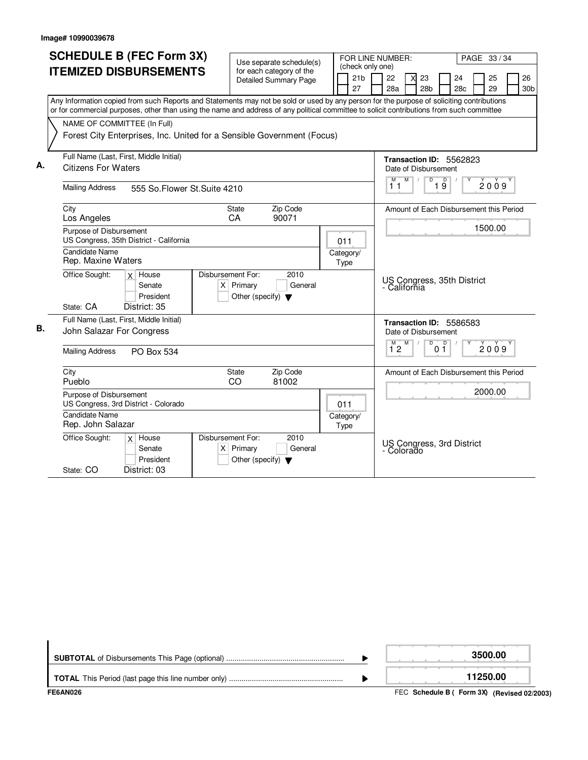|    |                             | <b>SCHEDULE B (FEC Form 3X)</b>                                        |                   |                                      |                                                          |                  | FOR LINE NUMBER:                                                                                                                          |            |           |
|----|-----------------------------|------------------------------------------------------------------------|-------------------|--------------------------------------|----------------------------------------------------------|------------------|-------------------------------------------------------------------------------------------------------------------------------------------|------------|-----------|
|    |                             |                                                                        |                   |                                      | Use separate schedule(s)                                 | (check only one) |                                                                                                                                           | PAGE 33/34 |           |
|    |                             | <b>ITEMIZED DISBURSEMENTS</b>                                          |                   |                                      | for each category of the<br><b>Detailed Summary Page</b> | 21 <sub>b</sub>  | 22<br>23<br>x                                                                                                                             | 24         | 25<br>26  |
|    |                             |                                                                        |                   |                                      |                                                          | 27               | 28a<br>28 <sub>b</sub>                                                                                                                    | 28c        | 29<br>30b |
|    |                             |                                                                        |                   |                                      |                                                          |                  | Any Information copied from such Reports and Statements may not be sold or used by any person for the purpose of soliciting contributions |            |           |
|    |                             |                                                                        |                   |                                      |                                                          |                  | or for commercial purposes, other than using the name and address of any political committee to solicit contributions from such committee |            |           |
|    | NAME OF COMMITTEE (In Full) |                                                                        |                   |                                      |                                                          |                  |                                                                                                                                           |            |           |
|    |                             | Forest City Enterprises, Inc. United for a Sensible Government (Focus) |                   |                                      |                                                          |                  |                                                                                                                                           |            |           |
|    |                             |                                                                        |                   |                                      |                                                          |                  |                                                                                                                                           |            |           |
|    |                             | Full Name (Last, First, Middle Initial)                                |                   |                                      |                                                          |                  | Transaction ID: 5562823                                                                                                                   |            |           |
| А. | <b>Citizens For Waters</b>  |                                                                        |                   |                                      |                                                          |                  | Date of Disbursement                                                                                                                      |            |           |
|    |                             |                                                                        |                   |                                      |                                                          |                  | $M$ /<br>$\overline{D}$<br>M<br>19                                                                                                        |            | 2009      |
|    | <b>Mailing Address</b>      | 555 So. Flower St. Suite 4210                                          |                   |                                      | 11                                                       |                  |                                                                                                                                           |            |           |
|    | City                        |                                                                        |                   | <b>State</b>                         | Zip Code                                                 |                  | Amount of Each Disbursement this Period                                                                                                   |            |           |
|    | Los Angeles                 |                                                                        | СA                |                                      | 90071                                                    |                  |                                                                                                                                           |            |           |
|    | Purpose of Disbursement     |                                                                        |                   |                                      |                                                          |                  |                                                                                                                                           |            | 1500.00   |
|    |                             | US Congress, 35th District - California                                |                   |                                      |                                                          | 011              |                                                                                                                                           |            |           |
|    | Candidate Name              |                                                                        |                   |                                      |                                                          | Category/        |                                                                                                                                           |            |           |
|    | Rep. Maxine Waters          |                                                                        |                   |                                      |                                                          | Type             |                                                                                                                                           |            |           |
|    | Office Sought:              | $x$ House                                                              | Disbursement For: |                                      | 2010                                                     |                  | US Congress, 35th District                                                                                                                |            |           |
|    |                             | Senate                                                                 |                   | $X$ Primary                          | General                                                  |                  | - California                                                                                                                              |            |           |
|    |                             | President                                                              |                   | Other (specify) $\blacktriangledown$ |                                                          |                  |                                                                                                                                           |            |           |
|    | State: CA                   | District: 35                                                           |                   |                                      |                                                          |                  |                                                                                                                                           |            |           |
|    |                             | Full Name (Last, First, Middle Initial)                                |                   |                                      |                                                          |                  | Transaction ID: 5586583                                                                                                                   |            |           |
| В. | John Salazar For Congress   |                                                                        |                   |                                      |                                                          |                  | Date of Disbursement                                                                                                                      |            |           |
|    | <b>Mailing Address</b>      |                                                                        |                   |                                      |                                                          |                  | M<br>$\sqrt{ }$<br>D<br>$\overline{p}$<br>М<br>$1^{\degree}2$<br>01                                                                       |            | 2009      |
|    |                             | <b>PO Box 534</b>                                                      |                   |                                      |                                                          |                  |                                                                                                                                           |            |           |
|    | City                        |                                                                        |                   | <b>State</b>                         | Zip Code                                                 |                  | Amount of Each Disbursement this Period                                                                                                   |            |           |
|    | Pueblo                      |                                                                        | CO                |                                      | 81002                                                    |                  |                                                                                                                                           |            |           |
|    | Purpose of Disbursement     |                                                                        |                   |                                      |                                                          |                  |                                                                                                                                           |            | 2000.00   |
|    |                             | US Congress, 3rd District - Colorado                                   |                   |                                      |                                                          |                  |                                                                                                                                           |            |           |
|    | <b>Candidate Name</b>       |                                                                        |                   |                                      |                                                          | Category/        |                                                                                                                                           |            |           |
|    | Rep. John Salazar           |                                                                        |                   |                                      |                                                          | Type             |                                                                                                                                           |            |           |
|    | Office Sought:              | $x$ House                                                              | Disbursement For: |                                      | 2010                                                     |                  |                                                                                                                                           |            |           |
|    |                             | Senate                                                                 |                   | $X$ Primary                          | General                                                  |                  | US Congress, 3rd District<br>- Colorado                                                                                                   |            |           |
|    |                             | President                                                              |                   | Other (specify) $\blacktriangledown$ |                                                          |                  |                                                                                                                                           |            |           |
|    | State: CO                   | District: 03                                                           |                   |                                      |                                                          |                  |                                                                                                                                           |            |           |

| FE6AN026 | FEC Schedule B ( Form 3X) (Revised 02/2003) |
|----------|---------------------------------------------|
|          | 11250.00                                    |
|          | 3500.00                                     |